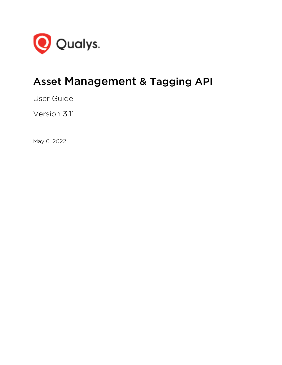

# Asset Management & Tagging API

User Guide

Version 3.11

May 6, 2022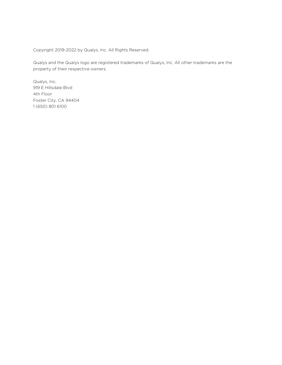Copyright 2019-2022 by Qualys, Inc. All Rights Reserved.

Qualys and the Qualys logo are registered trademarks of Qualys, Inc. All other trademarks are the property of their respective owners.

Qualys, Inc. 919 E Hillsdale Blvd 4th Floor Foster City, CA 94404 1 (650) 801 6100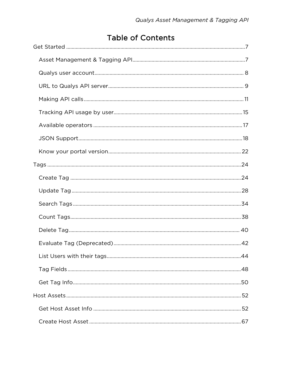# **Table of Contents**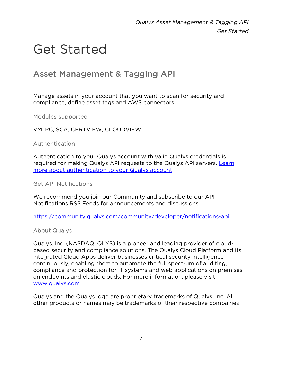# <span id="page-6-0"></span>Get Started

# <span id="page-6-1"></span>Asset Management & Tagging API

Manage assets in your account that you want to scan for security and compliance, define asset tags and AWS connectors.

Modules supported

VM, PC, SCA, CERTVIEW, CLOUDVIEW

Authentication

Authentication to your Qualys account with valid Qualys credentials is required for making Qualys API requests to the Qualys API servers. [Learn](#page-7-0)  [more about authentication to your Qualys account](#page-7-0)

Get API Notifications

We recommend you join our Community and subscribe to our API Notifications RSS Feeds for announcements and discussions.

<https://community.qualys.com/community/developer/notifications-api>

About Qualys

Qualys, Inc. (NASDAQ: QLYS) is a pioneer and leading provider of cloudbased security and compliance solutions. The Qualys Cloud Platform and its integrated Cloud Apps deliver businesses critical security intelligence continuously, enabling them to automate the full spectrum of auditing, compliance and protection for IT systems and web applications on premises, on endpoints and elastic clouds. For more information, please visit [www.qualys.com](https://www.qualys.com/)

Qualys and the Qualys logo are proprietary trademarks of Qualys, Inc. All other products or names may be trademarks of their respective companies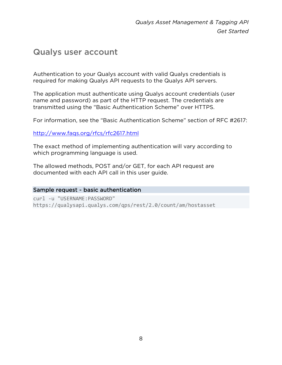# <span id="page-7-0"></span>Qualys user account

Authentication to your Qualys account with valid Qualys credentials is required for making Qualys API requests to the Qualys API servers.

The application must authenticate using Qualys account credentials (user name and password) as part of the HTTP request. The credentials are transmitted using the "Basic Authentication Scheme" over HTTPS.

For information, see the "Basic Authentication Scheme" section of RFC #2617:

<http://www.faqs.org/rfcs/rfc2617.html>

The exact method of implementing authentication will vary according to which programming language is used.

The allowed methods, POST and/or GET, for each API request are documented with each API call in this user guide.

## Sample request - basic authentication

curl -u "USERNAME:PASSWORD" https://qualysapi.qualys.com/qps/rest/2.0/count/am/hostasset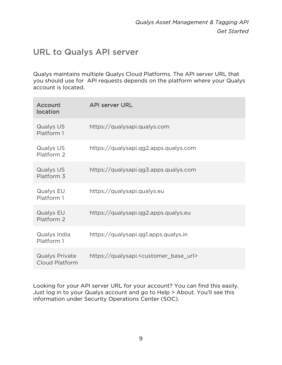# <span id="page-8-0"></span>URL to Qualys API server

Qualys maintains multiple Qualys Cloud Platforms. The API server URL that you should use for API requests depends on the platform where your Qualys account is located.

| Account<br>location                            | <b>API server URL</b>                                      |
|------------------------------------------------|------------------------------------------------------------|
| Qualys US<br>Platform 1                        | https://qualysapi.qualys.com                               |
| Qualys US<br>Platform 2                        | https://qualysapi.qg2.apps.qualys.com                      |
| Qualys US<br>Platform 3                        | https://qualysapi.qg3.apps.qualys.com                      |
| Qualys EU<br>Platform 1                        | https://qualysapi.qualys.eu                                |
| Qualys EU<br>Platform 2                        | https://qualysapi.qg2.apps.qualys.eu                       |
| Qualys India<br>Platform 1                     | https://qualysapi.qg1.apps.qualys.in                       |
| <b>Qualys Private</b><br><b>Cloud Platform</b> | https://qualysapi. <customer_base_url></customer_base_url> |

Looking for your API server URL for your account? You can find this easily. Just log in to your Qualys account and go to Help > About. You'll see this information under Security Operations Center (SOC).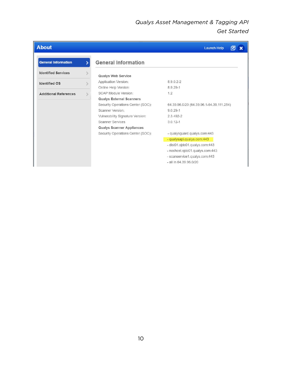# *Qualys Asset Management & Tagging API Get Started*

| <b>About</b>                 |                                   | <b>Launch Help</b>                       |
|------------------------------|-----------------------------------|------------------------------------------|
| <b>General Information</b>   | <b>General Information</b>        |                                          |
| <b>Identified Services</b>   | <b>Qualys Web Service</b>         |                                          |
| <b>Identified OS</b>         | Application Version:              | 8.9.0.2-2                                |
|                              | Online Help Version:              | 8.9.29-1                                 |
| <b>Additional References</b> | <b>SCAP Module Version:</b>       | 1.2                                      |
|                              | <b>Qualys External Scanners</b>   |                                          |
|                              | Security Operations Center (SOC): | 64.39.96.0/20 (64.39.96.1-64.39.111.254) |
|                              | Scanner Version:                  | $9.0.29 - 1$                             |
|                              | Vulnerability Signature Version:  | 2.3.492-2                                |
|                              | <b>Scanner Services</b>           | $3.0.12 - 1$                             |
|                              | <b>Qualys Scanner Appliances</b>  |                                          |
|                              | Security Operations Center (SOC): | - qualysguard.qualys.com:443             |
|                              |                                   | - qualysapi.qualys.com:443               |
|                              |                                   | - dist01.sjdc01.qualys.com:443           |
|                              |                                   | - nochost.sjdc01.qualys.com:443          |
|                              |                                   | - scanservice1.qualys.com:443            |
|                              |                                   | $-$ all in 64.39.96.0/20                 |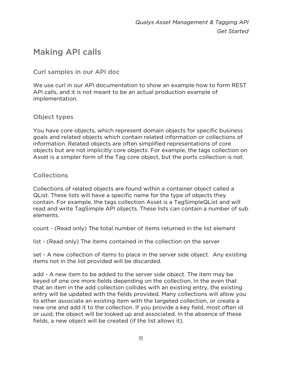# <span id="page-10-0"></span>Making API calls

Curl samples in our API doc

We use curl in our API documentation to show an example how to form REST API calls, and it is not meant to be an actual production example of implementation.

# Object types

You have core objects, which represent domain objects for specific business goals and related objects which contain related information or collections of information. Related objects are often simplified representations of core objects but are not implicitly core objects. For example, the tags collection on Asset is a simpler form of the Tag core object, but the ports collection is not.

## Collections

Collections of related objects are found within a container object called a QList. These lists will have a specific name for the type of objects they contain. For example, the tags collection Asset is a TagSimpleQList and will read and write TagSimple API objects. These lists can contain a number of sub elements.

count - (Read only) The total number of items returned in the list element

list - (Read only) The items contained in the collection on the server

set - A new collection of items to place in the server side object. Any existing items not in the list provided will be discarded.

add - A new item to be added to the server side object. The item may be keyed of one ore more fields depending on the collection. In the even that that an item in the add collection collides with an existing entry, the existing entry will be updated with the fields provided. Many collections will allow you to either associate an existing item with the targeted collection, or create a new one and add it to the collection. If you provide a key field, most often id or uuid, the object will be looked up and associated. In the absence of these fields, a new object will be created (if the list allows it).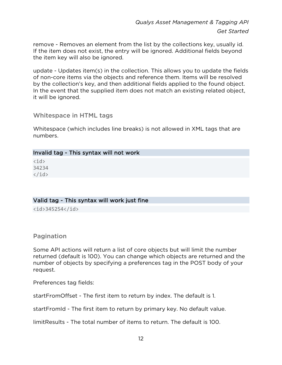remove - Removes an element from the list by the collections key, usually id. If the item does not exist, the entry will be ignored. Additional fields beyond the item key will also be ignored.

update - Updates item(s) in the collection. This allows you to update the fields of non-core items via the objects and reference them. Items will be resolved by the collection's key, and then additional fields applied to the found object. In the event that the supplied item does not match an existing related object, it will be ignored.

### Whitespace in HTML tags

Whitespace (which includes line breaks) is not allowed in XML tags that are numbers.

### Invalid tag - This syntax will not work

 $\langle$ id $\rangle$ 34234  $\langle$ id>

## Valid tag - This syntax will work just fine

<id>345254</id>

## Pagination

Some API actions will return a list of core objects but will limit the number returned (default is 100). You can change which objects are returned and the number of objects by specifying a preferences tag in the POST body of your request.

Preferences tag fields:

startFromOffset - The first item to return by index. The default is 1.

startFromId - The first item to return by primary key. No default value.

limitResults - The total number of items to return. The default is 100.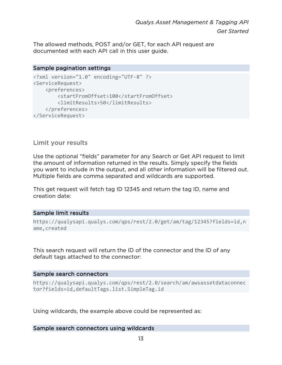The allowed methods, POST and/or GET, for each API request are documented with each API call in this user guide.

### Sample pagination settings

```
<?xml version="1.0" encoding="UTF-8" ?> 
<ServiceRequest> 
     <preferences> 
         <startFromOffset>100</startFromOffset> 
         <limitResults>50</limitResults> 
     </preferences> 
</ServiceRequest>
```
## Limit your results

Use the optional "fields" parameter for any Search or Get API request to limit the amount of information returned in the results. Simply specify the fields you want to include in the output, and all other information will be filtered out. Multiple fields are comma separated and wildcards are supported.

This get request will fetch tag ID 12345 and return the tag ID, name and creation date:

## Sample limit results

```
https://qualysapi.qualys.com/qps/rest/2.0/get/am/tag/12345?fields=id,n
ame,created
```
This search request will return the ID of the connector and the ID of any default tags attached to the connector:

### Sample search connectors

```
https://qualysapi.qualys.com/qps/rest/2.0/search/am/awsassetdataconnec
tor?fields=id,defaultTags.list.SimpleTag.id
```
Using wildcards, the example above could be represented as:

### Sample search connectors using wildcards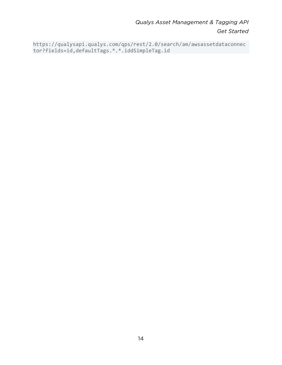# Qualys Asset Management & Tagging API **Get Started**

https://qualysapi.qualys.com/qps/rest/2.0/search/am/awsassetdataconnec tor?fields=id,defaultTags.\*.\*.iddSimpleTag.id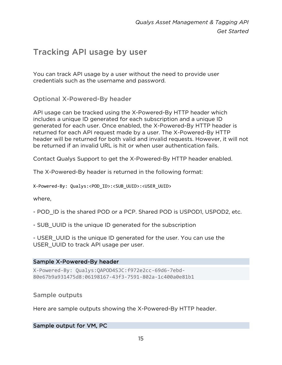# <span id="page-14-0"></span>Tracking API usage by user

You can track API usage by a user without the need to provide user credentials such as the username and password.

Optional X-Powered-By header

API usage can be tracked using the X-Powered-By HTTP header which includes a unique ID generated for each subscription and a unique ID generated for each user. Once enabled, the X-Powered-By HTTP header is returned for each API request made by a user. The X-Powered-By HTTP header will be returned for both valid and invalid requests. However, it will not be returned if an invalid URL is hit or when user authentication fails.

Contact Qualys Support to get the X-Powered-By HTTP header enabled.

The X-Powered-By header is returned in the following format:

X-Powered-By: Qualys:<POD\_ID>:<SUB\_UUID>:<USER\_UUID>

where,

- POD ID is the shared POD or a PCP. Shared POD is USPOD1, USPOD2, etc.
- SUB UUID is the unique ID generated for the subscription

- USER UUID is the unique ID generated for the user. You can use the USER UUID to track API usage per user.

### Sample X-Powered-By header

X-Powered-By: Qualys:QAPOD4SJC:f972e2cc-69d6-7ebd-80e67b9a931475d8:06198167-43f3-7591-802a-1c400a0e81b1

Sample outputs

Here are sample outputs showing the X-Powered-By HTTP header.

Sample output for VM, PC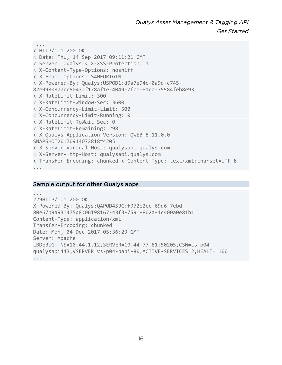```
 ... 
< HTTP/1.1 200 OK 
< Date: Thu, 14 Sep 2017 09:11:21 GMT 
< Server: Qualys < X-XSS-Protection: 1 
< X-Content-Type-Options: nosniff 
< X-Frame-Options: SAMEORIGIN 
< X-Powered-By: Qualys:USPOD1:d9a7e94c-0a9d-c745-
82e9980877cc5043:f178af1e-4049-7fce-81ca-75584feb8e93 
< X-RateLimit-Limit: 300 
< X-RateLimit-Window-Sec: 3600 
< X-Concurrency-Limit-Limit: 500 
< X-Concurrency-Limit-Running: 0 
< X-RateLimit-ToWait-Sec: 0 
< X-RateLimit-Remaining: 298 
< X-Qualys-Application-Version: QWEB-8.11.0.0-
SNAPSHOT20170914072818#4205 
< X-Server-Virtual-Host: qualysapi.qualys.com 
< X-Server-Http-Host: qualysapi.qualys.com 
< Transfer-Encoding: chunked < Content-Type: text/xml;charset=UTF-8 
...
```
### Sample output for other Qualys apps

```
... 
229HTTP/1.1 200 OK 
X-Powered-By: Qualys:QAPOD4SJC:f972e2cc-69d6-7ebd-
80e67b9a931475d8:06198167-43f3-7591-802a-1c400a0e81b1 
Content-Type: application/xml 
Transfer-Encoding: chunked 
Date: Mon, 04 Dec 2017 05:36:29 GMT 
Server: Apache 
LBDEBUG: NS=10.44.1.12,SERVER=10.44.77.81:50205,CSW=cs-p04-
qualysapi443,VSERVER=vs-p04-papi-80,ACTIVE-SERVICES=2,HEALTH=100 
...
```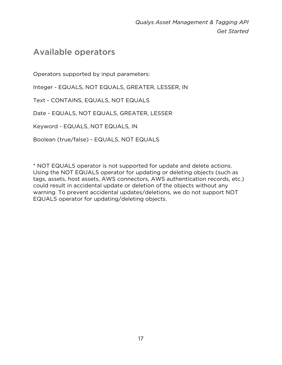# <span id="page-16-0"></span>Available operators

Operators supported by input parameters:

Integer - EQUALS, NOT EQUALS, GREATER, LESSER, IN

Text - CONTAINS, EQUALS, NOT EQUALS

Date - EQUALS, NOT EQUALS, GREATER, LESSER

Keyword - EQUALS, NOT EQUALS, IN

Boolean (true/false) - EQUALS, NOT EQUALS

\* NOT EQUALS operator is not supported for update and delete actions. Using the NOT EQUALS operator for updating or deleting objects (such as tags, assets, host assets, AWS connectors, AWS authentication records, etc.) could result in accidental update or deletion of the objects without any warning. To prevent accidental updates/deletions, we do not support NOT EQUALS operator for updating/deleting objects.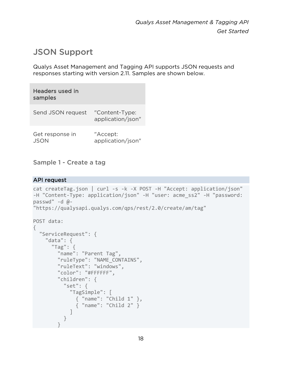# <span id="page-17-0"></span>JSON Support

Qualys Asset Management and Tagging API supports JSON requests and responses starting with version 2.11. Samples are shown below.

| Headers used in<br>samples |                                     |
|----------------------------|-------------------------------------|
| Send JSON request          | "Content-Type:<br>application/json" |
| Get response in            | "Accept:<br>application/json"       |

Sample 1 - Create a tag

### API request

```
cat createTag.json | curl -s -k -X POST -H "Accept: application/json" 
-H "Content-Type: application/json" -H "user: acme_ss2" -H "password: 
passwd" -d @- 
"https://qualysapi.qualys.com/qps/rest/2.0/create/am/tag" 
POST data: 
{ 
   "ServiceRequest": { 
     "data": { 
       "Tag": { 
         "name": "Parent Tag", 
         "ruleType": "NAME_CONTAINS", 
         "ruleText": "windows", 
         "color": "#FFFFFF", 
         "children": { 
            "set": { 
              "TagSimple": [ 
                { "name": "Child 1" }, 
               \overrightarrow{f} "name": "Child 2" \overrightarrow{f} ] 
 } 
 }
```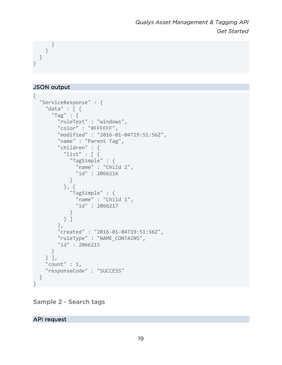} } } }

## JSON output

```
{ 
  "ServiceResponse" : { 
     "data" : [ { 
       "Tag" : { 
         "ruleText" : "windows", 
          "color" : "#FFFFFF", 
          "modified" : "2016-01-04T19:51:56Z", 
          "name" : "Parent Tag", 
          "children" : { 
            "list" : [ { 
              "TagSimple" : { 
                "name" : "Child 2", 
                "id" : 2066216 
              } 
            }, { 
              "TagSimple" : { 
               "name" : "Child 1", 
                "id" : 2066217 
              } 
           } ] 
          }, 
          "created" : "2016-01-04T19:51:56Z", 
         "ruleType" : "NAME_CONTAINS", 
         "id" : 2066215 
       } 
     } ], 
     "count" : 1, 
     "responseCode" : "SUCCESS" 
  } 
}
```
Sample 2 - Search tags

API request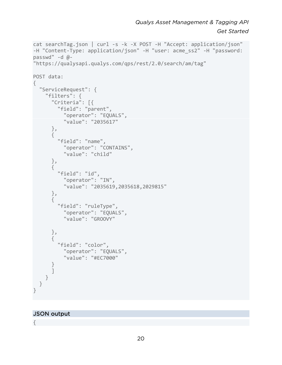*Qualys Asset Management & Tagging API Get Started*

```
cat searchTag.json | curl -s -k -X POST -H "Accept: application/json" 
-H "Content-Type: application/json" -H "user: acme_ss2" -H "password: 
passwd" -d @- 
"https://qualysapi.qualys.com/qps/rest/2.0/search/am/tag" 
POST data: 
{ 
   "ServiceRequest": { 
     "filters": { 
       "Criteria": [{ 
          "field": "parent", 
            "operator": "EQUALS", 
            "value": "2035617" 
       }, 
        { 
          "field": "name", 
            "operator": "CONTAINS", 
            "value": "child" 
       }, 
        { 
          "field": "id", 
            "operator": "IN", 
            "value": "2035619,2035618,2029815" 
       }, 
        { 
          "field": "ruleType", 
            "operator": "EQUALS", 
            "value": "GROOVY" 
       }, 
        { 
          "field": "color", 
            "operator": "EQUALS", 
            "value": "#EC7000" 
        } 
       ] 
    } 
   } 
}
```
### JSON output

{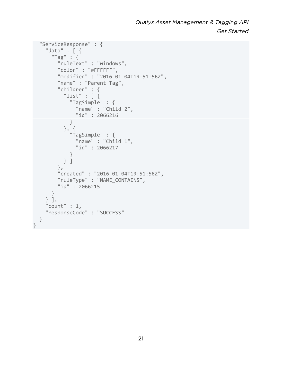```
 "ServiceResponse" : { 
     "data" : [ { 
        "Tag" : { 
          "ruleText" : "windows", 
          "color" : "#FFFFFF", 
          "modified" : "2016-01-04T19:51:56Z", 
          "name" : "Parent Tag", 
          "children" : { 
           "list" : \lceil \ \ \{ "TagSimple" : { 
                "name" : "Child 2", 
                 "id" : 2066216 
              } 
            }, { 
               "TagSimple" : { 
                "name" : "Child 1", 
                "id" : 2066217 
              } 
            } ] 
          }, 
          "created" : "2016-01-04T19:51:56Z", 
          "ruleType" : "NAME_CONTAINS", 
         "id" : 2066215 
       } 
     } ], 
     "count" : 1, 
     "responseCode" : "SUCCESS" 
   } 
}
```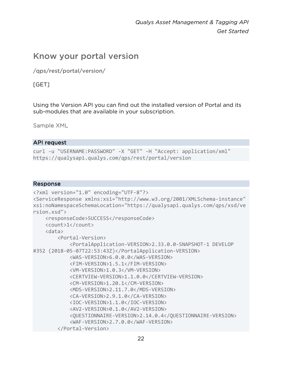# <span id="page-21-0"></span>Know your portal version

/qps/rest/portal/version/

[GET]

Using the Version API you can find out the installed version of Portal and its sub-modules that are available in your subscription.

Sample XML

### **API request**

```
curl -u "USERNAME:PASSWORD" -X "GET" -H "Accept: application/xml"
https://qualysapi.qualys.com/qps/rest/portal/version
```

```
<?xml version="1.0" encoding="UTF-8"?>
<ServiceResponse xmlns:xsi="http://www.w3.org/2001/XMLSchema-instance"
xsi:noNamespaceSchemaLocation="https://qualysapi.qualys.com/qps/xsd/ve
rsion.xsd"<responseCode>SUCCESS</responseCode>
    <count>1</count>
    <data><Portal-Version>
            <PortalApplication-VERSION>2.33.0.0-SNAPSHOT-1 DEVELOP
#352 (2018-05-07T22:53:43Z)</PortalApplication-VERSION>
            <WAS-VERSION>6.0.0.0</WAS-VERSION>
            <FIM-VERSION>1.5.1</FIM-VERSION>
            <VM-VERSION>1.0.3</VM-VERSION>
            <CERTVIEW-VERSION>1.1.0.0</CERTVIEW-VERSION>
            <CM-VERSION>1.20.1</CM-VERSION>
            <MDS-VERSION>2.11.7.0</MDS-VERSION>
            <CA-VERSION>2.9.1.0</CA-VERSION>
            <IOC-VERSION>1.1.0</IOC-VERSION>
            <AV2-VERSION>0.1.0</AV2-VERSION>
            <QUESTIONNAIRE-VERSION>2.14.0.4</QUESTIONNAIRE-VERSION>
            <WAF-VERSION>2.7.0.0</WAF-VERSION>
        </Portal-Version>
```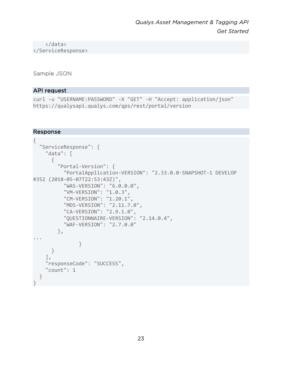</data> </ServiceResponse>

Sample JSON

### API request

```
curl -u "USERNAME:PASSWORD" -X "GET" -H "Accept: application/json" 
https://qualysapi.qualys.com/qps/rest/portal/version
```

```
{ 
   "ServiceResponse": { 
     "data": [ 
       { 
          "Portal-Version": { 
            "PortalApplication-VERSION": "2.33.0.0-SNAPSHOT-1 DEVELOP 
#352 (2018-05-07T22:53:43Z)", 
            "WAS-VERSION": "6.0.0.0", 
            "VM-VERSION": "1.0.3", 
            "CM-VERSION": "1.20.1", 
            "MDS-VERSION": "2.11.7.0", 
            "CA-VERSION": "2.9.1.0", 
            "QUESTIONNAIRE-VERSION": "2.14.0.4", 
            "WAF-VERSION": "2.7.0.0" 
         }, 
... 
 } 
       } 
     ], 
     "responseCode": "SUCCESS", 
     "count": 1 
   } 
}
```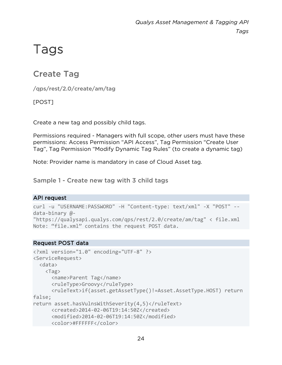# <span id="page-23-0"></span>Tags

# <span id="page-23-1"></span>Create Tag

/qps/rest/2.0/create/am/tag

[POST]

Create a new tag and possibly child tags.

Permissions required - Managers with full scope, other users must have these permissions: Access Permission "API Access", Tag Permission "Create User Tag", Tag Permission "Modify Dynamic Tag Rules" (to create a dynamic tag)

Note: Provider name is mandatory in case of Cloud Asset tag.

Sample 1 - Create new tag with 3 child tags

# API request

```
curl -u "USERNAME:PASSWORD" -H "Content-type: text/xml" -X "POST" --
data-binary @-
"https://qualysapi.qualys.com/qps/rest/2.0/create/am/tag" < file.xml 
Note: "file.xml" contains the request POST data.
```
# Request POST data

```
<?xml version="1.0" encoding="UTF-8" ?> 
<ServiceRequest> 
   <data> 
     <Tag> 
       <name>Parent Tag</name> 
       <ruleType>Groovy</ruleType> 
       <ruleText>if(asset.getAssetType()!=Asset.AssetType.HOST) return 
false; 
return asset.hasVulnsWithSeverity(4,5)</ruleText>
       <created>2014-02-06T19:14:50Z</created> 
       <modified>2014-02-06T19:14:50Z</modified> 
       <color>#FFFFFF</color>
```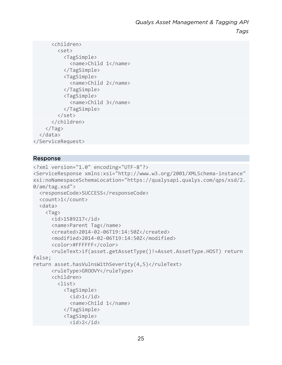```
 <children> 
          <set> 
             <TagSimple> 
               <name>Child 1</name> 
             </TagSimple> 
             <TagSimple> 
               <name>Child 2</name> 
             </TagSimple> 
             <TagSimple> 
               <name>Child 3</name> 
             </TagSimple> 
          </set> 
        </children> 
     </Tag> 
   </data> 
</ServiceRequest>
```

```
<?xml version="1.0" encoding="UTF-8"?> 
<ServiceResponse xmlns:xsi="http://www.w3.org/2001/XMLSchema-instance" 
xsi:noNamespaceSchemaLocation="https://qualysapi.qualys.com/qps/xsd/2.
0/am/tag.xsd"> 
   <responseCode>SUCCESS</responseCode> 
   <count>1</count> 
   <data> 
     <Tag> 
       <id>1589217</id> 
       <name>Parent Tag</name> 
       <created>2014-02-06T19:14:50Z</created> 
       <modified>2014-02-06T19:14:50Z</modified> 
       <color>#FFFFFF</color> 
       <ruleText>if(asset.getAssetType()!=Asset.AssetType.HOST) return 
false; 
return asset.hasVulnsWithSeverity(4,5)</ruleText>
       <ruleType>GROOVY</ruleType> 
       <children> 
         <list> 
           <TagSimple> 

             <name>Child 1</name> 
           </TagSimple> 
           <TagSimple>
```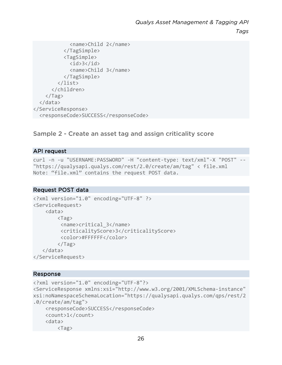```
 <name>Child 2</name> 
            </TagSimple> 
            <TagSimple> 

              <name>Child 3</name> 
            </TagSimple> 
          </list> 
       </children> 
    \langleTag\rangle </data> 
</ServiceResponse> 
   <responseCode>SUCCESS</responseCode>
```
## Sample 2 - Create an asset tag and assign criticality score

### API request

```
curl -n -u "USERNAME:PASSWORD" -H "content-type: text/xml"-X "POST" -- 
"https://qualysapi.qualys.com/rest/2.0/create/am/tag" < file.xml 
Note: "file.xml" contains the request POST data.
```
### Request POST data

```
<?xml version="1.0" encoding="UTF-8" ?> 
<ServiceRequest> 
     <data> 
          <Tag> 
           <name>critical_3</name> 
           <criticalityScore>3</criticalityScore> 
           <color>#FFFFFF</color> 
         \langleTag\rangle </data> 
</ServiceRequest>
```

```
<?xml version="1.0" encoding="UTF-8"?> 
<ServiceResponse xmlns:xsi="http://www.w3.org/2001/XMLSchema-instance" 
xsi:noNamespaceSchemaLocation="https://qualysapi.qualys.com/qps/rest/2
.0/create/am/tag"> 
     <responseCode>SUCCESS</responseCode> 
     <count>1</count> 
     <data> 
         <Tag>
```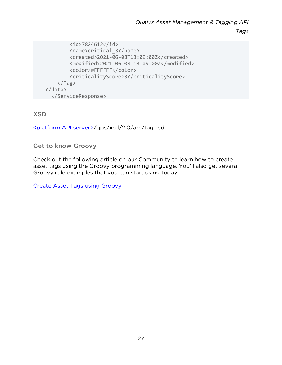```
 <id>7824612</id> 
          <name>critical_3</name> 
          <created>2021-06-08T13:09:00Z</created> 
          <modified>2021-06-08T13:09:00Z</modified> 
          <color>#FFFFFF</color> 
          <criticalityScore>3</criticalityScore> 
    \langleTag\rangle </data> 
   </ServiceResponse>
```
# XSD

[<platform API server>/](#page-8-0)qps/xsd/2.0/am/tag.xsd

Get to know Groovy

Check out the following article on our Community to learn how to create asset tags using the Groovy programming language. You'll also get several Groovy rule examples that you can start using today.

[Create Asset Tags using Groovy](https://community.qualys.com/docs/DOC-5463)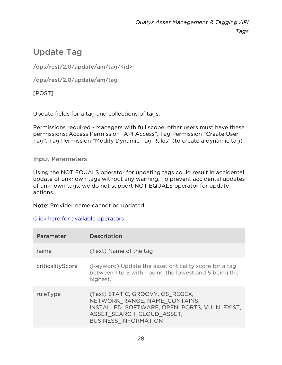# <span id="page-27-0"></span>Update Tag

/qps/rest/2.0/update/am/tag/<id>

/qps/rest/2.0/update/am/tag

[POST]

Update fields for a tag and collections of tags.

Permissions required - Managers with full scope, other users must have these permissions: Access Permission "API Access", Tag Permission "Create User Tag", Tag Permission "Modify Dynamic Tag Rules" (to create a dynamic tag)

Input Parameters

Using the NOT EQUALS operator for updating tags could result in accidental update of unknown tags without any warning. To prevent accidental updates of unknown tags, we do not support NOT EQUALS operator for update actions.

Note: Provider name cannot be updated.

[Click here for available operators](#page-16-0)

| Parameter        | Description                                                                                                                                                                   |
|------------------|-------------------------------------------------------------------------------------------------------------------------------------------------------------------------------|
| name             | (Text) Name of the tag                                                                                                                                                        |
| criticalityScore | (Keyword) Update the asset criticality score for a tag<br>between 1 to 5 with 1 being the lowest and 5 being the<br>highest.                                                  |
| ruleType         | (Text) STATIC, GROOVY, OS REGEX,<br>NETWORK RANGE, NAME CONTAINS,<br>INSTALLED SOFTWARE, OPEN PORTS, VULN EXIST,<br>ASSET SEARCH, CLOUD ASSET,<br><b>BUSINESS INFORMATION</b> |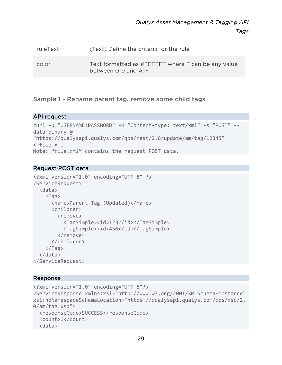| ruleText | (Text) Define the criteria for the rule                                   |
|----------|---------------------------------------------------------------------------|
| color    | Text formatted as #FFFFFF where F can be any value<br>between 0-9 and A-F |

Sample 1 - Rename parent tag, remove some child tags

### API request

```
curl -u "USERNAME:PASSWORD" -H "Content-type: text/xml" -X "POST" --
data-binary @- 
"https://qualysapi.qualys.com/qps/rest/2.0/update/am/tag/12345" 
< file.xml 
Note: "file.xml" contains the request POST data.
```
### Request POST data

```
<?xml version="1.0" encoding="UTF-8" ?> 
<ServiceRequest> 
   <data> 
     <Tag> 
        <name>Parent Tag (Updated)</name> 
        <children> 
          <remove> 
            <TagSimple><id>123</id></TagSimple> 
            <TagSimple><id>456</id></TagSimple> 
          </remove> 
        </children> 
    \langleTag\rangle </data> 
</ServiceRequest>
```

```
<?xml version="1.0" encoding="UTF-8"?> 
<ServiceResponse xmlns:xsi="http://www.w3.org/2001/XMLSchema-instance" 
xsi:noNamespaceSchemaLocation="https://qualysapi.qualys.com/qps/xsd/2.
0/am/tag.xsd"> 
   <responseCode>SUCCESS</responseCode> 
   <count>1</count> 
  <data>
```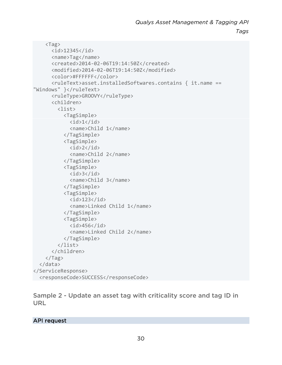```
 <Tag> 
        <id>12345</id> 
        <name>Tag</name> 
        <created>2014-02-06T19:14:50Z</created> 
        <modified>2014-02-06T19:14:50Z</modified> 
        <color>#FFFFFF</color> 
        <ruleText>asset.installedSoftwares.contains { it.name == 
"Windows" }</ruleText>
        <ruleType>GROOVY</ruleType> 
        <children> 
           <list> 
             <TagSimple> 
               \langle id \rangle 1 \langle /id \rangle <name>Child 1</name> 
             </TagSimple> 
             <TagSimple> 
               \langle id \rangle2\langle id \rangle <name>Child 2</name> 
             </TagSimple> 
             <TagSimple> 
               \langleid>3\langle/id>
                <name>Child 3</name> 
             </TagSimple> 
             <TagSimple> 
               \langleid>123\langleid>
                <name>Linked Child 1</name> 
             </TagSimple> 
             <TagSimple> 
               \langleid>456\langleid>
                <name>Linked Child 2</name> 
             </TagSimple> 
           </list> 
        </children> 
    \langleTag\rangle </data> 
</ServiceResponse> 
 <responseCode>SUCCESS</responseCode>
```
Sample 2 - Update an asset tag with criticality score and tag ID in URL

### API request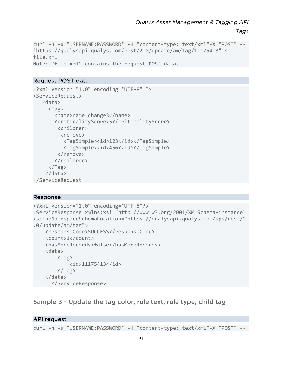```
curl -n -u "USERNAME:PASSWORD" -H "content-type: text/xml"-X "POST" -- 
"https://qualysapi.qualys.com/rest/2.0/update/am/tag/11175413" < 
file.xml 
Note: "file.xml" contains the request POST data.
```
### Request POST data

```
<?xml version="1.0" encoding="UTF-8" ?> 
<ServiceRequest> 
    <data> 
      <Tag> 
         <name>name change3</name> 
         <criticalityScore>5</criticalityScore> 
          <children> 
           <remove> 
            <TagSimple><id>123</id></TagSimple> 
            <TagSimple><id>456</id></TagSimple> 
          </remove> 
         </children> 
     \langle/Tag\rangle </data> 
</ServiceRequest
```
### Response

```
<?xml version="1.0" encoding="UTF-8"?> 
<ServiceResponse xmlns:xsi="http://www.w3.org/2001/XMLSchema-instance" 
xsi:noNamespaceSchemaLocation="https://qualysapi.qualys.com/qps/rest/2
.0/update/am/tag"> 
     <responseCode>SUCCESS</responseCode> 
     <count>1</count> 
     <hasMoreRecords>false</hasMoreRecords> 
     <data> 
         <Tag> 
             <id>11175413</id> 
         </Tag> 
     </data> 
       </ServiceResponse>
```
## Sample 3 - Update the tag color, rule text, rule type, child tag

### API request

curl -n -u "USERNAME:PASSWORD" -H "content-type: text/xml"-X "POST" --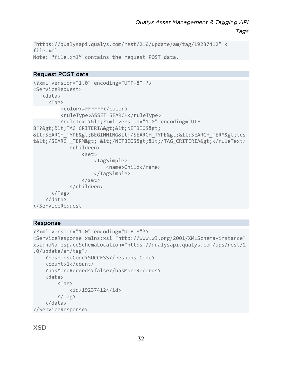*Tags*

```
"https://qualysapi.qualys.com/rest/2.0/update/am/tag/19237412" < 
file.xml 
Note: "file.xml" contains the request POST data.
```
## Request POST data

```
<?xml version="1.0" encoding="UTF-8" ?> 
<ServiceRequest> 
    <data> 
      <Tag> 
          <color>#FFFFFF</color> 
         <ruleType>ASSET_SEARCH</ruleType> 
         <ruleText>&lt; ?xml version="1.0" encoding="UTF-
8"?><TAG_CRITERIA&gt;&lt;NETBIOS&gt;
< SEARCH_TYPE&gt; BEGINNING&lt; / SEARCH_TYPE&gt; &lt; SEARCH_TERM&gt; tes
t</SEARCH_TERM&gt; &lt;/NETBIOS&gt;&lt;/TAG_CRITERIA&gt;</ruleText>
              <children> 
                  <set> 
                       <TagSimple> 
                           <name>Child</name> 
                       </TagSimple> 
                  </set> 
              </children> 
      \langleTag\rangle </data> 
</ServiceRequest
```

```
<?xml version="1.0" encoding="UTF-8"?> 
<ServiceResponse xmlns:xsi="http://www.w3.org/2001/XMLSchema-instance" 
xsi:noNamespaceSchemaLocation="https://qualysapi.qualys.com/qps/rest/2
.0/update/am/tag"> 
     <responseCode>SUCCESS</responseCode> 
     <count>1</count> 
     <hasMoreRecords>false</hasMoreRecords> 
     <data> 
         <Tag> 
              <id>19237412</id> 
        \langleTag\rangle </data> 
</ServiceResponse>
```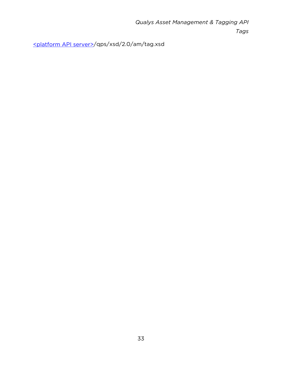[<platform API server>/](#page-8-0)qps/xsd/2.0/am/tag.xsd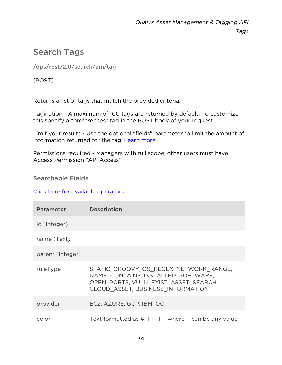# <span id="page-33-0"></span>Search Tags

/qps/rest/2.0/search/am/tag

[POST]

Returns a list of tags that match the provided criteria.

Pagination - A maximum of 100 tags are returned by default. To customize this specify a "preferences" tag in the POST body of your request.

Limit your results - Use the optional "fields" parameter to limit the amount of information returned for the tag. [Learn more](#page-10-0)

Permissions required - Managers with full scope, other users must have Access Permission "API Access"

Searchable Fields

## [Click here for available operators](#page-16-0)

| Parameter        | <b>Description</b>                                                                                                                                           |
|------------------|--------------------------------------------------------------------------------------------------------------------------------------------------------------|
| id (Integer)     |                                                                                                                                                              |
| name (Text)      |                                                                                                                                                              |
| parent (Integer) |                                                                                                                                                              |
| ruleType         | STATIC, GROOVY, OS REGEX, NETWORK RANGE,<br>NAME CONTAINS, INSTALLED SOFTWARE,<br>OPEN PORTS, VULN EXIST, ASSET SEARCH,<br>CLOUD ASSET, BUSINESS INFORMATION |
| provider         | EC2, AZURE, GCP, IBM, OCI                                                                                                                                    |
| color            | Text formatted as #FFFFFF where F can be any value                                                                                                           |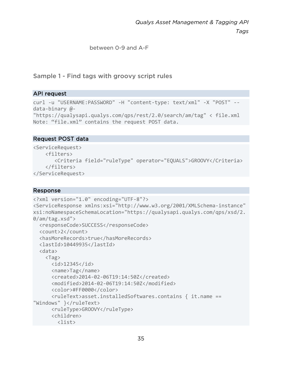*Tags*

between 0-9 and A-F

Sample 1 - Find tags with groovy script rules

## API request

```
curl -u "USERNAME:PASSWORD" -H "content-type: text/xml" -X "POST" --
data-binary @- 
"https://qualysapi.qualys.com/qps/rest/2.0/search/am/tag" < file.xml 
Note: "file.xml" contains the request POST data.
```
## Request POST data

```
<ServiceRequest> 
     <filters> 
        <Criteria field="ruleType" operator="EQUALS">GROOVY</Criteria> 
     </filters> 
</ServiceRequest>
```

```
<?xml version="1.0" encoding="UTF-8"?> 
<ServiceResponse xmlns:xsi="http://www.w3.org/2001/XMLSchema-instance" 
xsi:noNamespaceSchemaLocation="https://qualysapi.qualys.com/qps/xsd/2.
0/am/tag.xsd"> 
   <responseCode>SUCCESS</responseCode> 
   <count>2</count> 
   <hasMoreRecords>true</hasMoreRecords> 
   <lastId>10449935</lastId> 
   <data> 
     <Tag> 
       <id>12345</id> 
       <name>Tag</name> 
       <created>2014-02-06T19:14:50Z</created> 
       <modified>2014-02-06T19:14:50Z</modified> 
       <color>#FF0000</color> 
       <ruleText>asset.installedSoftwares.contains { it.name == 
"Windows" }</ruleText>
       <ruleType>GROOVY</ruleType> 
       <children> 
         <list>
```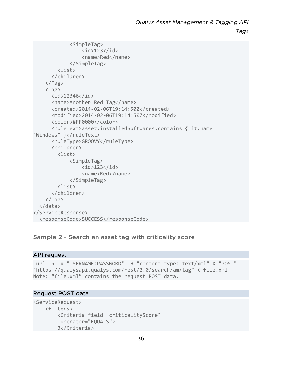*Tags*

```
 <SimpleTag> 
                   \langleid>123\langleid>
                    <name>Red</name> 
               </SimpleTag> 
          <list> 
        </children> 
    \langle/Tag\rangle <Tag> 
        <id>12346</id> 
        <name>Another Red Tag</name> 
        <created>2014-02-06T19:14:50Z</created> 
        <modified>2014-02-06T19:14:50Z</modified> 
        <color>#FF0000</color> 
        <ruleText>asset.installedSoftwares.contains { it.name == 
"Windows" }</ruleText>
        <ruleType>GROOVY</ruleType> 
        <children> 
          <list> 
               <SimpleTag> 
                   \langleid>123\langleid>
                    <name>Red</name> 
               </SimpleTag> 
          <list> 
        </children> 
    \langle/Tag\rangle </data> 
</ServiceResponse> 
 <responseCode>SUCCESS</responseCode>
```
## Sample 2 - Search an asset tag with criticality score

### API request

```
curl -n -u "USERNAME:PASSWORD" -H "content-type: text/xml"-X "POST" -- 
"https://qualysapi.qualys.com/rest/2.0/search/am/tag" < file.xml 
Note: "file.xml" contains the request POST data.
```
### Request POST data

```
<ServiceRequest> 
     <filters> 
         <Criteria field="criticalityScore" 
          operator="EQUALS"> 
         3</Criteria>
```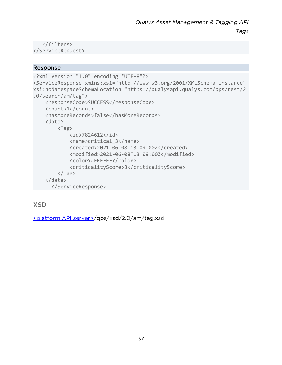```
 </filters> 
</ServiceRequest>
```
# Response

```
<?xml version="1.0" encoding="UTF-8"?> 
<ServiceResponse xmlns:xsi="http://www.w3.org/2001/XMLSchema-instance" 
xsi:noNamespaceSchemaLocation="https://qualysapi.qualys.com/qps/rest/2
.0/search/am/tag"> 
     <responseCode>SUCCESS</responseCode> 
     <count>1</count> 
     <hasMoreRecords>false</hasMoreRecords> 
     <data> 
         <Tag> 
              <id>7824612</id> 
              <name>critical_3</name> 
              <created>2021-06-08T13:09:00Z</created> 
              <modified>2021-06-08T13:09:00Z</modified> 
              <color>#FFFFFF</color> 
              <criticalityScore>3</criticalityScore> 
        \langleTag\rangle </data> 
       </ServiceResponse>
```
XSD

[<platform API server>/](#page-8-0)qps/xsd/2.0/am/tag.xsd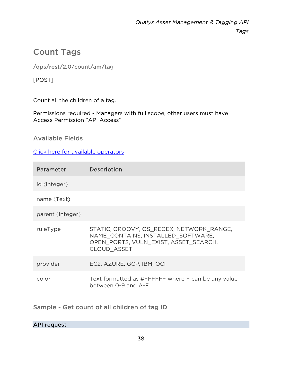# Count Tags

/qps/rest/2.0/count/am/tag

[POST]

Count all the children of a tag.

Permissions required - Managers with full scope, other users must have Access Permission "API Access"

Available Fields

[Click here for available operators](#page-16-0)

| Parameter        | <b>Description</b>                                                                                                                            |
|------------------|-----------------------------------------------------------------------------------------------------------------------------------------------|
| id (Integer)     |                                                                                                                                               |
| name (Text)      |                                                                                                                                               |
| parent (Integer) |                                                                                                                                               |
| ruleType         | STATIC, GROOVY, OS REGEX, NETWORK RANGE,<br>NAME CONTAINS, INSTALLED SOFTWARE,<br>OPEN PORTS, VULN EXIST, ASSET SEARCH,<br><b>CLOUD ASSET</b> |
| provider         | EC2, AZURE, GCP, IBM, OCI                                                                                                                     |
| color            | Text formatted as #FFFFFF where F can be any value<br>between 0-9 and A-F                                                                     |

Sample - Get count of all children of tag ID

# API request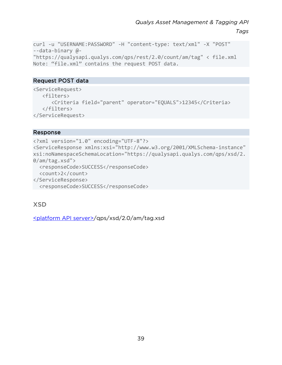*Tags*

```
curl -u "USERNAME:PASSWORD" -H "content-type: text/xml" -X "POST" 
--data-binary @- 
"https://qualysapi.qualys.com/qps/rest/2.0/count/am/tag" < file.xml 
Note: "file.xml" contains the request POST data.
```
# Request POST data

```
<ServiceRequest> 
    <filters> 
       <Criteria field="parent" operator="EQUALS">12345</Criteria> 
    </filters> 
</ServiceRequest>
```
# Response

<?xml version="1.0" encoding="UTF-8"?> <ServiceResponse xmlns:xsi="http://www.w3.org/2001/XMLSchema-instance" xsi:noNamespaceSchemaLocation="https://qualysapi.qualys.com/qps/xsd/2. 0/am/tag.xsd"> <responseCode>SUCCESS</responseCode> <count>2</count> </ServiceResponse> <responseCode>SUCCESS</responseCode>

XSD

[<platform API server>/](#page-8-0)qps/xsd/2.0/am/tag.xsd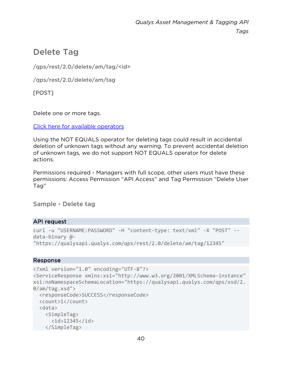# Delete Tag

/qps/rest/2.0/delete/am/tag/<id>

/qps/rest/2.0/delete/am/tag

[POST]

Delete one or more tags.

[Click here for available operators](#page-16-0)

Using the NOT EQUALS operator for deleting tags could result in accidental deletion of unknown tags without any warning. To prevent accidental deletion of unknown tags, we do not support NOT EQUALS operator for delete actions.

Permissions required - Managers with full scope, other users must have these permissions: Access Permission "API Access" and Tag Permission "Delete User Tag"

Sample - Delete tag

# API request

```
curl -u "USERNAME:PASSWORD" -H "content-type: text/xml" -X "POST" --
data-binary @- 
"https://qualysapi.qualys.com/qps/rest/2.0/delete/am/tag/12345"
```

```
<?xml version="1.0" encoding="UTF-8"?> 
<ServiceResponse xmlns:xsi="http://www.w3.org/2001/XMLSchema-instance" 
xsi:noNamespaceSchemaLocation="https://qualysapi.qualys.com/qps/xsd/2.
0/am/tag.xsd"> 
   <responseCode>SUCCESS</responseCode> 
   <count>1</count> 
   <data> 
     <SimpleTag> 
       <id>12345</id> 
     </SimpleTag>
```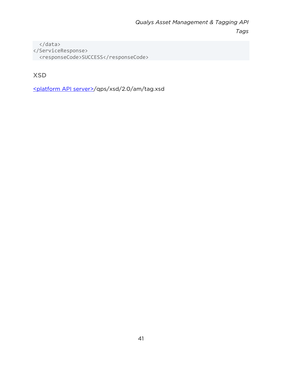</data> </ServiceResponse> <responseCode>SUCCESS</responseCode>

# XSD

[<platform API server>/](#page-8-0)qps/xsd/2.0/am/tag.xsd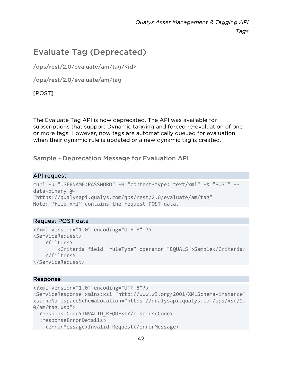# Evaluate Tag (Deprecated)

/qps/rest/2.0/evaluate/am/tag/<id>

/qps/rest/2.0/evaluate/am/tag

[POST]

The Evaluate Tag API is now deprecated. The API was available for subscriptions that support Dynamic tagging and forced re-evaluation of one or more tags. However, now tags are automatically queued for evaluation when their dynamic rule is updated or a new dynamic tag is created.

Sample - Deprecation Message for Evaluation API

# API request

```
curl -u "USERNAME:PASSWORD" -H "content-type: text/xml" -X "POST" --
data-binary @- 
"https://qualysapi.qualys.com/qps/rest/2.0/evaluate/am/tag" 
Note: "file.xml" contains the request POST data.
```
# Request POST data

```
<?xml version="1.0" encoding="UTF-8" ?> 
<ServiceRequest> 
     <filters> 
         <Criteria field="ruleType" operator="EQUALS">Sample</Criteria> 
     </filters> 
</ServiceRequest>
```

```
<?xml version="1.0" encoding="UTF-8"?> 
<ServiceResponse xmlns:xsi="http://www.w3.org/2001/XMLSchema-instance" 
xsi:noNamespaceSchemaLocation="https://qualysapi.qualys.com/qps/xsd/2.
0/am/tag.xsd"> 
  <responseCode>INVALID_REQUEST</responseCode>
   <responseErrorDetails> 
     <errorMessage>Invalid Request</errorMessage>
```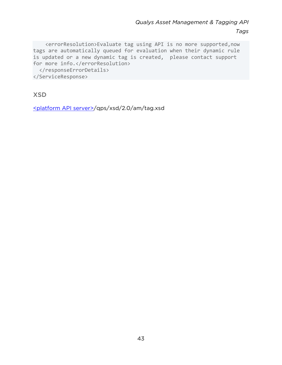<errorResolution>Evaluate tag using API is no more supported,now tags are automatically queued for evaluation when their dynamic rule is updated or a new dynamic tag is created, please contact support for more info.</errorResolution>

 </responseErrorDetails> </ServiceResponse>

XSD

[<platform API server>/](#page-8-0)qps/xsd/2.0/am/tag.xsd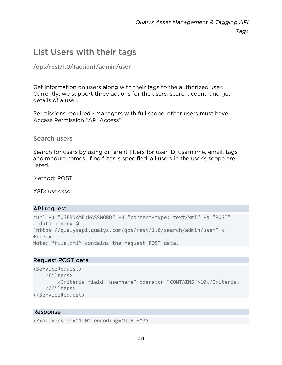# List Users with their tags

# /qps/rest/1.0/{action}/admin/user

Get information on users along with their tags to the authorized user. Currently, we support three actions for the users: search, count, and get details of a user.

Permissions required - Managers with full scope, other users must have Access Permission "API Access"

Search users

Search for users by using different filters for user ID, username, email, tags, and module names. If no filter is specified, all users in the user's scope are listed.

Method: POST

XSD: user.xsd

#### API request

```
curl -u "USERNAME:PASSWORD" -H "content-type: text/xml" -X "POST" 
--data-binary @- 
"https://qualysapi.qualys.com/qps/rest/1.0/search/admin/user" < 
file.xml 
Note: "file.xml" contains the request POST data.
```
# Request POST data

```
<ServiceRequest> 
     <filters> 
         <Criteria field="username" operator="CONTAINS">10</Criteria> 
     </filters> 
</ServiceRequest>
```

```
<?xml version="1.0" encoding="UTF-8"?>
```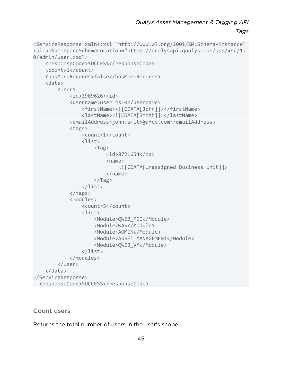*Tags*

```
<ServiceResponse xmlns:xsi="http://www.w3.org/2001/XMLSchema-instance" 
xsi:noNamespaceSchemaLocation="https://qualysapi.qualys.com/qps/xsd/1.
0/admin/user.xsd"> 
     <responseCode>SUCCESS</responseCode> 
     <count>1</count> 
     <hasMoreRecords>false</hasMoreRecords> 
     <data> 
          <User> 
              <id>3989626</id> 
              <username>user_js10</username> 
                   <firstName><![CDATA[John]]></firstName> 
                   <lastName><![CDATA[Smith]]></lastName> 
              <emailAddress>john.smith@afco.com</emailAddress> 
              <tags> 
                   <count>1</count> 
                   <list> 
                       <Tag> 
                            <id>8721654</id> 
                            <name> 
                                <![CDATA[Unassigned Business Unit]]> 
                            </name> 
                      \langleTag\rangle </list> 
              </tags> 
              <modules> 
                   <count>5</count> 
                   <list> 
                       <Module>QWEB_PCI</Module> 
                       <Module>WAS</Module> 
                       <Module>ADMIN</Module> 
                       <Module>ASSET_MANAGEMENT</Module> 
                       <Module>QWEB_VM</Module> 
                   </list> 
              </modules> 
          </User> 
     </data> 
</ServiceResponse> 
   <responseCode>SUCCESS</responseCode>
```
### Count users

Returns the total number of users in the user's scope.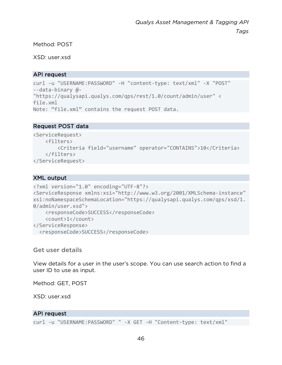Method: POST

XSD: user.xsd

# API request

```
curl -u "USERNAME:PASSWORD" -H "content-type: text/xml" -X "POST" 
--data-binary @- 
"https://qualysapi.qualys.com/qps/rest/1.0/count/admin/user" < 
file.xml 
Note: "file.xml" contains the request POST data.
```
# Request POST data

```
<ServiceRequest> 
     <filters> 
         <Criteria field="username" operator="CONTAINS">10</Criteria> 
     </filters> 
</ServiceRequest>
```
# XML output

```
<?xml version="1.0" encoding="UTF-8"?> 
<ServiceResponse xmlns:xsi="http://www.w3.org/2001/XMLSchema-instance" 
xsi:noNamespaceSchemaLocation="https://qualysapi.qualys.com/qps/xsd/1.
0/admin/user.xsd"> 
     <responseCode>SUCCESS</responseCode> 
     <count>1</count> 
</ServiceResponse> 
 <responseCode>SUCCESS</responseCode>
```
Get user details

View details for a user in the user's scope. You can use search action to find a user ID to use as input.

Method: GET, POST

XSD: user.xsd

# API request

curl -u "USERNAME:PASSWORD" " -X GET -H "Content-type: text/xml"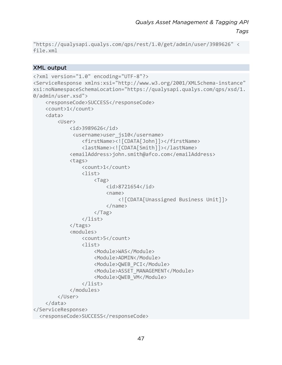*Tags*

```
"https://qualysapi.qualys.com/qps/rest/1.0/get/admin/user/3989626" < 
file.xml
```
# XML output

```
<?xml version="1.0" encoding="UTF-8"?> 
<ServiceResponse xmlns:xsi="http://www.w3.org/2001/XMLSchema-instance" 
xsi:noNamespaceSchemaLocation="https://qualysapi.qualys.com/qps/xsd/1.
0/admin/user.xsd"> 
     <responseCode>SUCCESS</responseCode> 
     <count>1</count> 
     <data> 
         <User> 
              <id>3989626</id> 
               <username>user_js10</username> 
                  <firstName><![CDATA[John]]></firstName> 
                  <lastName><![CDATA[Smith]]></lastName> 
              <emailAddress>john.smith@afco.com</emailAddress> 
              <tags> 
                  <count>1</count> 
                  <list> 
                       <Tag> 
                           <id>8721654</id> 
                          <name> <![CDATA[Unassigned Business Unit]]> 
                           </name> 
                       </Tag> 
                  </list> 
              </tags> 
              <modules> 
                  <count>5</count> 
                  <list> 
                       <Module>WAS</Module> 
                       <Module>ADMIN</Module> 
                       <Module>QWEB_PCI</Module> 
                       <Module>ASSET_MANAGEMENT</Module> 
                       <Module>QWEB_VM</Module> 
                  </list> 
              </modules> 
         </User> 
     </data> 
</ServiceResponse> 
 <responseCode>SUCCESS</responseCode>
```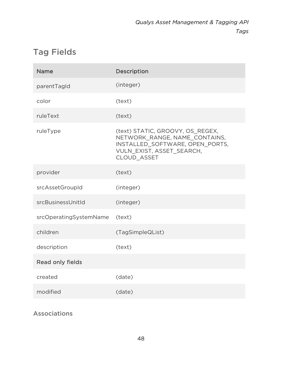# Tag Fields

| <b>Name</b>            | Description                                                                                                                                      |
|------------------------|--------------------------------------------------------------------------------------------------------------------------------------------------|
| parentTagId            | (integer)                                                                                                                                        |
| color                  | (text)                                                                                                                                           |
| ruleText               | (text)                                                                                                                                           |
| ruleType               | (text) STATIC, GROOVY, OS_REGEX,<br>NETWORK_RANGE, NAME_CONTAINS,<br>INSTALLED SOFTWARE, OPEN PORTS,<br>VULN_EXIST, ASSET_SEARCH,<br>CLOUD ASSET |
| provider               | (text)                                                                                                                                           |
| srcAssetGroupId        | (integer)                                                                                                                                        |
| srcBusinessUnitId      | (integer)                                                                                                                                        |
| srcOperatingSystemName | (text)                                                                                                                                           |
| children               | (TagSimpleQList)                                                                                                                                 |
| description            | (text)                                                                                                                                           |
| Read only fields       |                                                                                                                                                  |
| created                | (date)                                                                                                                                           |
| modified               | (date)                                                                                                                                           |

Associations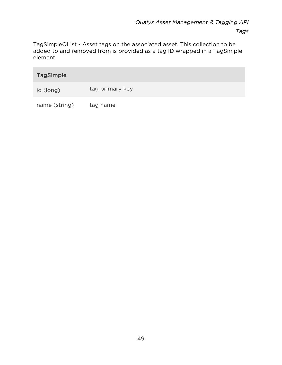TagSimpleQList - Asset tags on the associated asset. This collection to be added to and removed from is provided as a tag ID wrapped in a TagSimple element

| <b>TagSimple</b> |                 |
|------------------|-----------------|
| id (long)        | tag primary key |
| name (string)    | tag name        |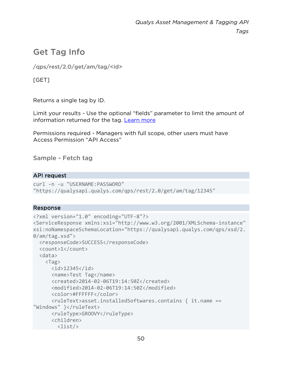# Get Tag Info

/qps/rest/2.0/get/am/tag/<id>

[GET]

Returns a single tag by ID.

Limit your results - Use the optional "fields" parameter to limit the amount of information returned for the tag. [Learn more](#page-10-0)

Permissions required - Managers with full scope, other users must have Access Permission "API Access"

Sample - Fetch tag

# API request

curl -n -u "USERNAME:PASSWORD" "https://qualysapi.qualys.com/qps/rest/2.0/get/am/tag/12345"

```
<?xml version="1.0" encoding="UTF-8"?> 
<ServiceResponse xmlns:xsi="http://www.w3.org/2001/XMLSchema-instance" 
xsi:noNamespaceSchemaLocation="https://qualysapi.qualys.com/qps/xsd/2.
0/am/tag.xsd"> 
   <responseCode>SUCCESS</responseCode> 
   <count>1</count> 
   <data> 
     <Tag> 
       <id>12345</id> 
       <name>Test Tag</name> 
       <created>2014-02-06T19:14:50Z</created> 
       <modified>2014-02-06T19:14:50Z</modified> 
       <color>#FFFFFF</color> 
       <ruleText>asset.installedSoftwares.contains { it.name == 
"Windows" }</ruleText>
       <ruleType>GROOVY</ruleType> 
       <children> 
         <list/>
```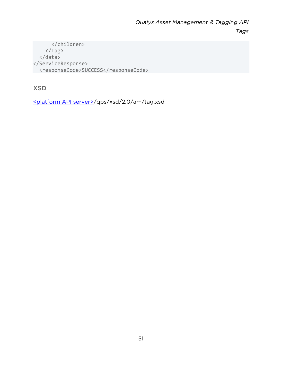</children> </Tag> </data> </ServiceResponse> <responseCode>SUCCESS</responseCode>

XSD

[<platform API server>/](#page-8-0)qps/xsd/2.0/am/tag.xsd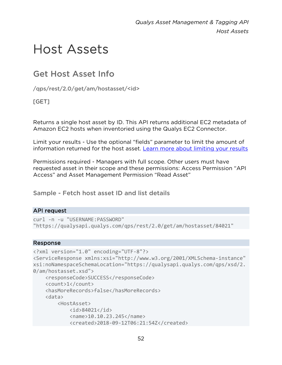# Host Assets

# Get Host Asset Info

/qps/rest/2.0/get/am/hostasset/<id>

# [GET]

Returns a single host asset by ID. This API returns additional EC2 metadata of Amazon EC2 hosts when inventoried using the Qualys EC2 Connector.

Limit your results - Use the optional "fields" parameter to limit the amount of information returned for the host asset. [Learn more about limiting your results](#page-10-0)

Permissions required - Managers with full scope. Other users must have requested asset in their scope and these permissions: Access Permission "API Access" and Asset Management Permission "Read Asset"

# Sample - Fetch host asset ID and list details

# API request

```
curl -n -u "USERNAME:PASSWORD" 
"https://qualysapi.qualys.com/qps/rest/2.0/get/am/hostasset/84021"
```

```
<?xml version="1.0" encoding="UTF-8"?> 
<ServiceResponse xmlns:xsi="http://www.w3.org/2001/XMLSchema-instance" 
xsi:noNamespaceSchemaLocation="https://qualysapi.qualys.com/qps/xsd/2.
0/am/hostasset.xsd"> 
     <responseCode>SUCCESS</responseCode> 
     <count>1</count> 
     <hasMoreRecords>false</hasMoreRecords> 
     <data> 
         <HostAsset> 
             <id>84021</id> 
             <name>10.10.23.245</name> 
             <created>2018-09-12T06:21:54Z</created>
```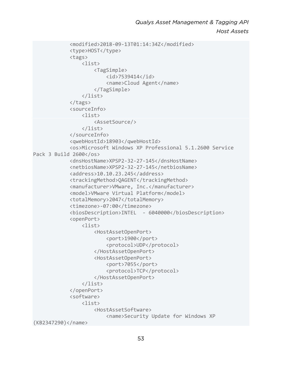```
 <modified>2018-09-13T01:14:34Z</modified> 
              <type>HOST</type> 
              <tags> 
                   <list> 
                       <TagSimple> 
                            <id>7539414</id> 
                            <name>Cloud Agent</name> 
                       </TagSimple> 
                   </list> 
              </tags> 
              <sourceInfo> 
                   <list> 
                       <AssetSource/> 
                   </list> 
              </sourceInfo> 
              <qwebHostId>18903</qwebHostId> 
              <os>Microsoft Windows XP Professional 5.1.2600 Service 
Pack 3 Build 2600</os> 
              <dnsHostName>XPSP2-32-27-145</dnsHostName> 
              <netbiosName>XPSP2-32-27-145</netbiosName> 
              <address>10.10.23.245</address> 
              <trackingMethod>QAGENT</trackingMethod> 
              <manufacturer>VMware, Inc.</manufacturer> 
              <model>VMware Virtual Platform</model> 
              <totalMemory>2047</totalMemory> 
              <timezone>-07:00</timezone> 
              <biosDescription>INTEL - 6040000</biosDescription> 
              <openPort> 
                   <list> 
                       <HostAssetOpenPort> 
                            <port>1900</port> 
                            <protocol>UDP</protocol> 
                       </HostAssetOpenPort> 
                       <HostAssetOpenPort> 
                            <port>7055</port> 
                            <protocol>TCP</protocol> 
                       </HostAssetOpenPort> 
                   </list> 
              </openPort> 
              <software> 
                  \langlelist\rangle <HostAssetSoftware> 
                            <name>Security Update for Windows XP 
(KB2347290)</name>
```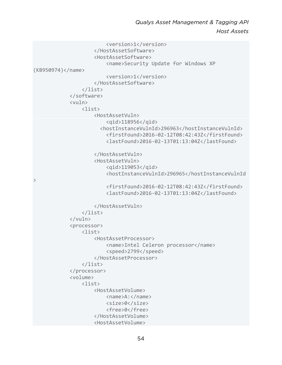*Qualys Asset Management & Tagging API Host Assets*

```
 <version>1</version> 
                        </HostAssetSoftware> 
                        <HostAssetSoftware> 
                            <name>Security Update for Windows XP 
(KB950974)</name> 
                            <version>1</version> 
                        </HostAssetSoftware> 
                   </list> 
              </software> 
              <vuln> 
                  \langlelist\rangle <HostAssetVuln> 
                            <qid>118956</qid> 
                          <hostInstanceVulnId>296963</hostInstanceVulnId> 
                            <firstFound>2016-02-12T08:42:43Z</firstFound> 
                            <lastFound>2016-02-13T01:13:04Z</lastFound> 
                        </HostAssetVuln> 
                        <HostAssetVuln> 
                            <qid>119053</qid> 
                            <hostInstanceVulnId>296965</hostInstanceVulnId
> 
                            <firstFound>2016-02-12T08:42:43Z</firstFound> 
                            <lastFound>2016-02-13T01:13:04Z</lastFound> 
                        </HostAssetVuln> 
                   </list> 
              </vuln> 
              <processor> 
                  \langlelist\rangle <HostAssetProcessor> 
                            <name>Intel Celeron processor</name> 
                            <speed>2799</speed> 
                        </HostAssetProcessor> 
                   </list> 
              </processor> 
              <volume> 
                  \langlelist\rangle <HostAssetVolume> 
                            <name>A:</name> 
                            <size>0</size> 
                            <free>0</free> 
                        </HostAssetVolume> 
                        <HostAssetVolume>
```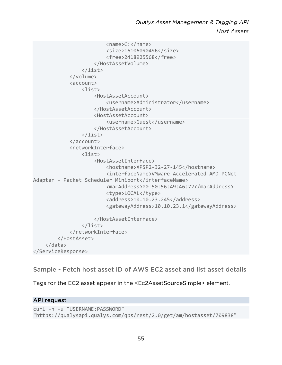```
 <name>C:</name> 
                           <size>16106090496</size> 
                           <free>2418925568</free> 
                       </HostAssetVolume> 
                  </list> 
              </volume> 
              <account> 
                  <list> 
                       <HostAssetAccount> 
                           <username>Administrator</username> 
                       </HostAssetAccount> 
                       <HostAssetAccount> 
                           <username>Guest</username> 
                       </HostAssetAccount> 
                  </list> 
              </account> 
              <networkInterface> 
                  <list> 
                       <HostAssetInterface> 
                           <hostname>XPSP2-32-27-145</hostname> 
                           <interfaceName>VMware Accelerated AMD PCNet 
Adapter - Packet Scheduler Miniport</interfaceName>
                           <macAddress>00:50:56:A9:46:72</macAddress> 
                           <type>LOCAL</type> 
                           <address>10.10.23.245</address> 
                           <gatewayAddress>10.10.23.1</gatewayAddress> 
                       </HostAssetInterface> 
                  </list> 
              </networkInterface> 
          </HostAsset> 
     </data> 
</ServiceResponse>
```
Sample - Fetch host asset ID of AWS EC2 asset and list asset details

Tags for the EC2 asset appear in the <Ec2AssetSourceSimple> element.

# API request

```
curl -n -u "USERNAME:PASSWORD" 
"https://qualysapi.qualys.com/qps/rest/2.0/get/am/hostasset/709838"
```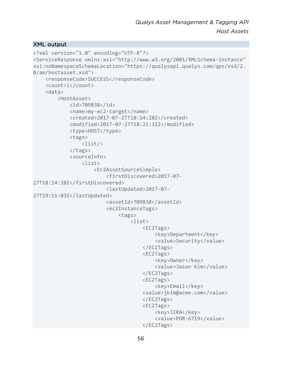### XML output

```
<?xml version="1.0" encoding="UTF-8"?> 
<ServiceResponse xmlns:xsi="http://www.w3.org/2001/XMLSchema-instance" 
xsi:noNamespaceSchemaLocation="https://qualysapi.qualys.com/qps/xsd/2.
0/am/hostasset.xsd"> 
     <responseCode>SUCCESS</responseCode> 
     <count>1</count> 
     <data> 
          <HostAsset> 
             <id>709838</id>
              <name>my-ec2-target</name> 
              <created>2017-07-27T18:14:28Z</created> 
              <modified>2017-07-27T18:21:31Z</modified> 
              <type>HOST</type> 
              <tags> 
                   <list/> 
              </tags> 
              <sourceInfo> 
                  \langlelist\rangle <Ec2AssetSourceSimple> 
                            <firstDiscovered>2017-07-
27T18:14:28Z</firstDiscovered> 
                            <lastUpdated>2017-07-
27T19:51:03Z</lastUpdated> 
                            <assetId>709838</assetId> 
                            <ec2InstanceTags> 
                                <tags> 
                                     <list> 
                                         <EC2Tags> 
                                              <key>Department</key> 
                                              <value>Security</value> 
                                         </EC2Tags> 
                                         <EC2Tags> 
                                              <key>Owner</key> 
                                              <value>Jason Kim</value> 
                                         </EC2Tags> 
                                         <EC2Tags> 
                                              <key>Email</key> 
                                         <value>jkim@acme.com</value> 
                                         </EC2Tags> 
                                         <EC2Tags> 
                                              <key>JIRA</key> 
                                              <value>POR-6719</value> 
                                         </EC2Tags>
```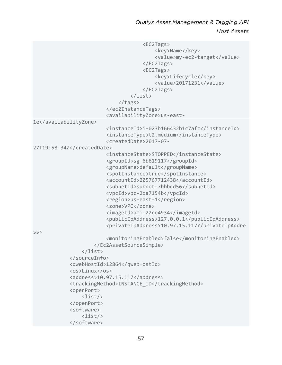*Qualys Asset Management & Tagging API Host Assets*

 <EC2Tags> <key>Name</key> <value>my-ec2-target</value> </EC2Tags> <EC2Tags> <key>Lifecycle</key> <value>20171231</value> </EC2Tags> </list> </tags> </ec2InstanceTags> <availabilityZone>us-east-1e</availabilityZone> <instanceId>i-023b166432b1c7afc</instanceId> <instanceType>t2.medium</instanceType> <createdDate>2017-07- 27T19:58:34Z</createdDate> <instanceState>STOPPED</instanceState> <groupId>sg-6b619117</groupId> <groupName>default</groupName> <spotInstance>true</spotInstance> <accountId>205767712438</accountId> <subnetId>subnet-7bbbcd56</subnetId> <vpcId>vpc-2da7154b</vpcId> <region>us-east-1</region> <zone>VPC</zone> <imageId>ami-22ce4934</imageId> <publicIpAddress>127.0.0.1</publicIpAddress> <privateIpAddress>10.97.15.117</privateIpAddre ss> <monitoringEnabled>false</monitoringEnabled> </Ec2AssetSourceSimple> </list> </sourceInfo> <qwebHostId>12864</qwebHostId> <os>Linux</os> <address>10.97.15.117</address> <trackingMethod>INSTANCE\_ID</trackingMethod> <openPort> <list/> </openPort> <software> <list/> </software>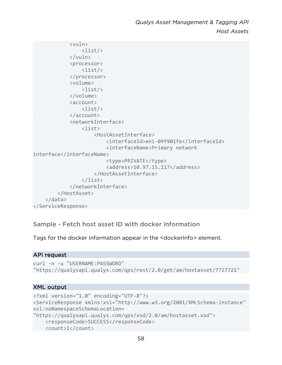```
 <vuln> 
                   <list/> 
               </vuln> 
               <processor> 
                   <list/> 
               </processor> 
               <volume> 
                   <list/> 
               </volume> 
               <account> 
                   <list/> 
               </account> 
               <networkInterface> 
                   <list> 
                        <HostAssetInterface> 
                             <interfaceId>eni-09f901fe</interfaceId> 
                             <interfaceName>Primary network 
interface</interfaceName> 
                             <type>PRIVATE</type> 
                             <address>10.97.15.117</address> 
                        </HostAssetInterface> 
                   </list> 
               </networkInterface> 
          </HostAsset> 
     </data> 
</ServiceResponse>
```
Sample - Fetch host asset ID with docker information

Tags for the docker information appear in the <dockerInfo> element.

# API request

```
curl -n -u "USERNAME:PASSWORD" 
"https://qualysapi.qualys.com/qps/rest/2.0/get/am/hostasset/7727721"
```
#### XML output

```
<?xml version="1.0" encoding="UTF-8"?> 
<ServiceResponse xmlns:xsi="http://www.w3.org/2001/XMLSchema-instance" 
xsi:noNamespaceSchemaLocation= 
"https://qualysapi.qualys.com/qps/xsd/2.0/am/hostasset.xsd"> 
     <responseCode>SUCCESS</responseCode> 
     <count>1</count>
```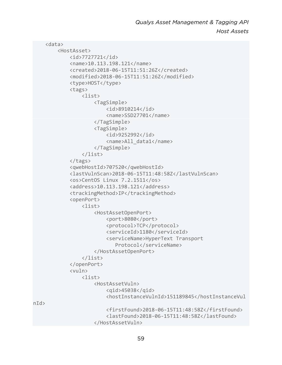```
 <data> 
          <HostAsset> 
              <id>7727721</id> 
              <name>10.113.198.121</name> 
              <created>2018-06-15T11:51:26Z</created> 
              <modified>2018-06-15T11:51:26Z</modified> 
              <type>HOST</type> 
              <tags> 
                   <list> 
                       <TagSimple> 
                            <id>8910214</id> 
                            <name>SSD27701</name> 
                       </TagSimple> 
                       <TagSimple> 
                            <id>9252992</id> 
                            <name>All_data1</name> 
                       </TagSimple> 
                   </list> 
              </tags> 
              <qwebHostId>707520</qwebHostId> 
              <lastVulnScan>2018-06-15T11:48:58Z</lastVulnScan> 
              <os>CentOS Linux 7.2.1511</os> 
              <address>10.113.198.121</address> 
              <trackingMethod>IP</trackingMethod> 
              <openPort> 
                   <list> 
                       <HostAssetOpenPort> 
                            <port>8080</port> 
                            <protocol>TCP</protocol> 
                            <serviceId>1180</serviceId> 
                            <serviceName>HyperText Transport 
                              Protocol</serviceName>
                       </HostAssetOpenPort> 
                   </list> 
              </openPort> 
              <vuln> 
                   <list> 
                       <HostAssetVuln> 
                            <qid>45038</qid> 
                            <hostInstanceVulnId>151189845</hostInstanceVul
n/d <firstFound>2018-06-15T11:48:58Z</firstFound> 
                            <lastFound>2018-06-15T11:48:58Z</lastFound> 
                       </HostAssetVuln>
```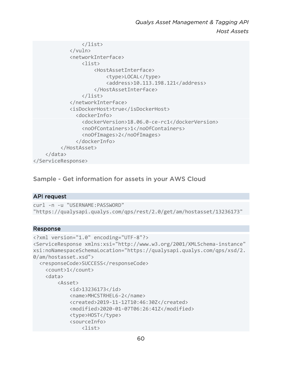```
 </list> 
              </vuln> 
               <networkInterface> 
                  \langlelist\rangle <HostAssetInterface> 
                            <type>LOCAL</type> 
                            <address>10.113.198.121</address> 
                        </HostAssetInterface> 
                   </list> 
              </networkInterface> 
              <isDockerHost>true</isDockerHost> 
                 <dockerInfo> 
                   <dockerVersion>18.06.0-ce-rc1</dockerVersion> 
                   <noOfContainers>1</noOfContainers> 
                   <noOfImages>2</noOfImages> 
                 </dockerInfo> 
           </HostAsset> 
     </data> 
</ServiceResponse>
```
Sample - Get information for assets in your AWS Cloud

#### API request

```
curl -n -u "USERNAME:PASSWORD" 
"https://qualysapi.qualys.com/qps/rest/2.0/get/am/hostasset/13236173"
```

```
<?xml version="1.0" encoding="UTF-8"?> 
<ServiceResponse xmlns:xsi="http://www.w3.org/2001/XMLSchema-instance" 
xsi:noNamespaceSchemaLocation="https://qualysapi.qualys.com/qps/xsd/2.
0/am/hostasset.xsd"> 
   <responseCode>SUCCESS</responseCode> 
     <count>1</count> 
     <data> 
         <Asset> 
              <id>13236173</id> 
              <name>MHCSTRHEL6-2</name> 
              <created>2019-11-12T10:46:30Z</created> 
              <modified>2020-01-07T06:26:41Z</modified> 
              <type>HOST</type> 
              <sourceInfo> 
                  <list>
```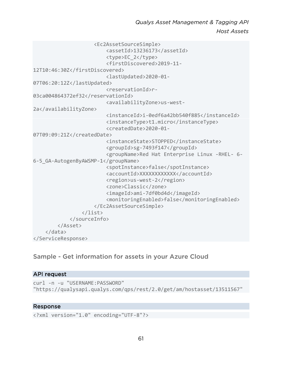```
 <Ec2AssetSourceSimple> 
                           <assetId>13236173</assetId> 
                           <type>EC_2</type> 
                           <firstDiscovered>2019-11-
12T10:46:30Z</firstDiscovered> 
                           <lastUpdated>2020-01-
07T06:20:12Z</lastUpdated> 
                           <reservationId>r-
03ca004864372ef32</reservationId> 
                           <availabilityZone>us-west-
2a</availabilityZone> 
                           <instanceId>i-0edf6a42bb540f885</instanceId> 
                           <instanceType>t1.micro</instanceType> 
                           <createdDate>2020-01-
07T09:09:21Z</createdDate> 
                           <instanceState>STOPPED</instanceState> 
                           <groupId>sg-7493f147</groupId> 
                           <groupName>Red Hat Enterprise Linux -RHEL- 6-
6-5_GA-AutogenByAWSMP-1</groupName> 
                           <spotInstance>false</spotInstance> 
                           <accountId>XXXXXXXXXXXX</accountId> 
                           <region>us-west-2</region> 
                           <zone>Classic</zone> 
                           <imageId>ami-7df0bd4d</imageId> 
                           <monitoringEnabled>false</monitoringEnabled> 
                      </Ec2AssetSourceSimple> 
                  </list> 
             </sourceInfo> 
         </Asset> 
     </data> 
</ServiceResponse>
```
# Sample - Get information for assets in your Azure Cloud

## API request

curl -n -u "USERNAME:PASSWORD" "https://qualysapi.qualys.com/qps/rest/2.0/get/am/hostasset/13511567"

```
<?xml version="1.0" encoding="UTF-8"?>
```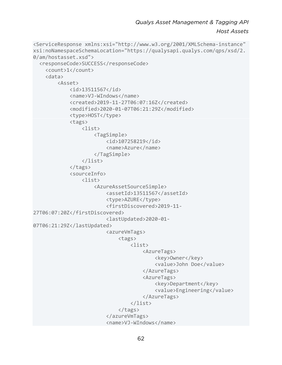*Qualys Asset Management & Tagging API Host Assets*

```
<ServiceResponse xmlns:xsi="http://www.w3.org/2001/XMLSchema-instance" 
xsi:noNamespaceSchemaLocation="https://qualysapi.qualys.com/qps/xsd/2.
0/am/hostasset.xsd"> 
   <responseCode>SUCCESS</responseCode> 
     <count>1</count> 
     <data> 
          <Asset> 
              <id>13511567</id> 
              <name>VJ-WIndows</name> 
              <created>2019-11-27T06:07:16Z</created> 
              <modified>2020-01-07T06:21:29Z</modified> 
              <type>HOST</type> 
              <tags> 
                   <list> 
                       <TagSimple> 
                            <id>107258219</id> 
                            <name>Azure</name> 
                       </TagSimple> 
                   </list> 
              </tags> 
              <sourceInfo> 
                   <list> 
                       <AzureAssetSourceSimple> 
                            <assetId>13511567</assetId> 
                            <type>AZURE</type> 
                            <firstDiscovered>2019-11-
27T06:07:20Z</firstDiscovered> 
                            <lastUpdated>2020-01-
07T06:21:29Z</lastUpdated> 
                            <azureVmTags> 
                                <tags> 
                                     <list> 
                                         <AzureTags> 
                                              <key>Owner</key> 
                                              <value>John Doe</value> 
                                         </AzureTags> 
                                         <AzureTags> 
                                              <key>Department</key> 
                                              <value>Engineering</value> 
                                         </AzureTags> 
                                     </list> 
                                </tags> 
                            </azureVmTags> 
                            <name>VJ-WIndows</name>
```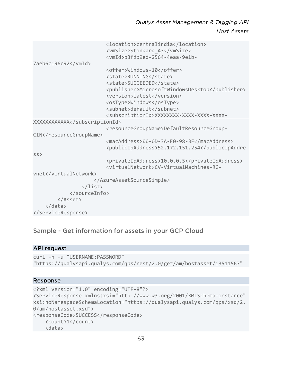```
 <location>centralindia</location> 
                           <vmSize>Standard_A3</vmSize> 
                           <vmId>b3fdb9ed-2564-4eaa-9e1b-
7aeb6c196c92</vmId> 
                           <offer>Windows-10</offer> 
                           <state>RUNNING</state> 
                           <state>SUCCEEDED</state> 
                           <publisher>MicrosoftWindowsDesktop</publisher> 
                           <version>latest</version> 
                           <osType>Windows</osType> 
                           <subnet>default</subnet> 
                           <subscriptionId>XXXXXXXX-XXXX-XXXX-XXXX-
XXXXXXXXXXXX</subscriptionId> 
                           <resourceGroupName>DefaultResourceGroup-
CIN</resourceGroupName>
                           <macAddress>00-0D-3A-F0-98-3F</macAddress> 
                           <publicIpAddress>52.172.151.254</publicIpAddre
ss> 
                           <privateIpAddress>10.0.0.5</privateIpAddress> 
                           <virtualNetwork>CV-VirtualMachines-RG-
vnet</virtualNetwork> 
                      </AzureAssetSourceSimple> 
                  </list> 
              </sourceInfo> 
         </Asset> 
     </data> 
</ServiceResponse>
```
# Sample - Get information for assets in your GCP Cloud

#### API request

```
curl -n -u "USERNAME:PASSWORD" 
"https://qualysapi.qualys.com/qps/rest/2.0/get/am/hostasset/13511567"
```

```
<?xml version="1.0" encoding="UTF-8"?> 
<ServiceResponse xmlns:xsi="http://www.w3.org/2001/XMLSchema-instance" 
xsi:noNamespaceSchemaLocation="https://qualysapi.qualys.com/qps/xsd/2.
0/am/hostasset.xsd"> 
<responseCode>SUCCESS</responseCode> 
     <count>1</count> 
     <data>
```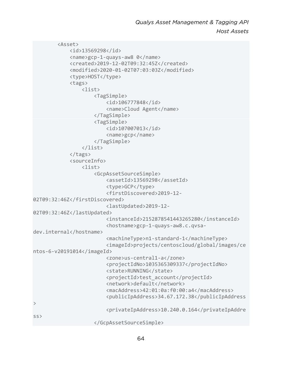```
 <Asset> 
              <id>13569298</id> 
              <name>gcp-1-quays-aw8 0</name> 
              <created>2019-12-02T09:32:45Z</created> 
              <modified>2020-01-02T07:03:03Z</modified> 
              <type>HOST</type> 
              <tags> 
                  <list> 
                       <TagSimple> 
                           <id>106777848</id> 
                           <name>Cloud Agent</name> 
                       </TagSimple> 
                       <TagSimple> 
                           <id>107007013</id> 
                           <name>gcp</name> 
                       </TagSimple> 
                  </list> 
              </tags> 
              <sourceInfo> 
                  <list> 
                       <GcpAssetSourceSimple> 
                           <assetId>13569298</assetId> 
                           <type>GCP</type> 
                           <firstDiscovered>2019-12-
02T09:32:46Z</firstDiscovered> 
                           <lastUpdated>2019-12-
02T09:32:46Z</lastUpdated> 
                           <instanceId>2152878541443265280</instanceId> 
                           <hostname>gcp-1-quays-aw8.c.qvsa-
dev.internal</hostname> 
                           <machineType>n1-standard-1</machineType> 
                           <imageId>projects/centoscloud/global/images/ce
ntos-6-v20191014</imageId> 
                           <zone>us-central1-a</zone> 
                           <projectIdNo>1035365309337</projectIdNo> 
                           <state>RUNNING</state> 
                           <projectId>test_account</projectId> 
                           <network>default</network> 
                           <macAddress>42:01:0a:f0:00:a4</macAddress> 
                           <publicIpAddress>34.67.172.38</publicIpAddress
> 
                           <privateIpAddress>10.240.0.164</privateIpAddre
ss> 
                       </GcpAssetSourceSimple>
```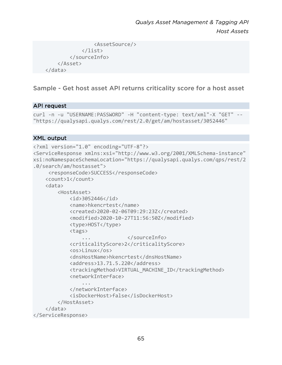```
 <AssetSource/> 
                </list> 
           </sourceInfo> 
      </Asset> 
 </data>
```
Sample - Get host asset API returns criticality score for a host asset

# API request

```
curl -n -u "USERNAME:PASSWORD" -H "content-type: text/xml"-X "GET" -
"https://qualysapi.qualys.com/rest/2.0/get/am/hostasset/3052446"
```
# XML output

```
<?xml version="1.0" encoding="UTF-8"?> 
<ServiceResponse xmlns:xsi="http://www.w3.org/2001/XMLSchema-instance" 
xsi:noNamespaceSchemaLocation="https://qualysapi.qualys.com/qps/rest/2
.0/search/am/hostasset"> 
      <responseCode>SUCCESS</responseCode> 
     <count>1</count> 
     <data> 
         <HostAsset> 
             <id>3052446</id> 
             <name>hkencrtest</name> 
             <created>2020-02-06T09:29:23Z</created> 
             <modified>2020-10-27T11:56:50Z</modified> 
             <type>HOST</type> 
             <tags> 
                                 ... </sourceInfo> 
             <criticalityScore>2</criticalityScore> 
             <os>Linux</os> 
             <dnsHostName>hkencrtest</dnsHostName> 
             <address>13.71.5.220</address> 
             <trackingMethod>VIRTUAL_MACHINE_ID</trackingMethod> 
             <networkInterface> 
 ... 
             </networkInterface> 
             <isDockerHost>false</isDockerHost> 
         </HostAsset> 
     </data> 
</ServiceResponse>
```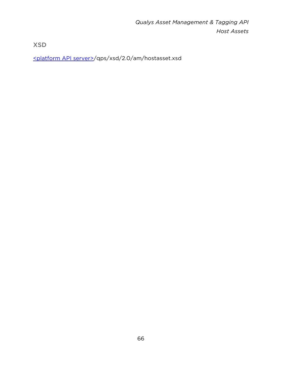XSD

[<platform API server>/](#page-8-0)qps/xsd/2.0/am/hostasset.xsd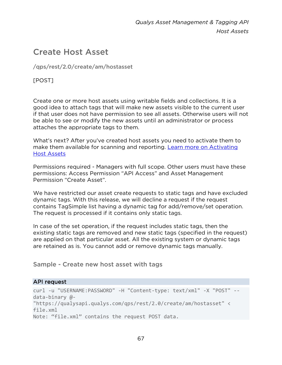# Create Host Asset

/qps/rest/2.0/create/am/hostasset

[POST]

Create one or more host assets using writable fields and collections. It is a good idea to attach tags that will make new assets visible to the current user if that user does not have permission to see all assets. Otherwise users will not be able to see or modify the new assets until an administrator or process attaches the appropriate tags to them.

What's next? After you've created host assets you need to activate them to make them available for scanning and reporting. [Learn more on Activating](#page-115-0)  [Host Assets](#page-115-0)

Permissions required - Managers with full scope. Other users must have these permissions: Access Permission "API Access" and Asset Management Permission "Create Asset".

We have restricted our asset create requests to static tags and have excluded dynamic tags. With this release, we will decline a request if the request contains TagSimple list having a dynamic tag for add/remove/set operation. The request is processed if it contains only static tags.

In case of the set operation, if the request includes static tags, then the existing static tags are removed and new static tags (specified in the request) are applied on that particular asset. All the existing system or dynamic tags are retained as is. You cannot add or remove dynamic tags manually.

Sample - Create new host asset with tags

# API request

```
curl -u "USERNAME:PASSWORD" -H "Content-type: text/xml" -X "POST" --
data-binary @- 
"https://qualysapi.qualys.com/qps/rest/2.0/create/am/hostasset" < 
file.xml 
Note: "file.xml" contains the request POST data.
```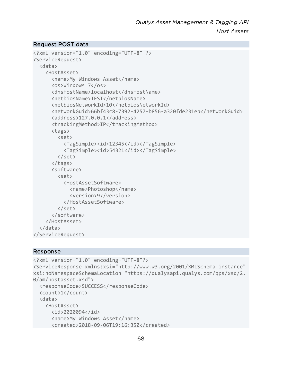# Request POST data

```
<?xml version="1.0" encoding="UTF-8" ?> 
<ServiceRequest> 
   <data> 
     <HostAsset> 
       <name>My Windows Asset</name> 
       <os>Windows 7</os> 
       <dnsHostName>localhost</dnsHostName> 
       <netbiosName>TEST</netbiosName> 
       <netbiosNetworkId>10</netbiosNetworkId> 
       <networkGuid>66bf43c8-7392-4257-b856-a320fde231eb</networkGuid> 
       <address>127.0.0.1</address> 
       <trackingMethod>IP</trackingMethod> 
       <tags> 
         <set> 
            <TagSimple><id>12345</id></TagSimple> 
            <TagSimple><id>54321</id></TagSimple> 
         </set> 
       </tags> 
       <software> 
         <set> 
            <HostAssetSoftware> 
              <name>Photoshop</name> 
              <version>9</version> 
            </HostAssetSoftware> 
         </set> 
       </software> 
     </HostAsset> 
   </data> 
</ServiceRequest>
```

```
<?xml version="1.0" encoding="UTF-8"?> 
<ServiceResponse xmlns:xsi="http://www.w3.org/2001/XMLSchema-instance" 
xsi:noNamespaceSchemaLocation="https://qualysapi.qualys.com/qps/xsd/2.
0/am/hostasset.xsd"> 
   <responseCode>SUCCESS</responseCode> 
   <count>1</count> 
   <data> 
     <HostAsset> 
       <id>2020094</id> 
       <name>My Windows Asset</name> 
       <created>2018-09-06T19:16:35Z</created>
```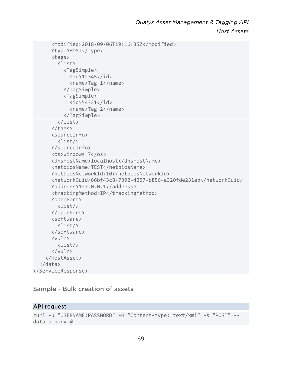```
 <modified>2018-09-06T19:16:35Z</modified> 
        <type>HOST</type> 
        <tags> 
          <list> 
            <TagSimple> 
             \langleid>12345\langleid>
               <name>Tag 1</name> 
            </TagSimple> 
            <TagSimple> 
              <id>54321</id> 
               <name>Tag 2</name> 
            </TagSimple> 
          </list> 
        </tags> 
        <sourceInfo> 
          <list/> 
        </sourceInfo> 
        <os>Windows 7</os> 
        <dnsHostName>localhost</dnsHostName> 
        <netbiosName>TEST</netbiosName> 
        <netbiosNetworkId>10</netbiosNetworkId> 
        <networkGuid>66bf43c8-7392-4257-b856-a320fde231eb</networkGuid> 
        <address>127.0.0.1</address> 
        <trackingMethod>IP</trackingMethod> 
        <openPort> 
          <list/> 
        </openPort> 
        <software> 
          <list/> 
        </software> 
        <vuln> 
          <list/> 
        </vuln> 
     </HostAsset> 
   </data> 
</ServiceResponse>
```
# Sample - Bulk creation of assets

## API request

```
curl -u "USERNAME:PASSWORD" -H "Content-type: text/xml" -X "POST" --
data-binary @-
```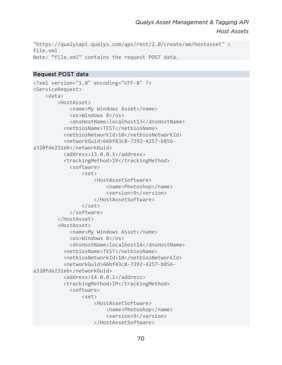```
"https://qualysapi.qualys.com/qps/rest/2.0/create/am/hostasset" < 
file.xml 
Note: "file.xml" contains the request POST data.
```
# Request POST data

```
<?xml version="1.0" encoding="UTF-8" ?> 
<ServiceRequest> 
     <data> 
         <HostAsset> 
              <name>My Windows Asset</name> 
              <os>Windows 8</os> 
              <dnsHostName>localhost13</dnsHostName> 
            <netbiosName>TEST</netbiosName> 
            <netbiosNetworkId>10</netbiosNetworkId> 
            <networkGuid>66bf43c8-7392-4257-b856-
a320fde231eb</networkGuid> 
            <address>13.0.0.1</address> 
            <trackingMethod>IP</trackingMethod> 
              <software> 
                  <set> 
                       <HostAssetSoftware> 
                           <name>Photoshop</name> 
                           <version>9</version> 
                       </HostAssetSoftware> 
                  </set> 
              </software> 
         </HostAsset> 
         <HostAsset> 
              <name>My Windows Asset</name> 
              <os>Windows 8</os> 
              <dnsHostName>localhost14</dnsHostName> 
            <netbiosName>TEST</netbiosName> 
            <netbiosNetworkId>10</netbiosNetworkId> 
            <networkGuid>66bf43c8-7392-4257-b856-
a320fde231eb</networkGuid> 
            <address>14.0.0.1</address> 
            <trackingMethod>IP</trackingMethod> 
              <software> 
                  <set> 
                       <HostAssetSoftware> 
                           <name>Photoshop</name> 
                           <version>9</version> 
                       </HostAssetSoftware>
```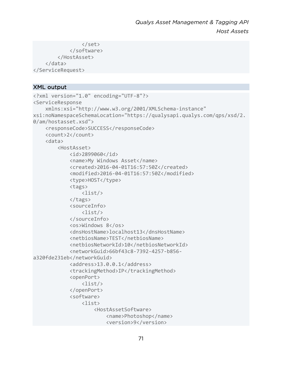```
 </set> 
               </software> 
          </HostAsset> 
     </data> 
</ServiceRequest>
```
# XML output

```
<?xml version="1.0" encoding="UTF-8"?> 
<ServiceResponse 
     xmlns:xsi="http://www.w3.org/2001/XMLSchema-instance" 
xsi:noNamespaceSchemaLocation="https://qualysapi.qualys.com/qps/xsd/2.
0/am/hostasset.xsd"> 
     <responseCode>SUCCESS</responseCode> 
     <count>2</count> 
     <data> 
         <HostAsset> 
              <id>2899060</id> 
              <name>My Windows Asset</name> 
              <created>2016-04-01T16:57:50Z</created> 
              <modified>2016-04-01T16:57:50Z</modified> 
              <type>HOST</type> 
              <tags> 
                  <list/> 
              </tags> 
              <sourceInfo> 
                  <list/> 
              </sourceInfo> 
              <os>Windows 8</os> 
              <dnsHostName>localhost13</dnsHostName> 
              <netbiosName>TEST</netbiosName> 
              <netbiosNetworkId>10</netbiosNetworkId> 
              <networkGuid>66bf43c8-7392-4257-b856-
a320fde231eb</networkGuid> 
              <address>13.0.0.1</address> 
              <trackingMethod>IP</trackingMethod> 
              <openPort> 
                  <list/> 
              </openPort> 
              <software> 
                  <list> 
                       <HostAssetSoftware> 
                           <name>Photoshop</name> 
                           <version>9</version>
```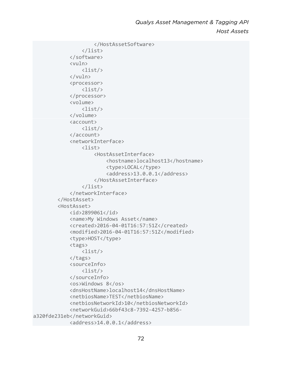```
 </HostAssetSoftware> 
                   </list> 
              </software> 
              <vuln> 
                   <list/> 
              </vuln> 
              <processor> 
                   <list/> 
              </processor> 
              <volume> 
                   <list/> 
              </volume> 
              <account> 
                   <list/> 
              </account> 
              <networkInterface> 
                   <list> 
                        <HostAssetInterface> 
                            <hostname>localhost13</hostname> 
                            <type>LOCAL</type> 
                            <address>13.0.0.1</address> 
                       </HostAssetInterface> 
                   </list> 
              </networkInterface> 
          </HostAsset> 
          <HostAsset> 
              <id>2899061</id> 
              <name>My Windows Asset</name> 
              <created>2016-04-01T16:57:51Z</created> 
              <modified>2016-04-01T16:57:51Z</modified> 
             <type>HOST</type>
              <tags> 
                   <list/> 
              </tags> 
              <sourceInfo> 
                   <list/> 
              </sourceInfo> 
              <os>Windows 8</os> 
              <dnsHostName>localhost14</dnsHostName> 
              <netbiosName>TEST</netbiosName> 
              <netbiosNetworkId>10</netbiosNetworkId> 
              <networkGuid>66bf43c8-7392-4257-b856-
a320fde231eb</networkGuid> 
              <address>14.0.0.1</address>
```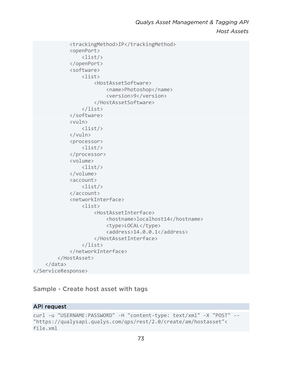```
 <trackingMethod>IP</trackingMethod> 
               <openPort> 
                   \langlelist/\rangle </openPort> 
               <software> 
                    <list> 
                         <HostAssetSoftware> 
                              <name>Photoshop</name> 
                              <version>9</version> 
                         </HostAssetSoftware> 
                    </list> 
               </software> 
               <vuln> 
                    <list/> 
               </vuln> 
               <processor> 
                    <list/> 
               </processor> 
               <volume> 
                    <list/> 
               </volume> 
               <account> 
                    <list/> 
               </account> 
               <networkInterface> 
                   \langlelist\rangle <HostAssetInterface> 
                              <hostname>localhost14</hostname> 
                              <type>LOCAL</type> 
                              <address>14.0.0.1</address> 
                         </HostAssetInterface> 
                    </list> 
               </networkInterface> 
          </HostAsset> 
     </data> 
</ServiceResponse>
```
# Sample - Create host asset with tags

#### API request

```
curl -u "USERNAME:PASSWORD" -H "content-type: text/xml" -X "POST" -- 
"https://qualysapi.qualys.com/qps/rest/2.0/create/am/hostasset"< 
file.xml
```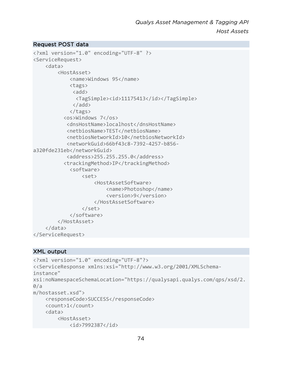#### Request POST data

```
<?xml version="1.0" encoding="UTF-8" ?> 
<ServiceRequest> 
     <data> 
          <HostAsset> 
              <name>Windows 95</name> 
              <tags> 
              <add>
                <TagSimple><id>11175413</id></TagSimple> 
               </add> 
              </tags> 
            <os>Windows 7</os> 
             <dnsHostName>localhost</dnsHostName> 
             <netbiosName>TEST</netbiosName> 
             <netbiosNetworkId>10</netbiosNetworkId> 
             <networkGuid>66bf43c8-7392-4257-b856-
a320fde231eb</networkGuid> 
             <address>255.255.255.0</address> 
            <trackingMethod>IP</trackingMethod> 
              <software> 
                   <set> 
                       <HostAssetSoftware> 
                           <name>Photoshop</name> 
                            <version>9</version> 
                       </HostAssetSoftware> 
                   </set> 
              </software> 
          </HostAsset> 
     </data> 
</ServiceRequest>
```

```
<?xml version="1.0" encoding="UTF-8"?> 
<<ServiceResponse xmlns:xsi="http://www.w3.org/2001/XMLSchema-
instance" 
xsi:noNamespaceSchemaLocation="https://qualysapi.qualys.com/qps/xsd/2.
\theta/am/hostasset.xsd"> 
     <responseCode>SUCCESS</responseCode> 
     <count>1</count> 
     <data> 
         <HostAsset> 
             <id>7992387</id>
```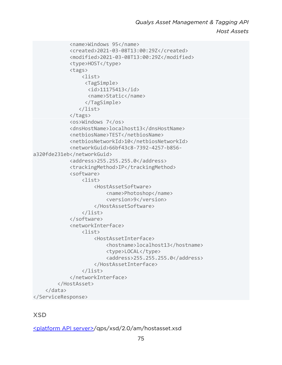```
 <name>Windows 95</name> 
              <created>2021-03-08T13:00:29Z</created> 
              <modified>2021-03-08T13:00:29Z</modified> 
             <type>HOST</type>
              <tags> 
                   <list> 
                    <TagSimple> 
                     <id>11175413</id> 
                     <name>Static</name> 
                    </TagSimple> 
                  </list> 
              </tags> 
              <os>Windows 7</os> 
              <dnsHostName>localhost13</dnsHostName> 
              <netbiosName>TEST</netbiosName> 
              <netbiosNetworkId>10</netbiosNetworkId> 
              <networkGuid>66bf43c8-7392-4257-b856-
a320fde231eb</networkGuid> 
              <address>255.255.255.0</address> 
              <trackingMethod>IP</trackingMethod> 
              <software> 
                   <list> 
                       <HostAssetSoftware> 
                            <name>Photoshop</name> 
                            <version>9</version> 
                       </HostAssetSoftware> 
                   </list> 
              </software> 
              <networkInterface> 
                  \langlelist\rangle <HostAssetInterface> 
                            <hostname>localhost13</hostname> 
                            <type>LOCAL</type> 
                            <address>255.255.255.0</address> 
                       </HostAssetInterface> 
                   </list> 
              </networkInterface> 
          </HostAsset> 
     </data> 
</ServiceResponse>
```
# **XSD**

[<platform API server>/](#page-8-0)qps/xsd/2.0/am/hostasset.xsd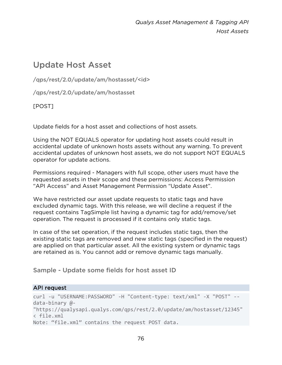# Update Host Asset

/qps/rest/2.0/update/am/hostasset/<id>

/qps/rest/2.0/update/am/hostasset

[POST]

Update fields for a host asset and collections of host assets.

Using the NOT EQUALS operator for updating host assets could result in accidental update of unknown hosts assets without any warning. To prevent accidental updates of unknown host assets, we do not support NOT EQUALS operator for update actions.

Permissions required - Managers with full scope, other users must have the requested assets in their scope and these permissions: Access Permission "API Access" and Asset Management Permission "Update Asset".

We have restricted our asset update requests to static tags and have excluded dynamic tags. With this release, we will decline a request if the request contains TagSimple list having a dynamic tag for add/remove/set operation. The request is processed if it contains only static tags.

In case of the set operation, if the request includes static tags, then the existing static tags are removed and new static tags (specified in the request) are applied on that particular asset. All the existing system or dynamic tags are retained as is. You cannot add or remove dynamic tags manually.

Sample - Update some fields for host asset ID

# API request

```
curl -u "USERNAME:PASSWORD" -H "Content-type: text/xml" -X "POST" --
data-binary @- 
"https://qualysapi.qualys.com/qps/rest/2.0/update/am/hostasset/12345" 
< file.xml 
Note: "file.xml" contains the request POST data.
```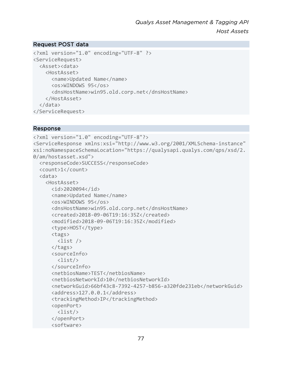#### Request POST data

```
<?xml version="1.0" encoding="UTF-8" ?> 
<ServiceRequest> 
   <Asset><data> 
     <HostAsset> 
       <name>Updated Name</name> 
       <os>WINDOWS 95</os> 
       <dnsHostName>win95.old.corp.net</dnsHostName> 
     </HostAsset> 
   </data> 
</ServiceRequest>
```
#### Response

```
<?xml version="1.0" encoding="UTF-8"?> 
<ServiceResponse xmlns:xsi="http://www.w3.org/2001/XMLSchema-instance" 
xsi:noNamespaceSchemaLocation="https://qualysapi.qualys.com/qps/xsd/2.
0/am/hostasset.xsd"> 
   <responseCode>SUCCESS</responseCode> 
   <count>1</count> 
   <data> 
     <HostAsset> 
       <id>2020094</id> 
       <name>Updated Name</name> 
       <os>WINDOWS 95</os> 
       <dnsHostName>win95.old.corp.net</dnsHostName> 
       <created>2018-09-06T19:16:35Z</created> 
       <modified>2018-09-06T19:16:35Z</modified> 
       <type>HOST</type> 
       <tags> 
         <list /> 
       </tags> 
       <sourceInfo> 
         <list/> 
       </sourceInfo> 
       <netbiosName>TEST</netbiosName> 
       <netbiosNetworkId>10</netbiosNetworkId> 
       <networkGuid>66bf43c8-7392-4257-b856-a320fde231eb</networkGuid> 
       <address>127.0.0.1</address> 
       <trackingMethod>IP</trackingMethod> 
       <openPort> 
         <list/> 
       </openPort> 
       <software>
```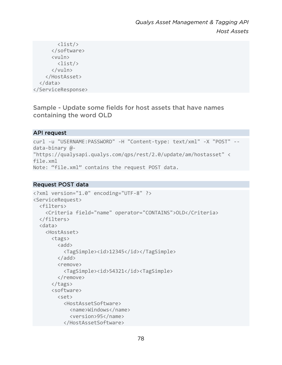```
 <list/> 
        </software> 
        <vuln> 
           <list/> 
        </vuln> 
     </HostAsset> 
   </data> 
</ServiceResponse>
```
Sample - Update some fields for host assets that have names containing the word OLD

# API request

```
curl -u "USERNAME:PASSWORD" -H "Content-type: text/xml" -X "POST" --
data-binary @- 
"https://qualysapi.qualys.com/qps/rest/2.0/update/am/hostasset" < 
file.xml 
Note: "file.xml" contains the request POST data.
```
#### Request POST data

```
<?xml version="1.0" encoding="UTF-8" ?> 
<ServiceRequest> 
   <filters> 
     <Criteria field="name" operator="CONTAINS">OLD</Criteria> 
   </filters> 
   <data> 
     <HostAsset> 
       <tags> 
         \langleadd\rangle <TagSimple><id>12345</id></TagSimple> 
          </add> 
          <remove> 
            <TagSimple><id>54321</id><TagSimple> 
          </remove> 
       </tags> 
        <software> 
          <set> 
            <HostAssetSoftware> 
              <name>Windows</name> 
              <version>95</name> 
            </HostAssetSoftware>
```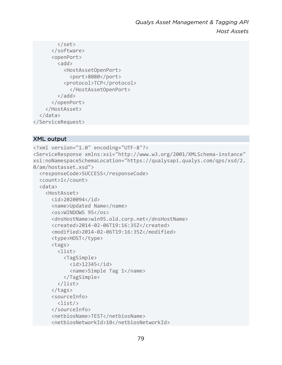```
 </set> 
        </software> 
        <openPort> 
         <add>
             <HostAssetOpenPort> 
               <port>8080</port> 
             <protocol>TCP</protocol> 
               </HostAssetOpenPort> 
          </add> 
        </openPort> 
     </HostAsset> 
   </data> 
</ServiceRequest>
```

```
<?xml version="1.0" encoding="UTF-8"?> 
<ServiceResponse xmlns:xsi="http://www.w3.org/2001/XMLSchema-instance" 
xsi:noNamespaceSchemaLocation="https://qualysapi.qualys.com/qps/xsd/2.
0/am/hostasset.xsd"> 
   <responseCode>SUCCESS</responseCode> 
   <count>1</count> 
   <data> 
     <HostAsset> 
       <id>2020094</id> 
       <name>Updated Name</name> 
       <os>WINDOWS 95</os> 
       <dnsHostName>win95.old.corp.net</dnsHostName> 
       <created>2014-02-06T19:16:35Z</created> 
       <modified>2014-02-06T19:16:35Z</modified> 
       <type>HOST</type> 
       <tags> 
          <list> 
            <TagSimple> 
             \langleid>12345\langleid>
              <name>Simple Tag 1</name> 
            </TagSimple> 
          </list> 
       </tags> 
       <sourceInfo> 
          <list/> 
       </sourceInfo> 
       <netbiosName>TEST</netbiosName> 
       <netbiosNetworkId>10</netbiosNetworkId>
```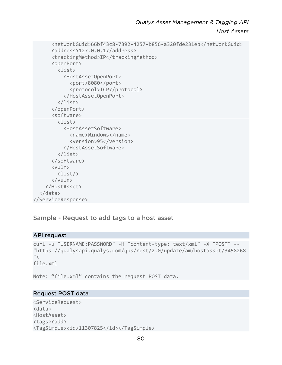```
 <networkGuid>66bf43c8-7392-4257-b856-a320fde231eb</networkGuid> 
       <address>127.0.0.1</address> 
       <trackingMethod>IP</trackingMethod> 
       <openPort> 
          <list> 
            <HostAssetOpenPort> 
              <port>8080</port> 
              <protocol>TCP</protocol> 
            </HostAssetOpenPort> 
          </list> 
       </openPort> 
       <software> 
          <list> 
            <HostAssetSoftware> 
              <name>Windows</name> 
              <version>95</version> 
            </HostAssetSoftware> 
          </list> 
       </software> 
       <vuln> 
          <list/> 
       </vuln> 
     </HostAsset> 
   </data> 
</ServiceResponse>
```
Sample - Request to add tags to a host asset

#### API request

```
curl -u "USERNAME:PASSWORD" -H "content-type: text/xml" -X "POST" -- 
"https://qualysapi.qualys.com/qps/rest/2.0/update/am/hostasset/3458268
"file.xml
```
Note: "file.xml" contains the request POST data.

#### Request POST data

<ServiceRequest> <data> <HostAsset> <tags><add> <TagSimple><id>11307825</id></TagSimple>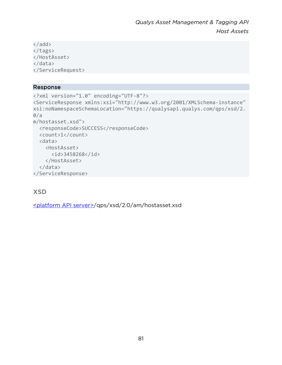```
</add> 
</tags> 
</HostAsset> 
</data> 
</ServiceRequest>
```
#### Response

```
<?xml version="1.0" encoding="UTF-8"?> 
<ServiceResponse xmlns:xsi="http://www.w3.org/2001/XMLSchema-instance" 
xsi:noNamespaceSchemaLocation="https://qualysapi.qualys.com/qps/xsd/2.
0/am/hostasset.xsd"> 
   <responseCode>SUCCESS</responseCode> 
   <count>1</count> 
   <data> 
     <HostAsset> 
       <id>3458268</id> 
     </HostAsset> 
   </data> 
</ServiceResponse>
```
# XSD

[<platform API server>/](#page-8-0)qps/xsd/2.0/am/hostasset.xsd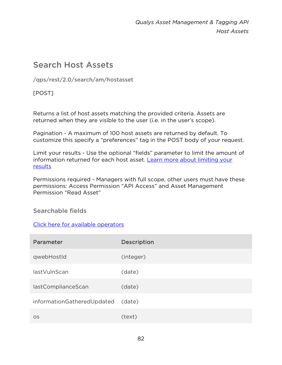# Search Host Assets

/qps/rest/2.0/search/am/hostasset

[POST]

Returns a list of host assets matching the provided criteria. Assets are returned when they are visible to the user (i.e. in the user's scope).

Pagination - A maximum of 100 host assets are returned by default. To customize this specify a "preferences" tag in the POST body of your request.

Limit your results - Use the optional "fields" parameter to limit the amount of information returned for each host asset. Learn more about limiting your [results](#page-10-0)

Permissions required - Managers with full scope, other users must have these permissions: Access Permission "API Access" and Asset Management Permission "Read Asset"

# Searchable fields

# [Click here for available operators](#page-16-0)

| Parameter                  | Description |
|----------------------------|-------------|
| qwebHostId                 | (integer)   |
| lastVulnScan               | (date)      |
| lastComplianceScan         | (date)      |
| informationGatheredUpdated | (date)      |
| <b>OS</b>                  | (text)      |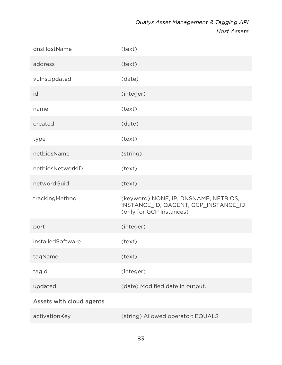| dnsHostName              | (text)                                                                                                    |
|--------------------------|-----------------------------------------------------------------------------------------------------------|
| address                  | (text)                                                                                                    |
| vulnsUpdated             | (date)                                                                                                    |
| id                       | (integer)                                                                                                 |
| name                     | (text)                                                                                                    |
| created                  | (date)                                                                                                    |
| type                     | (text)                                                                                                    |
| netbiosName              | (string)                                                                                                  |
| netbiosNetworkID         | (text)                                                                                                    |
| networdGuid              | (text)                                                                                                    |
| trackingMethod           | (keyword) NONE, IP, DNSNAME, NETBIOS,<br>INSTANCE_ID, QAGENT, GCP_INSTANCE_ID<br>(only for GCP Instances) |
| port                     | (integer)                                                                                                 |
| installedSoftware        | (text)                                                                                                    |
| tagName                  | (text)                                                                                                    |
| tagld                    | (integer)                                                                                                 |
| updated                  | (date) Modified date in output.                                                                           |
| Assets with cloud agents |                                                                                                           |
|                          |                                                                                                           |

| activationKey | (string) Allowed operator: EQUALS |
|---------------|-----------------------------------|
|---------------|-----------------------------------|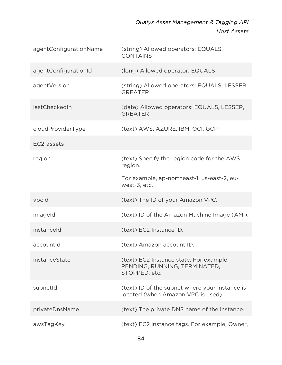| agentConfigurationName | (string) Allowed operators: EQUALS,<br><b>CONTAINS</b>                                    |
|------------------------|-------------------------------------------------------------------------------------------|
| agentConfigurationId   | (long) Allowed operator: EQUALS                                                           |
| agentVersion           | (string) Allowed operators: EQUALS, LESSER,<br><b>GREATER</b>                             |
| lastCheckedIn          | (date) Allowed operators: EQUALS, LESSER,<br><b>GREATER</b>                               |
| cloudProviderType      | (text) AWS, AZURE, IBM, OCI, GCP                                                          |
| EC <sub>2</sub> assets |                                                                                           |
| region                 | (text) Specify the region code for the AWS<br>region.                                     |
|                        | For example, ap-northeast-1, us-east-2, eu-<br>west-3, etc.                               |
| vpcld                  | (text) The ID of your Amazon VPC.                                                         |
| imageld                | (text) ID of the Amazon Machine Image (AMI).                                              |
| instanceld             | (text) EC2 Instance ID.                                                                   |
| accountId              | (text) Amazon account ID.                                                                 |
| instanceState          | (text) EC2 Instance state. For example,<br>PENDING, RUNNING, TERMINATED,<br>STOPPED, etc. |
| subnetId               | (text) ID of the subnet where your instance is<br>located (when Amazon VPC is used).      |
| privateDnsName         | (text) The private DNS name of the instance.                                              |
| awsTagKey              | (text) EC2 instance tags. For example, Owner,                                             |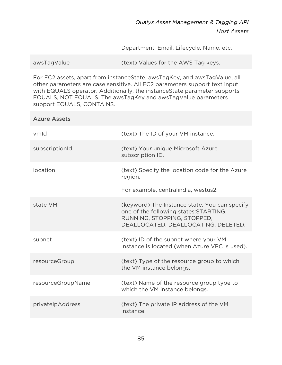Department, Email, Lifecycle, Name, etc.

For EC2 assets, apart from instanceState, awsTagKey, and awsTagValue, all other parameters are case sensitive. All EC2 parameters support text input with EQUALS operator. Additionally, the instanceState parameter supports EQUALS, NOT EQUALS. The awsTagKey and awsTagValue parameters support EQUALS, CONTAINS.

# Azure Assets vmId (text) The ID of your VM instance. subscriptionId (text) Your unique Microsoft Azure subscription ID. location (text) Specify the location code for the Azure region. For example, centralindia, westus2. state VM (keyword) The Instance state. You can specify one of the following states:STARTING, RUNNING, STOPPING, STOPPED, DEALLOCATED, DEALLOCATING, DELETED. subnet (text) ID of the subnet where your VM instance is located (when Azure VPC is used). resourceGroup (text) Type of the resource group to which the VM instance belongs. resourceGroupName (text) Name of the resource group type to which the VM instance belongs. privateIpAddress (text) The private IP address of the VM instance.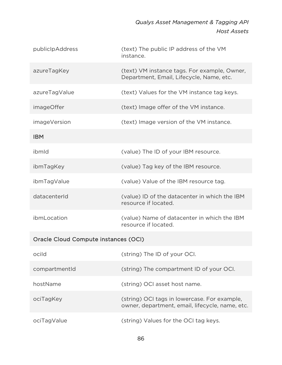| publiclpAddress                      | (text) The public IP address of the VM<br>instance.                                             |  |
|--------------------------------------|-------------------------------------------------------------------------------------------------|--|
| azureTagKey                          | (text) VM instance tags. For example, Owner,<br>Department, Email, Lifecycle, Name, etc.        |  |
| azureTagValue                        | (text) Values for the VM instance tag keys.                                                     |  |
| <i>imageOffer</i>                    | (text) Image offer of the VM instance.                                                          |  |
| imageVersion                         | (text) Image version of the VM instance.                                                        |  |
| <b>IBM</b>                           |                                                                                                 |  |
| ibmld                                | (value) The ID of your IBM resource.                                                            |  |
| ibmTagKey                            | (value) Tag key of the IBM resource.                                                            |  |
| ibmTagValue                          | (value) Value of the IBM resource tag.                                                          |  |
| datacenterId                         | (value) ID of the datacenter in which the IBM<br>resource if located.                           |  |
| ibmLocation                          | (value) Name of datacenter in which the IBM<br>resource if located.                             |  |
| Oracle Cloud Compute instances (OCI) |                                                                                                 |  |
| ocild                                | (string) The ID of your OCI.                                                                    |  |
| compartmentId                        | (string) The compartment ID of your OCI.                                                        |  |
| hostName                             | (string) OCI asset host name.                                                                   |  |
| ociTagKey                            | (string) OCI tags in lowercase. For example,<br>owner, department, email, lifecycle, name, etc. |  |
| ociTagValue                          | (string) Values for the OCI tag keys.                                                           |  |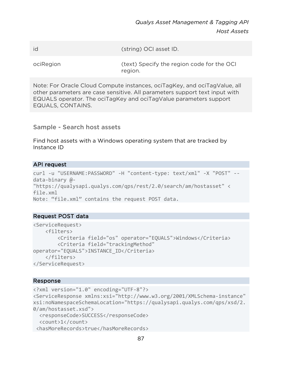id (string) OCI asset ID.

ociRegion (text) Specify the region code for the OCI region.

Note: For Oracle Cloud Compute instances, ociTagKey, and ociTagValue, all other parameters are case sensitive. All parameters support text input with EQUALS operator. The ociTagKey and ociTagValue parameters support EQUALS, CONTAINS.

Sample - Search host assets

Find host assets with a Windows operating system that are tracked by Instance ID

#### API request

```
curl -u "USERNAME:PASSWORD" -H "content-type: text/xml" -X "POST" --
data-binary @- 
"https://qualysapi.qualys.com/qps/rest/2.0/search/am/hostasset" < 
file.xml 
Note: "file.xml" contains the request POST data.
```
#### Request POST data

```
<ServiceRequest> 
     <filters> 
         <Criteria field="os" operator="EQUALS">Windows</Criteria> 
         <Criteria field="trackingMethod" 
operator="EQUALS">INSTANCE_ID</Criteria> 
     </filters> 
</ServiceRequest>
```
#### Response

```
<?xml version="1.0" encoding="UTF-8"?> 
<ServiceResponse xmlns:xsi="http://www.w3.org/2001/XMLSchema-instance" 
xsi:noNamespaceSchemaLocation="https://qualysapi.qualys.com/qps/xsd/2.
0/am/hostasset.xsd"> 
   <responseCode>SUCCESS</responseCode> 
   <count>1</count> 
  <hasMoreRecords>true</hasMoreRecords>
```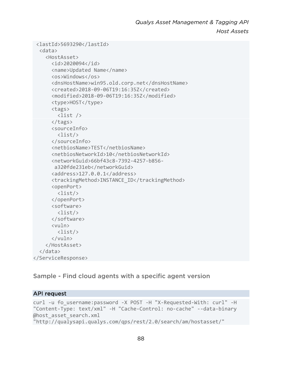```
 <lastId>5693290</lastId> 
   <data> 
     <HostAsset> 
       <id>2020094</id> 
       <name>Updated Name</name> 
       <os>Windows</os> 
       <dnsHostName>win95.old.corp.net</dnsHostName> 
       <created>2018-09-06T19:16:35Z</created> 
       <modified>2018-09-06T19:16:35Z</modified> 
       <type>HOST</type> 
       <tags> 
          <list /> 
       </tags> 
       <sourceInfo> 
          <list/> 
       </sourceInfo> 
       <netbiosName>TEST</netbiosName> 
       <netbiosNetworkId>10</netbiosNetworkId> 
       <networkGuid>66bf43c8-7392-4257-b856- 
        a320fde231eb</networkGuid> 
       <address>127.0.0.1</address> 
       <trackingMethod>INSTANCE_ID</trackingMethod> 
       <openPort> 
          <list/> 
       </openPort> 
       <software> 
          <list/> 
       </software> 
       <vuln> 
          <list/> 
       </vuln> 
     </HostAsset> 
   </data> 
</ServiceResponse>
```
Sample - Find cloud agents with a specific agent version

#### API request

```
curl -u fo_username:password -X POST -H "X-Requested-With: curl" -H 
"Content-Type: text/xml" -H "Cache-Control: no-cache" --data-binary 
@host asset search.xml
"http://qualysapi.qualys.com/qps/rest/2.0/search/am/hostasset/"
```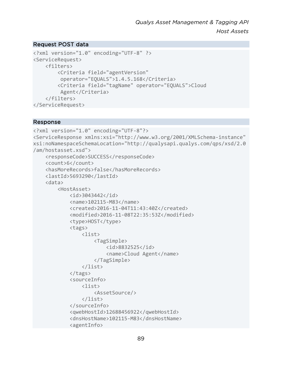#### Request POST data

```
<?xml version="1.0" encoding="UTF-8" ?> 
<ServiceRequest> 
     <filters> 
         <Criteria field="agentVersion" 
          operator="EQUALS">1.4.5.168</Criteria> 
         <Criteria field="tagName" operator="EQUALS">Cloud 
          Agent</Criteria> 
     </filters> 
</ServiceRequest>
```
#### Response

```
<?xml version="1.0" encoding="UTF-8"?> 
<ServiceResponse xmlns:xsi="http://www.w3.org/2001/XMLSchema-instance" 
xsi:noNamespaceSchemaLocation="http://qualysapi.qualys.com/qps/xsd/2.0
/am/hostasset.xsd"> 
     <responseCode>SUCCESS</responseCode> 
     <count>6</count> 
     <hasMoreRecords>false</hasMoreRecords> 
     <lastId>5693290</lastId> 
     <data> 
         <HostAsset> 
              <id>3043442</id> 
              <name>102115-M83</name> 
              <created>2016-11-04T11:43:40Z</created> 
              <modified>2016-11-08T22:35:53Z</modified> 
             <type>HOST</type>
              <tags> 
                  <list> 
                       <TagSimple> 
                           <id>8832525</id> 
                           <name>Cloud Agent</name> 
                       </TagSimple> 
                  </list> 
              </tags> 
              <sourceInfo> 
                  <list> 
                       <AssetSource/> 
                  </list> 
              </sourceInfo> 
              <qwebHostId>12688456922</qwebHostId> 
              <dnsHostName>102115-M83</dnsHostName> 
              <agentInfo>
```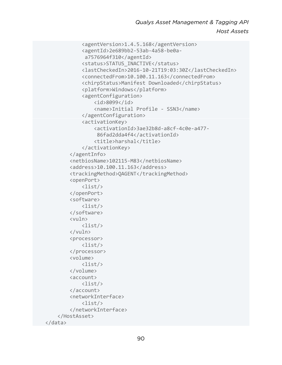```
 <agentVersion>1.4.5.168</agentVersion> 
              <agentId>2e689bb2-53ab-4a58-be0a- 
               a7576964f310</agentId> 
              <status>STATUS_INACTIVE</status> 
              <lastCheckedIn>2016-10-21T19:03:30Z</lastCheckedIn> 
              <connectedFrom>10.100.11.163</connectedFrom> 
              <chirpStatus>Manifest Downloaded</chirpStatus> 
              <platform>Windows</platform> 
              <agentConfiguration> 
                   <id>8099</id> 
                   <name>Initial Profile - SSN3</name> 
              </agentConfiguration> 
              <activationKey> 
                   <activationId>3ae32b8d-a8cf-4c0e-a477- 
                    86fad2dda4f4</activationId> 
                   <title>harshal</title> 
              </activationKey> 
          </agentInfo> 
          <netbiosName>102115-M83</netbiosName> 
          <address>10.100.11.163</address> 
          <trackingMethod>QAGENT</trackingMethod> 
          <openPort> 
              <list/> 
          </openPort> 
          <software> 
              <list/> 
          </software> 
          <vuln> 
              <list/> 
          </vuln> 
          <processor> 
              <list/> 
          </processor> 
          <volume> 
              <list/> 
          </volume> 
          <account> 
              <list/> 
          </account> 
          <networkInterface> 
              <list/> 
          </networkInterface> 
     </HostAsset> 
 </data>
```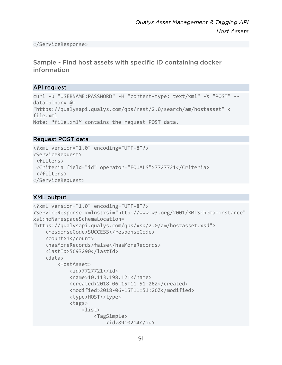</ServiceResponse>

Sample - Find host assets with specific ID containing docker information

# API request

```
curl -u "USERNAME:PASSWORD" -H "content-type: text/xml" -X "POST" --
data-binary @- 
"https://qualysapi.qualys.com/qps/rest/2.0/search/am/hostasset" < 
file.xml 
Note: "file.xml" contains the request POST data.
```
# Request POST data

```
<?xml version="1.0" encoding="UTF-8"?> 
<ServiceRequest> 
  <filters> 
 <Criteria field="id" operator="EQUALS">7727721</Criteria> 
  </filters> 
</ServiceRequest>
```

```
<?xml version="1.0" encoding="UTF-8"?> 
<ServiceResponse xmlns:xsi="http://www.w3.org/2001/XMLSchema-instance" 
xsi:noNamespaceSchemaLocation= 
"https://qualysapi.qualys.com/qps/xsd/2.0/am/hostasset.xsd"> 
     <responseCode>SUCCESS</responseCode> 
     <count>1</count> 
     <hasMoreRecords>false</hasMoreRecords> 
     <lastId>5693290</lastId> 
     <data> 
         <HostAsset> 
             <id>7727721</id> 
              <name>10.113.198.121</name> 
              <created>2018-06-15T11:51:26Z</created> 
              <modified>2018-06-15T11:51:26Z</modified> 
              <type>HOST</type> 
              <tags> 
                  <list> 
                      <TagSimple> 
                           <id>8910214</id>
```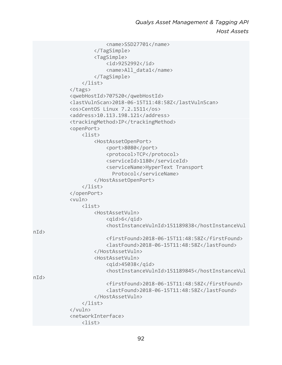```
 <name>SSD27701</name> 
                       </TagSimple> 
                       <TagSimple> 
                           <id>9252992</id> 
                           <name>All_data1</name> 
                       </TagSimple> 
                  </list> 
              </tags> 
              <qwebHostId>707520</qwebHostId> 
              <lastVulnScan>2018-06-15T11:48:58Z</lastVulnScan> 
              <os>CentOS Linux 7.2.1511</os> 
              <address>10.113.198.121</address> 
              <trackingMethod>IP</trackingMethod> 
              <openPort> 
                  <list> 
                       <HostAssetOpenPort> 
                           <port>8080</port> 
                           <protocol>TCP</protocol> 
                           <serviceId>1180</serviceId> 
                           <serviceName>HyperText Transport 
                             Protocol</serviceName>
                       </HostAssetOpenPort> 
                  </list> 
              </openPort> 
              <vuln> 
                  <list> 
                       <HostAssetVuln> 
                           <qid>6</qid> 
                           <hostInstanceVulnId>151189838</hostInstanceVul
n/d <firstFound>2018-06-15T11:48:58Z</firstFound> 
                           <lastFound>2018-06-15T11:48:58Z</lastFound> 
                       </HostAssetVuln> 
                       <HostAssetVuln> 
                           <qid>45038</qid> 
                           <hostInstanceVulnId>151189845</hostInstanceVul
nId> 
                           <firstFound>2018-06-15T11:48:58Z</firstFound> 
                           <lastFound>2018-06-15T11:48:58Z</lastFound> 
                       </HostAssetVuln> 
                  </list> 
              </vuln> 
              <networkInterface> 
                  <list>
```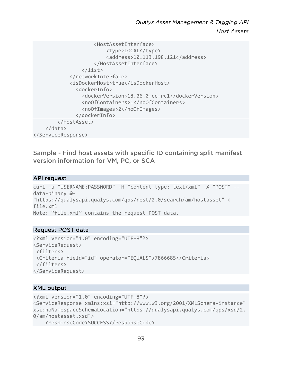```
 <HostAssetInterface> 
                           <type>LOCAL</type> 
                           <address>10.113.198.121</address> 
                       </HostAssetInterface> 
                  </list> 
              </networkInterface> 
              <isDockerHost>true</isDockerHost> 
                <dockerInfo> 
                   <dockerVersion>18.06.0-ce-rc1</dockerVersion> 
                  <noOfContainers>1</noOfContainers> 
                  <noOfImages>2</noOfImages> 
                </dockerInfo> 
          </HostAsset> 
     </data> 
</ServiceResponse>
```
Sample - Find host assets with specific ID containing split manifest version information for VM, PC, or SCA

#### API request

```
curl -u "USERNAME:PASSWORD" -H "content-type: text/xml" -X "POST" --
data-binary @- 
"https://qualysapi.qualys.com/qps/rest/2.0/search/am/hostasset" < 
file.xml 
Note: "file.xml" contains the request POST data.
```
#### Request POST data

```
<?xml version="1.0" encoding="UTF-8"?> 
<ServiceRequest> 
 <filters> 
 <Criteria field="id" operator="EQUALS">7866685</Criteria> 
 </filters> 
</ServiceRequest>
```
#### XML output

```
<?xml version="1.0" encoding="UTF-8"?> 
<ServiceResponse xmlns:xsi="http://www.w3.org/2001/XMLSchema-instance" 
xsi:noNamespaceSchemaLocation="https://qualysapi.qualys.com/qps/xsd/2.
0/am/hostasset.xsd">
```
<responseCode>SUCCESS</responseCode>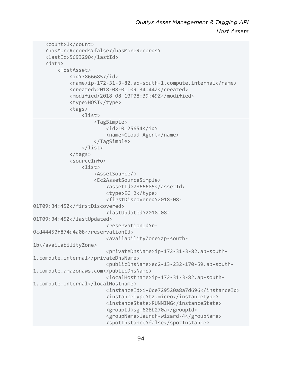```
 <count>1</count> 
     <hasMoreRecords>false</hasMoreRecords> 
     <lastId>5693290</lastId> 
     <data> 
         <HostAsset> 
              <id>7866685</id> 
              <name>ip-172-31-3-82.ap-south-1.compute.internal</name> 
              <created>2018-08-01T09:34:44Z</created> 
              <modified>2018-08-10T08:39:49Z</modified> 
              <type>HOST</type> 
              <tags> 
                  <list> 
                      <TagSimple> 
                           <id>10125654</id> 
                           <name>Cloud Agent</name> 
                       </TagSimple> 
                  </list> 
             \langle/tags>
              <sourceInfo> 
                  <list> 
                       <AssetSource/> 
                       <Ec2AssetSourceSimple> 
                           <assetId>7866685</assetId> 
                           <type>EC_2</type> 
                           <firstDiscovered>2018-08-
01T09:34:45Z</firstDiscovered> 
                           <lastUpdated>2018-08-
01T09:34:45Z</lastUpdated> 
                           <reservationId>r-
0cd44450f874d4a08</reservationId> 
                           <availabilityZone>ap-south-
1b</availabilityZone> 
                           <privateDnsName>ip-172-31-3-82.ap-south-
1.compute.internal</privateDnsName> 
                           <publicDnsName>ec2-13-232-170-59.ap-south-
1.compute.amazonaws.com</publicDnsName> 
                           <localHostname>ip-172-31-3-82.ap-south-
1.compute.internal</localHostname> 
                           <instanceId>i-0ce729520a8a7d696</instanceId> 
                           <instanceType>t2.micro</instanceType> 
                           <instanceState>RUNNING</instanceState> 
                           <groupId>sg-608b270a</groupId> 
                           <groupName>launch-wizard-4</groupName> 
                           <spotInstance>false</spotInstance>
```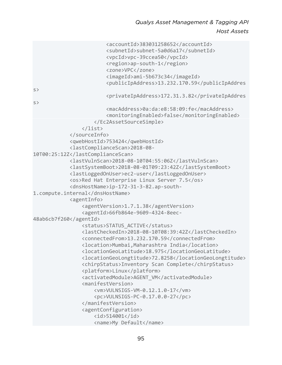```
 <accountId>383031258652</accountId> 
                          <subnetId>subnet-5a0d6a17</subnetId> 
                          <vpcId>vpc-39ccea50</vpcId> 
                          <region>ap-south-1</region> 
                          <zone>VPC</zone> 
                          <imageId>ami-5b673c34</imageId> 
                          <publicIpAddress>13.232.170.59</publicIpAddres
s> 
                          <privateIpAddress>172.31.3.82</privateIpAddres
s> 
                          <macAddress>0a:da:e8:58:09:fe</macAddress> 
                          <monitoringEnabled>false</monitoringEnabled> 
                      </Ec2AssetSourceSimple> 
                  </list> 
             </sourceInfo> 
             <qwebHostId>753424</qwebHostId> 
             <lastComplianceScan>2018-08-
10T00:25:12Z</lastComplianceScan> 
             <lastVulnScan>2018-08-10T04:55:06Z</lastVulnScan> 
             <lastSystemBoot>2018-08-01T09:23:42Z</lastSystemBoot> 
             <lastLoggedOnUser>ec2-user</lastLoggedOnUser> 
             <os>Red Hat Enterprise Linux Server 7.5</os> 
             <dnsHostName>ip-172-31-3-82.ap-south-
1.compute.internal</dnsHostName> 
             <agentInfo> 
                  <agentVersion>1.7.1.38</agentVersion> 
                  <agentId>66fb864e-9609-4324-8eec-
48ab6cb7f260</agentId> 
                  <status>STATUS_ACTIVE</status> 
                  <lastCheckedIn>2018-08-10T08:39:42Z</lastCheckedIn> 
                  <connectedFrom>13.232.170.59</connectedFrom> 
                  <location>Mumbai,Maharashtra India</location> 
                  <locationGeoLatitude>18.975</locationGeoLatitude> 
                  <locationGeoLongtitude>72.8258</locationGeoLongtitude> 
                  <chirpStatus>Inventory Scan Complete</chirpStatus> 
                  <platform>Linux</platform> 
                  <activatedModule>AGENT_VM</activatedModule> 
                  <manifestVersion> 
                      <vm>VULNSIGS-VM-0.12.1.0-17</vm> 
                      <pc>VULNSIGS-PC-0.17.0.0-27</pc> 
                  </manifestVersion> 
                  <agentConfiguration> 
                      <id>514001</id> 
                      <name>My Default</name>
```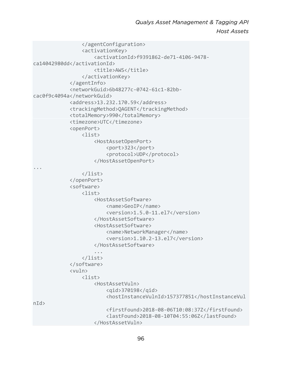```
 </agentConfiguration> 
                  <activationKey> 
                       <activationId>f9391862-de71-4106-9478-
ca14042980dd</activationId> 
                       <title>AWS</title> 
                  </activationKey> 
              </agentInfo> 
              <networkGuid>6b48277c-0742-61c1-82bb-
cac0f9c4094a</networkGuid> 
              <address>13.232.170.59</address> 
              <trackingMethod>QAGENT</trackingMethod> 
              <totalMemory>990</totalMemory> 
              <timezone>UTC</timezone> 
              <openPort> 
                  <list> 
                       <HostAssetOpenPort> 
                           <port>323</port> 
                           <protocol>UDP</protocol> 
                       </HostAssetOpenPort> 
... 
                  </list> 
              </openPort> 
              <software> 
                  <list> 
                       <HostAssetSoftware> 
                           <name>GeoIP</name> 
                           <version>1.5.0-11.el7</version> 
                       </HostAssetSoftware> 
                       <HostAssetSoftware> 
                           <name>NetworkManager</name> 
                           <version>1.10.2-13.el7</version> 
                       </HostAssetSoftware> 
 ... 
                  </list> 
              </software> 
              <vuln> 
                  <list> 
                       <HostAssetVuln> 
                           <qid>370198</qid> 
                           <hostInstanceVulnId>157377851</hostInstanceVul
n/d <firstFound>2018-08-06T10:08:37Z</firstFound> 
                           <lastFound>2018-08-10T04:55:06Z</lastFound> 
                       </HostAssetVuln>
```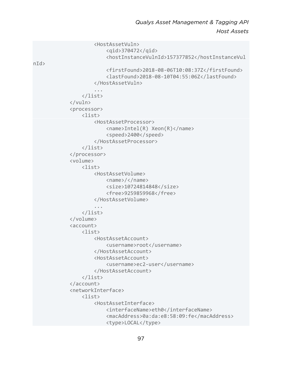```
 <HostAssetVuln> 
                           <qid>370472</qid> 
                           <hostInstanceVulnId>157377852</hostInstanceVul
n/d <firstFound>2018-08-06T10:08:37Z</firstFound> 
                           <lastFound>2018-08-10T04:55:06Z</lastFound> 
                      </HostAssetVuln> 
 ... 
                  </list> 
              </vuln> 
              <processor> 
                  <list> 
                      <HostAssetProcessor> 
                           <name>Intel(R) Xeon(R)</name> 
                           <speed>2400</speed> 
                      </HostAssetProcessor> 
                  </list> 
              </processor> 
              <volume> 
                  <list> 
                      <HostAssetVolume> 
                           <name>/</name> 
                           <size>10724814848</size> 
                           <free>9259859968</free> 
                      </HostAssetVolume> 
 ... 
                  </list> 
              </volume> 
              <account> 
                  <list> 
                      <HostAssetAccount> 
                           <username>root</username> 
                      </HostAssetAccount> 
                      <HostAssetAccount> 
                           <username>ec2-user</username> 
                      </HostAssetAccount> 
                  </list> 
              </account> 
              <networkInterface> 
                  <list> 
                      <HostAssetInterface> 
                           <interfaceName>eth0</interfaceName> 
                           <macAddress>0a:da:e8:58:09:fe</macAddress> 
                           <type>LOCAL</type>
```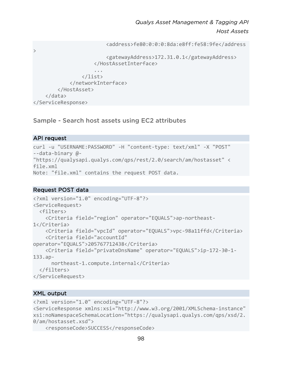```
 <address>fe80:0:0:0:8da:e8ff:fe58:9fe</address
\rightarrow <gatewayAddress>172.31.0.1</gatewayAddress> 
                      </HostAssetInterface> 
 ... 
                 </list> 
             </networkInterface> 
         </HostAsset> 
     </data> 
</ServiceResponse>
```
Sample - Search host assets using EC2 attributes

#### API request

```
curl -u "USERNAME:PASSWORD" -H "content-type: text/xml" -X "POST" 
--data-binary @- 
"https://qualysapi.qualys.com/qps/rest/2.0/search/am/hostasset" < 
file.xml 
Note: "file.xml" contains the request POST data.
```
#### Request POST data

```
<?xml version="1.0" encoding="UTF-8"?> 
<ServiceRequest> 
   <filters> 
     <Criteria field="region" operator="EQUALS">ap-northeast-
1</Criteria> 
     <Criteria field="vpcId" operator="EQUALS">vpc-98a11ffd</Criteria> 
     <Criteria field="accountId" 
operator="EQUALS">205767712438</Criteria> 
     <Criteria field="privateDnsName" operator="EQUALS">ip-172-30-1-
133.ap- 
       northeast-1.compute.internal</Criteria> 
   </filters> 
</ServiceRequest>
```

```
<?xml version="1.0" encoding="UTF-8"?> 
<ServiceResponse xmlns:xsi="http://www.w3.org/2001/XMLSchema-instance" 
xsi:noNamespaceSchemaLocation="https://qualysapi.qualys.com/qps/xsd/2.
0/am/hostasset.xsd"> 
     <responseCode>SUCCESS</responseCode>
```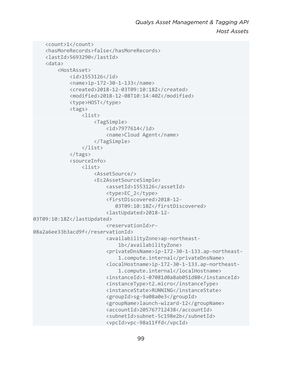```
 <count>1</count> 
     <hasMoreRecords>false</hasMoreRecords> 
     <lastId>5693290</lastId> 
     <data> 
         <HostAsset> 
              <id>1553126</id> 
              <name>ip-172-30-1-133</name> 
              <created>2018-12-03T09:10:18Z</created> 
              <modified>2018-12-08T10:14:40Z</modified> 
              <type>HOST</type> 
              <tags> 
                  <list> 
                       <TagSimple> 
                           <id>7977614</id> 
                           <name>Cloud Agent</name> 
                       </TagSimple> 
                  </list> 
              </tags> 
              <sourceInfo> 
                  <list> 
                       <AssetSource/> 
                       <Ec2AssetSourceSimple> 
                           <assetId>1553126</assetId> 
                           <type>EC_2</type> 
                           <firstDiscovered>2018-12- 
                              03T09:10:18Z</firstDiscovered> 
                           <lastUpdated>2018-12-
03T09:10:18Z</lastUpdated> 
                           <reservationId>r-
08a2a6ee33b3acd9f</reservationId> 
                           <availabilityZone>ap-northeast- 
                                1b</availabilityZone> 
                           <privateDnsName>ip-172-30-1-133.ap-northeast- 
                                1.compute.internal</privateDnsName> 
                           <localHostname>ip-172-30-1-133.ap-northeast- 
                                1.compute.internal</localHostname> 
                           <instanceId>i-07081d0a8ab051d80</instanceId> 
                           <instanceType>t2.micro</instanceType> 
                           <instanceState>RUNNING</instanceState> 
                           <groupId>sg-9a08a0e3</groupId> 
                           <groupName>launch-wizard-12</groupName> 
                           <accountId>205767712438</accountId> 
                           <subnetId>subnet-5c198e2b</subnetId> 
                           <vpcId>vpc-98a11ffd</vpcId>
```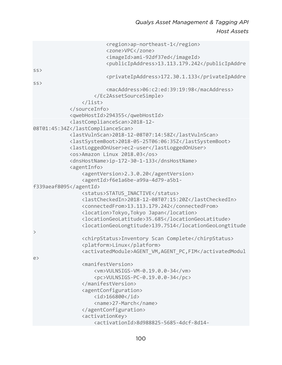|                         | <region>ap-northeast-1</region>                          |
|-------------------------|----------------------------------------------------------|
|                         | <zone>VPC</zone>                                         |
|                         | <imageid>ami-92df37ed</imageid>                          |
|                         | <publicipaddress>13.113.179.242</publicipaddress>        |
| SS                      |                                                          |
|                         | <privateipaddress>172.30.1.133</privateipaddress>        |
| SS                      |                                                          |
|                         | <macaddress>06:c2:ed:39:19:98</macaddress>               |
|                         |                                                          |
| $\langle$ /list>        |                                                          |
|                         |                                                          |
|                         | <qwebhostid>294355</qwebhostid>                          |
|                         | <lastcompliancescan>2018-12-</lastcompliancescan>        |
| 08T01:45:34Z            |                                                          |
|                         | <lastvulnscan>2018-12-08T07:14:58Z</lastvulnscan>        |
|                         | <lastsystemboot>2018-05-25T06:06:35Z</lastsystemboot>    |
|                         | <lastloggedonuser>ec2-user</lastloggedonuser>            |
|                         | <os>Amazon Linux 2018.03</os>                            |
|                         | <dnshostname>ip-172-30-1-133</dnshostname>               |
| <agentinfo></agentinfo> |                                                          |
|                         | <agentversion>2.3.0.20</agentversion>                    |
|                         | <agentid>f6e1a6be-a99a-4d79-a5b1-</agentid>              |
| f339aeaf8095            |                                                          |
|                         | <status>STATUS_INACTIVE</status>                         |
|                         | <lastcheckedin>2018-12-08T07:15:20Z</lastcheckedin>      |
|                         | <connectedfrom>13.113.179.242</connectedfrom>            |
|                         | <location>Tokyo, Tokyo Japan</location>                  |
|                         | <locationgeolatitude>35.685</locationgeolatitude>        |
|                         | <locationgeolongtitude>139.7514</locationgeolongtitude>  |
| $\geq$                  |                                                          |
|                         | <chirpstatus>Inventory Scan Complete</chirpstatus>       |
|                         | <platform>Linux</platform>                               |
|                         | <activatedmodule>AGENT_VM,AGENT_PC,FIM</activatedmodule> |
| $\epsilon$              |                                                          |
|                         | <manifestversion></manifestversion>                      |
|                         | <vm>VULNSIGS-VM-0.19.0.0-34</vm>                         |
|                         | <pc>VULNSIGS-PC-0.19.0.0-34</pc>                         |
|                         |                                                          |
|                         | <agentconfiguration></agentconfiguration>                |
|                         | $\langle$ id>166800                                      |
|                         | <name>27-March</name>                                    |
|                         |                                                          |
|                         | <activationkey></activationkey>                          |
|                         | <activationid>8d988825-5685-4dcf-8d14-</activationid>    |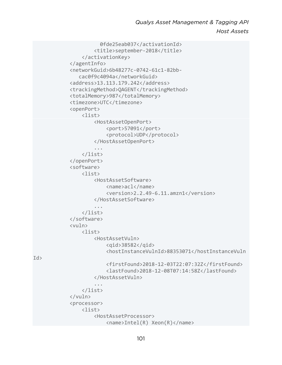```
 0fde25eab037</activationId> 
                      <title>september-2018</title> 
                 </activationKey> 
             </agentInfo> 
             <networkGuid>6b48277c-0742-61c1-82bb- 
                cac0f9c4094a</networkGuid> 
             <address>13.113.179.242</address> 
             <trackingMethod>QAGENT</trackingMethod> 
             <totalMemory>987</totalMemory> 
             <timezone>UTC</timezone> 
             <openPort> 
                 <list> 
                      <HostAssetOpenPort> 
                          <port>57091</port> 
                          <protocol>UDP</protocol> 
                      </HostAssetOpenPort> 
 ... 
                 </list> 
             </openPort> 
             <software> 
                 <list> 
                      <HostAssetSoftware> 
                          <name>acl</name> 
                          <version>2.2.49-6.11.amzn1</version> 
                      </HostAssetSoftware> 
 ... 
                 </list> 
             </software> 
             <vuln> 
                 <list> 
                      <HostAssetVuln> 
                          <qid>38582</qid> 
                          <hostInstanceVulnId>88353071</hostInstanceVuln
                          <firstFound>2018-12-03T22:07:32Z</firstFound> 
                          <lastFound>2018-12-08T07:14:58Z</lastFound> 
                      </HostAssetVuln> 
 ... 
                 </list> 
             </vuln> 
             <processor> 
                 <list> 
                      <HostAssetProcessor> 
                          <name>Intel(R) Xeon(R)</name>
```
Id>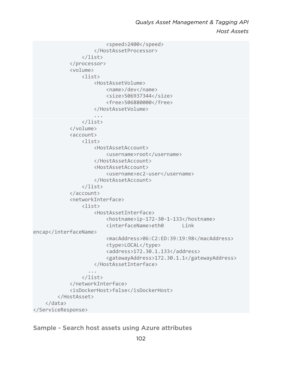```
 <speed>2400</speed> 
                      </HostAssetProcessor> 
                  </list> 
              </processor> 
              <volume> 
                  <list> 
                      <HostAssetVolume> 
                           <name>/dev</name> 
                           <size>506937344</size> 
                           <free>506880000</free> 
                      </HostAssetVolume> 
 ... 
                  </list> 
              </volume> 
              <account> 
                  <list> 
                      <HostAssetAccount> 
                           <username>root</username> 
                      </HostAssetAccount> 
                      <HostAssetAccount> 
                           <username>ec2-user</username> 
                      </HostAssetAccount> 
                  </list> 
              </account> 
              <networkInterface> 
                 \langlelist\rangle <HostAssetInterface> 
                           <hostname>ip-172-30-1-133</hostname> 
                           <interfaceName>eth0 Link 
encap</interfaceName>
                           <macAddress>06:C2:ED:39:19:98</macAddress> 
                           <type>LOCAL</type> 
                           <address>172.30.1.133</address> 
                           <gatewayAddress>172.30.1.1</gatewayAddress> 
                      </HostAssetInterface> 
 ... 
                  </list> 
              </networkInterface> 
              <isDockerHost>false</isDockerHost> 
         </HostAsset> 
     </data> 
</ServiceResponse>
```

```
Sample - Search host assets using Azure attributes
```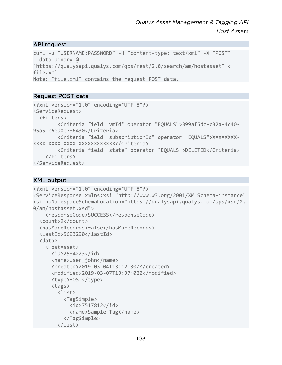#### API request

```
curl -u "USERNAME:PASSWORD" -H "content-type: text/xml" -X "POST" 
--data-binary @- 
"https://qualysapi.qualys.com/qps/rest/2.0/search/am/hostasset" < 
file.xml 
Note: "file.xml" contains the request POST data.
```
# Request POST data

```
<?xml version="1.0" encoding="UTF-8"?> 
<ServiceRequest> 
   <filters> 
         <Criteria field="vmId" operator="EQUALS">399af5dc-c32a-4c40-
95a5-c6ed0e786430</Criteria> 
         <Criteria field="subscriptionId" operator="EQUALS">XXXXXXXX-
XXXX-XXXX-XXXX-XXXXXXXXXXXX</Criteria> 
         <Criteria field="state" operator="EQUALS">DELETED</Criteria> 
     </filters> 
</ServiceRequest>
```

```
<?xml version="1.0" encoding="UTF-8"?> 
<ServiceResponse xmlns:xsi="http://www.w3.org/2001/XMLSchema-instance" 
xsi:noNamespaceSchemaLocation="https://qualysapi.qualys.com/qps/xsd/2.
0/am/hostasset.xsd"> 
     <responseCode>SUCCESS</responseCode> 
   <count>9</count> 
   <hasMoreRecords>false</hasMoreRecords> 
   <lastId>5693290</lastId> 
   <data> 
     <HostAsset> 
       <id>2584223</id> 
       <name>user_john</name> 
       <created>2019-03-04T13:12:30Z</created> 
       <modified>2019-03-07T13:37:02Z</modified> 
       <type>HOST</type> 
       <tags> 
         <list> 
            <TagSimple> 
              <id>7517812</id> 
              <name>Sample Tag</name> 
            </TagSimple> 
         </list>
```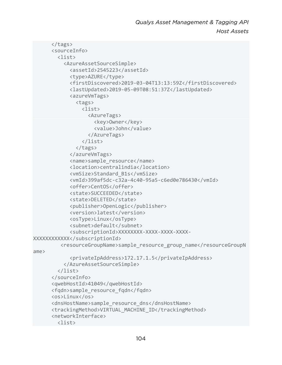```
 </tags> 
       <sourceInfo> 
         <list> 
            <AzureAssetSourceSimple> 
              <assetId>2545223</assetId> 
              <type>AZURE</type> 
              <firstDiscovered>2019-03-04T13:13:59Z</firstDiscovered> 
              <lastUpdated>2019-05-09T08:51:37Z</lastUpdated> 
              <azureVmTags> 
                <tags> 
                  <list> 
                    <AzureTags> 
                       <key>Owner</key> 
                       <value>John</value> 
                     </AzureTags> 
                  </list> 
                </tags> 
              </azureVmTags> 
              <name>sample_resource</name> 
              <location>centralindia</location> 
              <vmSize>Standard_B1s</vmSize> 
              <vmId>399af5dc-c32a-4c40-95a5-c6ed0e786430</vmId> 
              <offer>CentOS</offer> 
              <state>SUCCEEDED</state> 
              <state>DELETED</state> 
              <publisher>OpenLogic</publisher> 
              <version>latest</version> 
              <osType>Linux</osType> 
              <subnet>default</subnet> 
              <subscriptionId>XXXXXXXX-XXXX-XXXX-XXXX-
XXXXXXXXXXXX</subscriptionId> 
          <resourceGroupName>sample_resource_group_name</resourceGroupN
ame> 
              <privateIpAddress>172.17.1.5</privateIpAddress> 
            </AzureAssetSourceSimple> 
         </list> 
       </sourceInfo> 
       <qwebHostId>41049</qwebHostId> 
       <fqdn>sample_resource_fqdn</fqdn> 
       <os>Linux</os> 
       <dnsHostName>sample_resource_dns</dnsHostName> 
       <trackingMethod>VIRTUAL_MACHINE_ID</trackingMethod> 
       <networkInterface> 
         <list>
```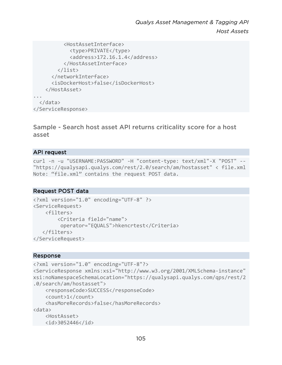```
 <HostAssetInterface> 
              <type>PRIVATE</type> 
              <address>172.16.1.4</address> 
            </HostAssetInterface> 
          </list> 
       </networkInterface> 
       <isDockerHost>false</isDockerHost> 
     </HostAsset> 
... 
   </data> 
</ServiceResponse>
```
Sample - Search host asset API returns criticality score for a host asset

#### API request

curl -n -u "USERNAME:PASSWORD" -H "content-type: text/xml"-X "POST" -- "https://qualysapi.qualys.com/rest/2.0/search/am/hostasset" < file.xml Note: "file.xml" contains the request POST data.

#### Request POST data

```
<?xml version="1.0" encoding="UTF-8" ?> 
<ServiceRequest> 
     <filters> 
         <Criteria field="name"> 
          operator="EQUALS">hkencrtest</Criteria> 
    </filters> 
</ServiceRequest>
```
#### Response

```
<?xml version="1.0" encoding="UTF-8"?> 
<ServiceResponse xmlns:xsi="http://www.w3.org/2001/XMLSchema-instance" 
xsi:noNamespaceSchemaLocation="https://qualysapi.qualys.com/qps/rest/2
.0/search/am/hostasset"> 
     <responseCode>SUCCESS</responseCode> 
     <count>1</count> 
     <hasMoreRecords>false</hasMoreRecords> 
<data> 
     <HostAsset> 
     <id>3052446</id>
```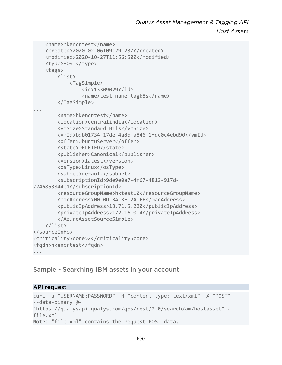```
 <name>hkencrtest</name> 
     <created>2020-02-06T09:29:23Z</created> 
     <modified>2020-10-27T11:56:50Z</modified> 
     <type>HOST</type> 
     <tags> 
         <list> 
             <TagSimple> 
                  <id>13309029</id> 
                  <name>test-name-tagk8s</name> 
         </TagSimple> 
... 
         <name>hkencrtest</name> 
         <location>centralindia</location> 
         <vmSize>Standard_B1ls</vmSize> 
         <vmId>bdb01734-17de-4a8b-a846-1fdc0c4ebd90</vmId> 
         <offer>UbuntuServer</offer> 
         <state>DELETED</state> 
         <publisher>Canonical</publisher> 
         <version>latest</version> 
         <osType>Linux</osType> 
         <subnet>default</subnet> 
         <subscriptionId>9de9e0a7-4f67-4812-917d-
2246853844e1</subscriptionId> 
         <resourceGroupName>hktest10</resourceGroupName> 
         <macAddress>00-0D-3A-3E-2A-EE</macAddress> 
         <publicIpAddress>13.71.5.220</publicIpAddress> 
         <privateIpAddress>172.16.0.4</privateIpAddress> 
         </AzureAssetSourceSimple> 
     </list> 
</sourceInfo> 
<criticalityScore>2</criticalityScore> 
<fqdn>hkencrtest</fqdn> 
...
```
#### Sample - Searching IBM assets in your account

#### API request

```
curl -u "USERNAME:PASSWORD" -H "content-type: text/xml" -X "POST" 
--data-binary @- 
"https://qualysapi.qualys.com/qps/rest/2.0/search/am/hostasset" < 
file.xml 
Note: "file.xml" contains the request POST data.
```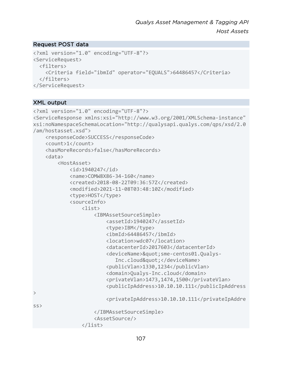# Request POST data

```
<?xml version="1.0" encoding="UTF-8"?> 
<ServiceRequest> 
   <filters> 
     <Criteria field="ibmId" operator="EQUALS">64486457</Criteria> 
   </filters> 
</ServiceRequest>
```

```
<?xml version="1.0" encoding="UTF-8"?> 
<ServiceResponse xmlns:xsi="http://www.w3.org/2001/XMLSchema-instance" 
xsi:noNamespaceSchemaLocation="http://qualysapi.qualys.com/qps/xsd/2.0
/am/hostasset.xsd"> 
     <responseCode>SUCCESS</responseCode> 
     <count>1</count> 
     <hasMoreRecords>false</hasMoreRecords> 
     <data> 
         <HostAsset> 
             <id>1940247</id> 
             <name>COMW8X86-34-160</name> 
             <created>2018-08-22T09:36:57Z</created> 
             <modified>2021-11-08T03:48:10Z</modified> 
             <type>HOST</type> 
             <sourceInfo> 
                  <list> 
                      <IBMAssetSourceSimple> 
                          <assetId>1940247</assetId> 
                         <type>IBM</type>
                          <ibmId>64486457</ibmId> 
                          <location>wdc07</location> 
                          <datacenterId>2017603</datacenterId> 
                         <deviceName>&quot;sme-centos01.Qualys-
                             Inc.cloud"</deviceName>
                          <publicVlan>1330,1234</publicVlan> 
                          <domain>Qualys-Inc.cloud</domain> 
                          <privateVlan>1473,1474,1500</privateVlan> 
                          <publicIpAddress>10.10.10.111</publicIpAddress
> 
                          <privateIpAddress>10.10.10.111</privateIpAddre
S </IBMAssetSourceSimple> 
                      <AssetSource/> 
                  </list>
```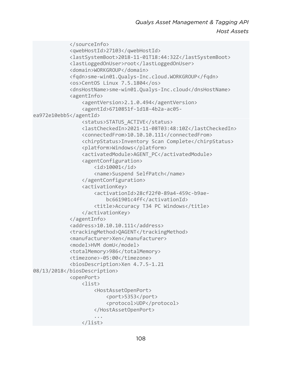```
 </sourceInfo> 
             <qwebHostId>27103</qwebHostId> 
             <lastSystemBoot>2018-11-01T18:44:32Z</lastSystemBoot> 
             <lastLoggedOnUser>root</lastLoggedOnUser> 
             <domain>WORKGROUP</domain> 
             <fqdn>sme-win01.Qualys-Inc.cloud.WORKGROUP</fqdn> 
             <os>CentOS Linux 7.5.1804</os> 
             <dnsHostName>sme-win01.Qualys-Inc.cloud</dnsHostName> 
             <agentInfo> 
                  <agentVersion>2.1.0.494</agentVersion> 
                  <agentId>6710851f-1d18-4b2a-ac05-
ea972e10ebb5</agentId> 
                  <status>STATUS_ACTIVE</status> 
                  <lastCheckedIn>2021-11-08T03:48:10Z</lastCheckedIn> 
                  <connectedFrom>10.10.10.111</connectedFrom> 
                  <chirpStatus>Inventory Scan Complete</chirpStatus> 
                  <platform>Windows</platform> 
                  <activatedModule>AGENT_PC</activatedModule> 
                  <agentConfiguration> 
                      <id>10001</id> 
                      <name>Suspend SelfPatch</name> 
                  </agentConfiguration> 
                  <activationKey> 
                      <activationId>28cf22f0-89a4-459c-b9ae- 
                          bc661901c4ff</activationId> 
                      <title>Accuracy T34 PC Windows</title> 
                  </activationKey> 
             </agentInfo> 
             <address>10.10.10.111</address> 
             <trackingMethod>QAGENT</trackingMethod> 
             <manufacturer>Xen</manufacturer> 
             <model>HVM domU</model> 
              <totalMemory>986</totalMemory> 
             <timezone>-05:00</timezone> 
             <biosDescription>Xen 4.7.5-1.21 
08/13/2018</biosDescription> 
             <openPort> 
                  <list> 
                      <HostAssetOpenPort> 
                          <port>5353</port> 
                          <protocol>UDP</protocol> 
                      </HostAssetOpenPort> 
 ... 
                  </list>
```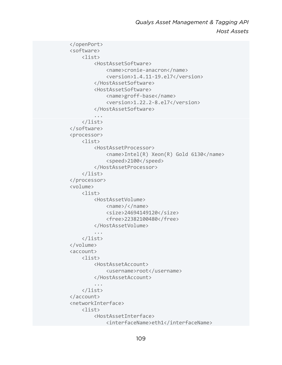```
 </openPort> 
             <software> 
                 <list> 
                      <HostAssetSoftware> 
                          <name>cronie-anacron</name> 
                          <version>1.4.11-19.el7</version> 
                      </HostAssetSoftware> 
                      <HostAssetSoftware> 
                          <name>groff-base</name> 
                          <version>1.22.2-8.el7</version> 
                      </HostAssetSoftware> 
 ... 
                 </list> 
             </software> 
             <processor> 
                 <list> 
                      <HostAssetProcessor> 
                          <name>Intel(R) Xeon(R) Gold 6130</name> 
                          <speed>2100</speed> 
                      </HostAssetProcessor> 
                 </list> 
             </processor> 
             <volume> 
                 <list> 
                      <HostAssetVolume> 
                          <name>/</name> 
                          <size>24694149120</size> 
                          <free>22382100480</free> 
                      </HostAssetVolume> 
 ... 
                 </list> 
             </volume> 
             <account> 
                 <list> 
                      <HostAssetAccount> 
                          <username>root</username> 
                      </HostAssetAccount> 
 ... 
                 </list> 
             </account> 
             <networkInterface> 
                 <list> 
                      <HostAssetInterface> 
                          <interfaceName>eth1</interfaceName>
```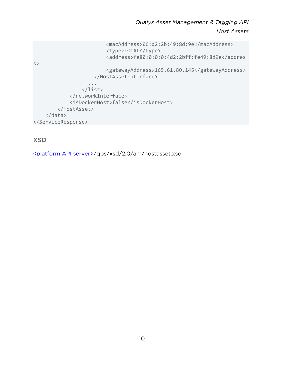```
 <macAddress>06:d2:2b:49:8d:9e</macAddress> 
                           <type>LOCAL</type> 
                           <address>fe80:0:0:0:4d2:2bff:fe49:8d9e</addres
s> 
                           <gatewayAddress>169.61.80.145</gatewayAddress> 
                       </HostAssetInterface> 
                     ... 
                  </list> 
              </networkInterface> 
              <isDockerHost>false</isDockerHost> 
          </HostAsset> 
     </data> 
</ServiceResponse>
```
# XSD

[<platform API server>/](#page-8-0)qps/xsd/2.0/am/hostasset.xsd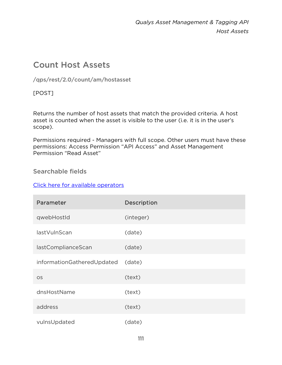# Count Host Assets

/qps/rest/2.0/count/am/hostasset

[POST]

Returns the number of host assets that match the provided criteria. A host asset is counted when the asset is visible to the user (i.e. it is in the user's scope).

Permissions required - Managers with full scope. Other users must have these permissions: Access Permission "API Access" and Asset Management Permission "Read Asset"

# Searchable fields

# [Click here for available operators](#page-16-0)

| Parameter                  | Description |
|----------------------------|-------------|
| qwebHostId                 | (integer)   |
| lastVulnScan               | (date)      |
| lastComplianceScan         | (date)      |
| informationGatheredUpdated | (date)      |
| <b>OS</b>                  | (text)      |
| dnsHostName                | (text)      |
| address                    | (text)      |
| vulnsUpdated               | (date)      |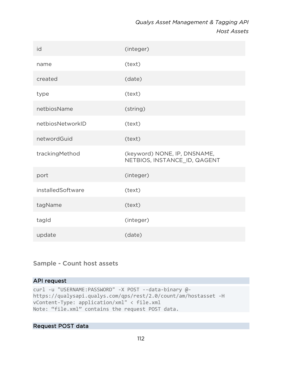| id                | (integer)                                                    |
|-------------------|--------------------------------------------------------------|
| name              | (text)                                                       |
| created           | (date)                                                       |
| type              | (text)                                                       |
| netbiosName       | (string)                                                     |
| netbiosNetworkID  | (text)                                                       |
| networdGuid       | (text)                                                       |
| trackingMethod    | (keyword) NONE, IP, DNSNAME,<br>NETBIOS, INSTANCE_ID, QAGENT |
| port              | (integer)                                                    |
| installedSoftware | (text)                                                       |
| tagName           | (text)                                                       |
| tagld             | (integer)                                                    |
| update            | (date)                                                       |

# Sample - Count host assets

### API request

curl -u "USERNAME:PASSWORD" -X POST --data-binary @ https://qualysapi.qualys.com/qps/rest/2.0/count/am/hostasset -H vContent-Type: application/xml" < file.xml Note: "file.xml" contains the request POST data.

# Request POST data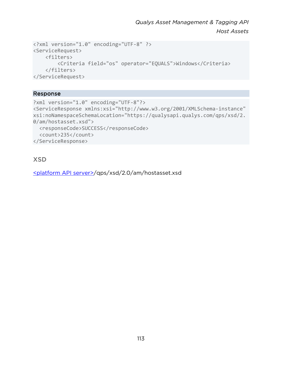```
<?xml version="1.0" encoding="UTF-8" ?> 
<ServiceRequest> 
     <filters> 
         <Criteria field="os" operator="EQUALS">Windows</Criteria> 
     </filters> 
</ServiceRequest>
```
#### Response

```
?xml version="1.0" encoding="UTF-8"?> 
<ServiceResponse xmlns:xsi="http://www.w3.org/2001/XMLSchema-instance" 
xsi:noNamespaceSchemaLocation="https://qualysapi.qualys.com/qps/xsd/2.
0/am/hostasset.xsd"> 
   <responseCode>SUCCESS</responseCode> 
   <count>235</count> 
</ServiceResponse>
```
# XSD

[<platform API server>/](#page-8-0)qps/xsd/2.0/am/hostasset.xsd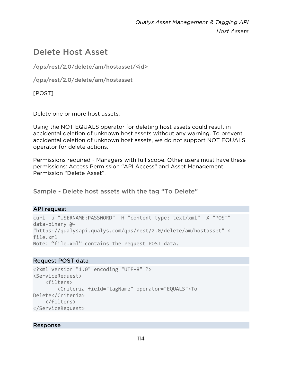# Delete Host Asset

/qps/rest/2.0/delete/am/hostasset/<id>

/qps/rest/2.0/delete/am/hostasset

[POST]

Delete one or more host assets.

Using the NOT EQUALS operator for deleting host assets could result in accidental deletion of unknown host assets without any warning. To prevent accidental deletion of unknown host assets, we do not support NOT EQUALS operator for delete actions.

Permissions required - Managers with full scope. Other users must have these permissions: Access Permission "API Access" and Asset Management Permission "Delete Asset".

Sample - Delete host assets with the tag "To Delete"

# API request

```
curl -u "USERNAME:PASSWORD" -H "content-type: text/xml" -X "POST" --
data-binary @- 
"https://qualysapi.qualys.com/qps/rest/2.0/delete/am/hostasset" < 
file.xml 
Note: "file.xml" contains the request POST data.
```
# Request POST data

```
<?xml version="1.0" encoding="UTF-8" ?> 
<ServiceRequest> 
     <filters> 
         <Criteria field="tagName" operator="EQUALS">To 
Delete</Criteria> 
     </filters> 
</ServiceRequest>
```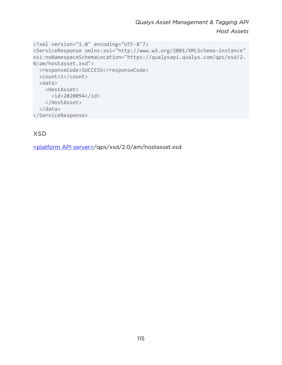```
<?xml version="1.0" encoding="UTF-8"?> 
<ServiceResponse xmlns:xsi="http://www.w3.org/2001/XMLSchema-instance" 
xsi:noNamespaceSchemaLocation="https://qualysapi.qualys.com/qps/xsd/2.
0/am/hostasset.xsd"> 
   <responseCode>SUCCESS</responseCode> 
   <count>1</count> 
   <data> 
     <HostAsset> 
       <id>2020094</id> 
     </HostAsset> 
   </data> 
</ServiceResponse>
```
# XSD

[<platform API server>/](#page-8-0)qps/xsd/2.0/am/hostasset.xsd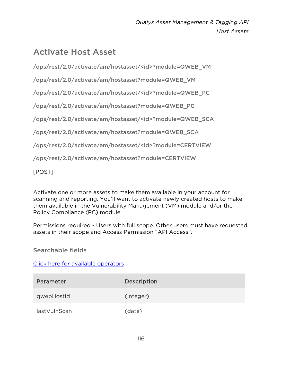# Activate Host Asset

/qps/rest/2.0/activate/am/hostasset/<id>?module=QWEB\_VM

/qps/rest/2.0/activate/am/hostasset?module=QWEB\_VM

/qps/rest/2.0/activate/am/hostasset/<id>?module=QWEB\_PC

/qps/rest/2.0/activate/am/hostasset?module=QWEB\_PC

/qps/rest/2.0/activate/am/hostasset/<id>?module=QWEB\_SCA

/qps/rest/2.0/activate/am/hostasset?module=QWEB\_SCA

/qps/rest/2.0/activate/am/hostasset/<id>?module=CERTVIEW

/qps/rest/2.0/activate/am/hostasset?module=CERTVIEW

[POST]

Activate one or more assets to make them available in your account for scanning and reporting. You'll want to activate newly created hosts to make them available in the Vulnerability Management (VM) module and/or the Policy Compliance (PC) module.

Permissions required - Users with full scope. Other users must have requested assets in their scope and Access Permission "API Access".

Searchable fields

[Click here for available operators](#page-16-0)

| Parameter    | Description |
|--------------|-------------|
| qwebHostId   | (integer)   |
| lastVulnScan | (date)      |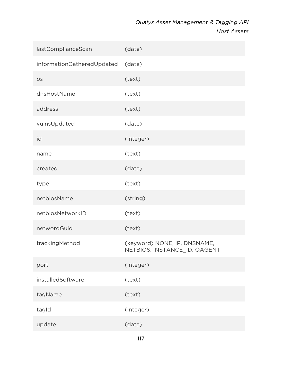| lastComplianceScan         | (date)                                                       |
|----------------------------|--------------------------------------------------------------|
| informationGatheredUpdated | (date)                                                       |
| <b>OS</b>                  | (text)                                                       |
| dnsHostName                | (text)                                                       |
| address                    | (text)                                                       |
| vulnsUpdated               | (date)                                                       |
| id                         | (integer)                                                    |
| name                       | (text)                                                       |
| created                    | (date)                                                       |
| type                       | (text)                                                       |
| netbiosName                | (string)                                                     |
| netbiosNetworkID           | (text)                                                       |
| networdGuid                | (text)                                                       |
| trackingMethod             | (keyword) NONE, IP, DNSNAME,<br>NETBIOS, INSTANCE_ID, QAGENT |
| port                       | (integer)                                                    |
| installedSoftware          | (text)                                                       |
| tagName                    | (text)                                                       |
| tagld                      | (integer)                                                    |
| update                     | (date)                                                       |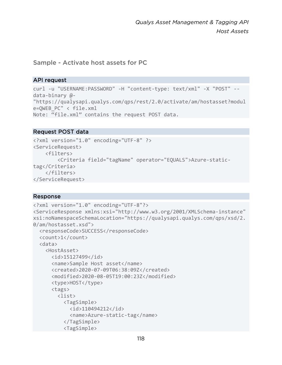### Sample - Activate host assets for PC

#### API request

```
curl -u "USERNAME:PASSWORD" -H "content-type: text/xml" -X "POST" --
data-binary @- 
"https://qualysapi.qualys.com/qps/rest/2.0/activate/am/hostasset?modul
e=QWEB_PC" < file.xml 
Note: "file.xml" contains the request POST data.
```
#### Request POST data

```
<?xml version="1.0" encoding="UTF-8" ?> 
<ServiceRequest> 
     <filters> 
         <Criteria field="tagName" operator="EQUALS">Azure-static-
tag</Criteria> 
     </filters> 
</ServiceRequest>
```

```
<?xml version="1.0" encoding="UTF-8"?> 
<ServiceResponse xmlns:xsi="http://www.w3.org/2001/XMLSchema-instance" 
xsi:noNamespaceSchemaLocation="https://qualysapi.qualys.com/qps/xsd/2.
0/am/hostasset.xsd"> 
   <responseCode>SUCCESS</responseCode> 
   <count>1</count> 
   <data> 
     <HostAsset> 
       <id>15127499</id> 
       <name>Sample Host asset</name> 
       <created>2020-07-09T06:38:09Z</created> 
       <modified>2020-08-05T19:00:23Z</modified> 
       <type>HOST</type> 
       <tags> 
         <list> 
            <TagSimple> 
              <id>110494212</id> 
              <name>Azure-static-tag</name> 
            </TagSimple> 
            <TagSimple>
```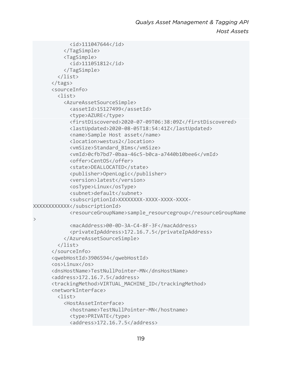```
 <id>111047644</id> 
            </TagSimple> 
            <TagSimple> 
              <id>111051812</id> 
            </TagSimple> 
         </list> 
       </tags> 
       <sourceInfo> 
         <list> 
            <AzureAssetSourceSimple> 
              <assetId>15127499</assetId> 
              <type>AZURE</type> 
              <firstDiscovered>2020-07-09T06:38:09Z</firstDiscovered> 
              <lastUpdated>2020-08-05T18:54:41Z</lastUpdated> 
              <name>Sample Host asset</name> 
              <location>westus2</location> 
              <vmSize>Standard_B1ms</vmSize> 
              <vmId>0cfb7bd7-0baa-46c5-b0ca-a7440b10bee6</vmId> 
              <offer>CentOS</offer> 
              <state>DEALLOCATED</state> 
              <publisher>OpenLogic</publisher> 
              <version>latest</version> 
              <osType>Linux</osType> 
              <subnet>default</subnet> 
              <subscriptionId>XXXXXXXX-XXXX-XXXX-XXXX-
XXXXXXXXXXXX</subscriptionId> 
              <resourceGroupName>sample_resourcegroup</resourceGroupName
> 
              <macAddress>00-0D-3A-C4-8F-3F</macAddress> 
              <privateIpAddress>172.16.7.5</privateIpAddress> 
            </AzureAssetSourceSimple> 
         </list> 
       </sourceInfo> 
       <qwebHostId>3906594</qwebHostId> 
       <os>Linux</os> 
       <dnsHostName>TestNullPointer-MN</dnsHostName> 
       <address>172.16.7.5</address> 
       <trackingMethod>VIRTUAL_MACHINE_ID</trackingMethod> 
       <networkInterface> 
         <list> 
            <HostAssetInterface> 
              <hostname>TestNullPointer-MN</hostname> 
              <type>PRIVATE</type> 
              <address>172.16.7.5</address>
```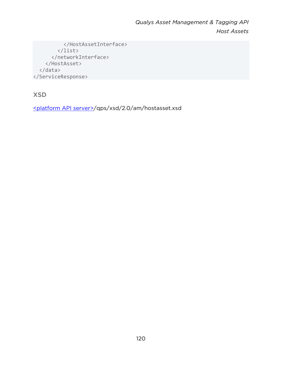```
 </HostAssetInterface> 
          </list> 
       </networkInterface> 
     </HostAsset> 
   </data> 
</ServiceResponse>
```
XSD

[<platform API server>/](#page-8-0)qps/xsd/2.0/am/hostasset.xsd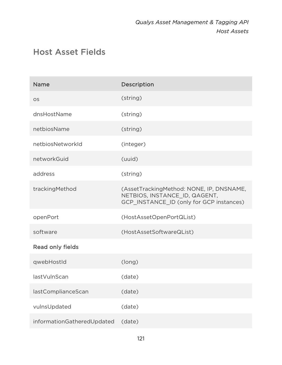# Host Asset Fields

| <b>Name</b>                | Description                                                                                                           |
|----------------------------|-----------------------------------------------------------------------------------------------------------------------|
| <b>OS</b>                  | (string)                                                                                                              |
| dnsHostName                | (string)                                                                                                              |
| netbiosName                | (string)                                                                                                              |
| netbiosNetworkId           | (integer)                                                                                                             |
| networkGuid                | (uuid)                                                                                                                |
| address                    | (string)                                                                                                              |
| trackingMethod             | (AssetTrackingMethod: NONE, IP, DNSNAME,<br>NETBIOS, INSTANCE_ID, QAGENT,<br>GCP_INSTANCE_ID (only for GCP instances) |
| openPort                   | (HostAssetOpenPortQList)                                                                                              |
| software                   | (HostAssetSoftwareQList)                                                                                              |
| Read only fields           |                                                                                                                       |
| qwebHostId                 | (long)                                                                                                                |
| lastVulnScan               | (date)                                                                                                                |
| lastComplianceScan         | (date)                                                                                                                |
| vulnsUpdated               | (date)                                                                                                                |
| informationGatheredUpdated | (date)                                                                                                                |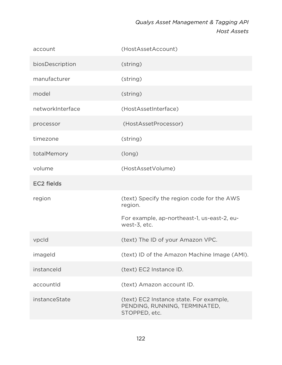| account           | (HostAssetAccount)                                                                        |
|-------------------|-------------------------------------------------------------------------------------------|
| biosDescription   | (string)                                                                                  |
| manufacturer      | (string)                                                                                  |
| model             | (string)                                                                                  |
| networkInterface  | (HostAssetInterface)                                                                      |
| processor         | (HostAssetProcessor)                                                                      |
| timezone          | (string)                                                                                  |
| totalMemory       | (long)                                                                                    |
| volume            | (HostAssetVolume)                                                                         |
| <b>EC2 fields</b> |                                                                                           |
| region            | (text) Specify the region code for the AWS<br>region.                                     |
|                   | For example, ap-northeast-1, us-east-2, eu-<br>west-3, etc.                               |
| vpcld             | (text) The ID of your Amazon VPC.                                                         |
| imageld           | (text) ID of the Amazon Machine Image (AMI).                                              |
| instanceld        | (text) EC2 Instance ID.                                                                   |
| accountId         | (text) Amazon account ID.                                                                 |
| instanceState     | (text) EC2 Instance state. For example,<br>PENDING, RUNNING, TERMINATED,<br>STOPPED, etc. |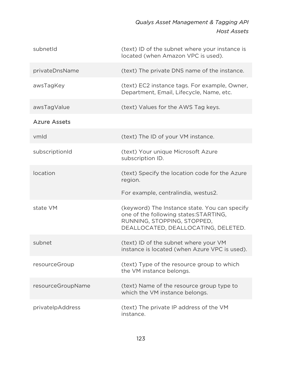| subnetId            | (text) ID of the subnet where your instance is<br>located (when Amazon VPC is used).                                                                          |
|---------------------|---------------------------------------------------------------------------------------------------------------------------------------------------------------|
| privateDnsName      | (text) The private DNS name of the instance.                                                                                                                  |
| awsTagKey           | (text) EC2 instance tags. For example, Owner,<br>Department, Email, Lifecycle, Name, etc.                                                                     |
| awsTagValue         | (text) Values for the AWS Tag keys.                                                                                                                           |
| <b>Azure Assets</b> |                                                                                                                                                               |
| vmld                | (text) The ID of your VM instance.                                                                                                                            |
| subscriptionId      | (text) Your unique Microsoft Azure<br>subscription ID.                                                                                                        |
| location            | (text) Specify the location code for the Azure<br>region.                                                                                                     |
|                     | For example, centralindia, westus2.                                                                                                                           |
| state VM            | (keyword) The Instance state. You can specify<br>one of the following states: STARTING,<br>RUNNING, STOPPING, STOPPED,<br>DEALLOCATED, DEALLOCATING, DELETED. |
| subnet              | (text) ID of the subnet where your VM<br>instance is located (when Azure VPC is used).                                                                        |
| resourceGroup       | (text) Type of the resource group to which<br>the VM instance belongs.                                                                                        |
| resourceGroupName   | (text) Name of the resource group type to<br>which the VM instance belongs.                                                                                   |
| privatelpAddress    | (text) The private IP address of the VM<br>instance.                                                                                                          |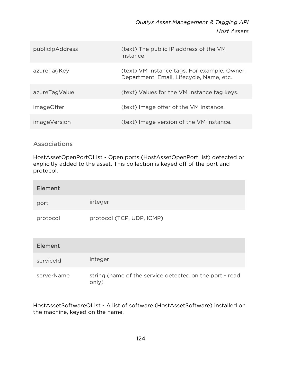| publiclpAddress     | (text) The public IP address of the VM<br>instance.                                      |
|---------------------|------------------------------------------------------------------------------------------|
| azureTagKey         | (text) VM instance tags. For example, Owner,<br>Department, Email, Lifecycle, Name, etc. |
| azureTagValue       | (text) Values for the VM instance tag keys.                                              |
| imageOffer          | (text) Image offer of the VM instance.                                                   |
| <i>imageVersion</i> | (text) Image version of the VM instance.                                                 |

# Associations

HostAssetOpenPortQList - Open ports (HostAssetOpenPortList) detected or explicitly added to the asset. This collection is keyed off of the port and protocol.

| Element  |                           |
|----------|---------------------------|
| port     | integer                   |
| protocol | protocol (TCP, UDP, ICMP) |

| <b>Element</b> |                                                                  |
|----------------|------------------------------------------------------------------|
| serviceld      | integer                                                          |
| serverName     | string (name of the service detected on the port - read<br>only) |

HostAssetSoftwareQList - A list of software (HostAssetSoftware) installed on the machine, keyed on the name.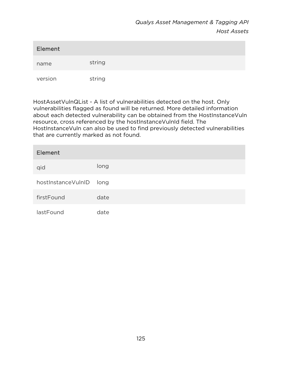| Element |        |
|---------|--------|
| name    | string |
| version | string |

HostAssetVulnQList - A list of vulnerabilities detected on the host. Only vulnerabilities flagged as found will be returned. More detailed information about each detected vulnerability can be obtained from the HostInstanceVuln resource, cross referenced by the hostInstanceVulnId field. The HostInstanceVuln can also be used to find previously detected vulnerabilities that are currently marked as not found.

| Element            |      |
|--------------------|------|
| qid                | long |
| hostInstanceVulnID | long |
| firstFound         | date |
| lastFound          | date |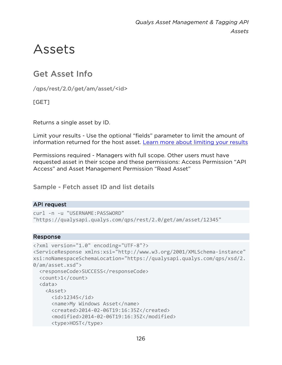# Assets

# Get Asset Info

/qps/rest/2.0/get/am/asset/<id>

[GET]

Returns a single asset by ID.

Limit your results - Use the optional "fields" parameter to limit the amount of information returned for the host asset. [Learn more about limiting your results](#page-10-0)

Permissions required - Managers with full scope. Other users must have requested asset in their scope and these permissions: Access Permission "API Access" and Asset Management Permission "Read Asset"

Sample - Fetch asset ID and list details

# API request

```
curl -n -u "USERNAME:PASSWORD" 
"https://qualysapi.qualys.com/qps/rest/2.0/get/am/asset/12345"
```

```
<?xml version="1.0" encoding="UTF-8"?> 
<ServiceResponse xmlns:xsi="http://www.w3.org/2001/XMLSchema-instance" 
xsi:noNamespaceSchemaLocation="https://qualysapi.qualys.com/qps/xsd/2.
0/am/asset.xsd"> 
   <responseCode>SUCCESS</responseCode> 
   <count>1</count> 
   <data> 
     <Asset> 

       <name>My Windows Asset</name> 
       <created>2014-02-06T19:16:35Z</created> 
       <modified>2014-02-06T19:16:35Z</modified> 
       <type>HOST</type>
```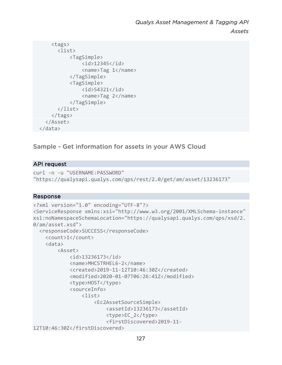```
 <tags> 
        <list> 
             <TagSimple> 
                  <id>12345</id> 
                  <name>Tag 1</name> 
             </TagSimple> 
             <TagSimple> 
                  <id>54321</id> 
                  <name>Tag 2</name> 
             </TagSimple> 
        </list> 
      </tags> 
   </Asset> 
 </data>
```
# Sample - Get information for assets in your AWS Cloud

#### API request

```
curl -n -u "USERNAME:PASSWORD" 
"https://qualysapi.qualys.com/qps/rest/2.0/get/am/asset/13236173"
```

```
<?xml version="1.0" encoding="UTF-8"?> 
<ServiceResponse xmlns:xsi="http://www.w3.org/2001/XMLSchema-instance" 
xsi:noNamespaceSchemaLocation="https://qualysapi.qualys.com/qps/xsd/2.
0/am/asset.xsd"> 
   <responseCode>SUCCESS</responseCode> 
     <count>1</count> 
     <data> 
         <Asset> 
             <id>13236173</id> 
              <name>MHCSTRHEL6-2</name> 
              <created>2019-11-12T10:46:30Z</created> 
              <modified>2020-01-07T06:26:41Z</modified> 
             <type>HOST</type>
              <sourceInfo> 
                  <list> 
                      <Ec2AssetSourceSimple> 
                           <assetId>13236173</assetId> 
                           <type>EC_2</type> 
                           <firstDiscovered>2019-11-
12T10:46:30Z</firstDiscovered>
```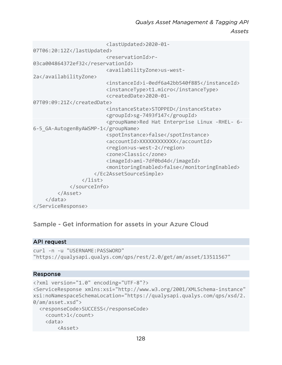```
 <lastUpdated>2020-01-
07T06:20:12Z</lastUpdated> 
                           <reservationId>r-
03ca004864372ef32</reservationId> 
                           <availabilityZone>us-west-
2a</availabilityZone> 
                           <instanceId>i-0edf6a42bb540f885</instanceId> 
                           <instanceType>t1.micro</instanceType> 
                           <createdDate>2020-01-
07T09:09:21Z</createdDate> 
                           <instanceState>STOPPED</instanceState> 
                           <groupId>sg-7493f147</groupId> 
                           <groupName>Red Hat Enterprise Linux -RHEL- 6-
6-5_GA-AutogenByAWSMP-1</groupName> 
                           <spotInstance>false</spotInstance> 
                           <accountId>XXXXXXXXXXXX</accountId> 
                           <region>us-west-2</region> 
                           <zone>Classic</zone> 
                           <imageId>ami-7df0bd4d</imageId> 
                           <monitoringEnabled>false</monitoringEnabled> 
                      </Ec2AssetSourceSimple> 
                  </list> 
              </sourceInfo> 
         </Asset> 
     </data> 
</ServiceResponse>
```
# Sample - Get information for assets in your Azure Cloud

#### API request

```
curl -n -u "USERNAME:PASSWORD" 
"https://qualysapi.qualys.com/qps/rest/2.0/get/am/asset/13511567"
```

```
<?xml version="1.0" encoding="UTF-8"?> 
<ServiceResponse xmlns:xsi="http://www.w3.org/2001/XMLSchema-instance" 
xsi:noNamespaceSchemaLocation="https://qualysapi.qualys.com/qps/xsd/2.
0/am/asset.xsd"> 
   <responseCode>SUCCESS</responseCode> 
     <count>1</count> 
     <data> 
         <Asset>
```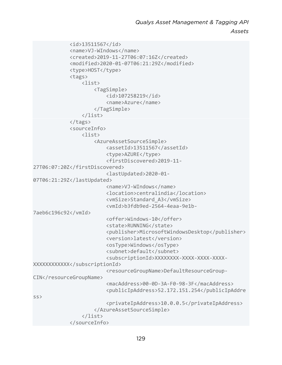*Assets*

```
 <id>13511567</id> 
              <name>VJ-WIndows</name> 
              <created>2019-11-27T06:07:16Z</created> 
              <modified>2020-01-07T06:21:29Z</modified> 
              <type>HOST</type> 
              <tags> 
                  <list> 
                       <TagSimple> 
                           <id>107258219</id> 
                           <name>Azure</name> 
                       </TagSimple> 
                  </list> 
              </tags> 
              <sourceInfo> 
                  <list> 
                       <AzureAssetSourceSimple> 
                           <assetId>13511567</assetId> 
                           <type>AZURE</type> 
                           <firstDiscovered>2019-11-
27T06:07:20Z</firstDiscovered> 
                           <lastUpdated>2020-01-
07T06:21:29Z</lastUpdated> 
                           <name>VJ-WIndows</name> 
                           <location>centralindia</location> 
                           <vmSize>Standard_A3</vmSize> 
                           <vmId>b3fdb9ed-2564-4eaa-9e1b-
7aeb6c196c92</vmId> 
                           <offer>Windows-10</offer> 
                           <state>RUNNING</state> 
                           <publisher>MicrosoftWindowsDesktop</publisher> 
                           <version>latest</version> 
                           <osType>Windows</osType> 
                           <subnet>default</subnet> 
                           <subscriptionId>XXXXXXXX-XXXX-XXXX-XXXX-
XXXXXXXXXXXX</subscriptionId> 
                           <resourceGroupName>DefaultResourceGroup-
CIN</resourceGroupName>
                           <macAddress>00-0D-3A-F0-98-3F</macAddress> 
                           <publicIpAddress>52.172.151.254</publicIpAddre
ss> 
                           <privateIpAddress>10.0.0.5</privateIpAddress> 
                       </AzureAssetSourceSimple> 
                  </list> 
              </sourceInfo>
```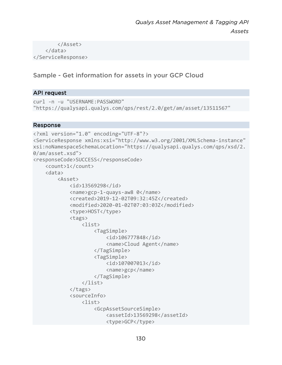</Asset> </data> </ServiceResponse>

# Sample - Get information for assets in your GCP Cloud

### API request

```
curl -n -u "USERNAME:PASSWORD" 
"https://qualysapi.qualys.com/qps/rest/2.0/get/am/asset/13511567"
```

```
<?xml version="1.0" encoding="UTF-8"?> 
<ServiceResponse xmlns:xsi="http://www.w3.org/2001/XMLSchema-instance" 
xsi:noNamespaceSchemaLocation="https://qualysapi.qualys.com/qps/xsd/2.
0/am/asset.xsd"> 
<responseCode>SUCCESS</responseCode> 
     <count>1</count> 
     <data> 
         <Asset> 
              <id>13569298</id> 
              <name>gcp-1-quays-aw8 0</name> 
              <created>2019-12-02T09:32:45Z</created> 
              <modified>2020-01-02T07:03:03Z</modified> 
              <type>HOST</type> 
              <tags> 
                  <list> 
                       <TagSimple> 
                           <id>106777848</id> 
                           <name>Cloud Agent</name> 
                       </TagSimple> 
                       <TagSimple> 
                           <id>107007013</id> 
                           <name>gcp</name> 
                       </TagSimple> 
                  </list> 
              </tags> 
              <sourceInfo> 
                  <list> 
                       <GcpAssetSourceSimple> 
                           <assetId>13569298</assetId> 
                           <type>GCP</type>
```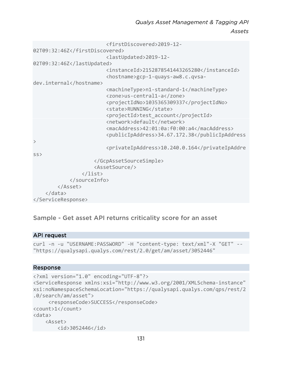*Assets*

 <firstDiscovered>2019-12- 02T09:32:46Z</firstDiscovered> <lastUpdated>2019-12- 02T09:32:46Z</lastUpdated> <instanceId>2152878541443265280</instanceId> <hostname>gcp-1-quays-aw8.c.qvsadev.internal</hostname> <machineType>n1-standard-1</machineType> <zone>us-central1-a</zone> <projectIdNo>1035365309337</projectIdNo> <state>RUNNING</state> <projectId>test\_account</projectId> <network>default</network> <macAddress>42:01:0a:f0:00:a4</macAddress> <publicIpAddress>34.67.172.38</publicIpAddress  $\mathcal{P}$  <privateIpAddress>10.240.0.164</privateIpAddre ss> </GcpAssetSourceSimple> <AssetSource/> </list> </sourceInfo> </Asset> </data> </ServiceResponse>

# Sample - Get asset API returns criticality score for an asset

#### API request

```
curl -n -u "USERNAME:PASSWORD" -H "content-type: text/xml"-X "GET" -- 
"https://qualysapi.qualys.com/rest/2.0/get/am/asset/3052446"
```

```
<?xml version="1.0" encoding="UTF-8"?> 
<ServiceResponse xmlns:xsi="http://www.w3.org/2001/XMLSchema-instance" 
xsi:noNamespaceSchemaLocation="https://qualysapi.qualys.com/qps/rest/2
.0/search/am/asset"> 
      <responseCode>SUCCESS</responseCode> 
<count>1</count> 
<data> 
     <Asset> 
         <id>3052446</id>
```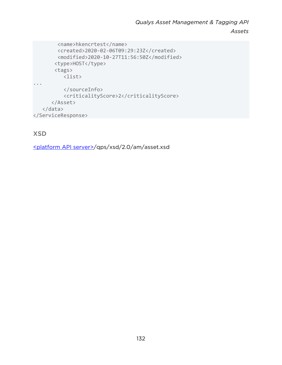```
 <name>hkencrtest</name> 
         <created>2020-02-06T09:29:23Z</created> 
         <modified>2020-10-27T11:56:50Z</modified> 
       <type>HOST</type>
        <tags> 
           <list> 
... 
            </sourceInfo> 
           <criticalityScore>2</criticalityScore> 
       </Asset> 
    </data> 
</ServiceResponse>
```
# XSD

[<platform API server>/](#page-8-0)qps/xsd/2.0/am/asset.xsd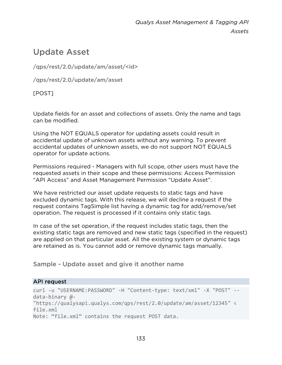# Update Asset

/qps/rest/2.0/update/am/asset/<id>

/qps/rest/2.0/update/am/asset

[POST]

Update fields for an asset and collections of assets. Only the name and tags can be modified.

Using the NOT EQUALS operator for updating assets could result in accidental update of unknown assets without any warning. To prevent accidental updates of unknown assets, we do not support NOT EQUALS operator for update actions.

Permissions required - Managers with full scope, other users must have the requested assets in their scope and these permissions: Access Permission "API Access" and Asset Management Permission "Update Asset".

We have restricted our asset update requests to static tags and have excluded dynamic tags. With this release, we will decline a request if the request contains TagSimple list having a dynamic tag for add/remove/set operation. The request is processed if it contains only static tags.

In case of the set operation, if the request includes static tags, then the existing static tags are removed and new static tags (specified in the request) are applied on that particular asset. All the existing system or dynamic tags are retained as is. You cannot add or remove dynamic tags manually.

Sample - Update asset and give it another name

# API request

```
curl -u "USERNAME:PASSWORD" -H "Content-type: text/xml" -X "POST" --
data-binary @- 
"https://qualysapi.qualys.com/qps/rest/2.0/update/am/asset/12345" < 
file.xml 
Note: "file.xml" contains the request POST data.
```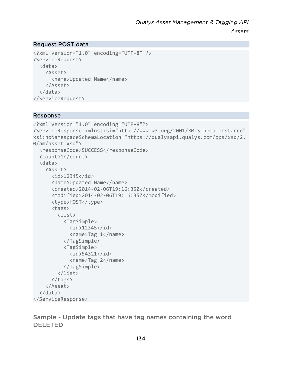### Request POST data

```
<?xml version="1.0" encoding="UTF-8" ?> 
<ServiceRequest> 
   <data> 
     <Asset> 
        <name>Updated Name</name> 
     </Asset> 
   </data> 
</ServiceRequest>
```
#### Response

```
<?xml version="1.0" encoding="UTF-8"?> 
<ServiceResponse xmlns:xsi="http://www.w3.org/2001/XMLSchema-instance" 
xsi:noNamespaceSchemaLocation="https://qualysapi.qualys.com/qps/xsd/2.
0/am/asset.xsd"> 
   <responseCode>SUCCESS</responseCode> 
   <count>1</count> 
   <data> 
     <Asset> 
       <id>12345</id> 
       <name>Updated Name</name> 
       <created>2014-02-06T19:16:35Z</created> 
       <modified>2014-02-06T19:16:35Z</modified> 
       <type>HOST</type> 
       <tags> 
          <list> 
            <TagSimple> 
             \langleid>12345\langleid>
              <name>Tag 1</name> 
            </TagSimple> 
            <TagSimple> 
              <id>54321</id> 
              <name>Tag 2</name> 
            </TagSimple> 
          </list> 
       </tags> 
     </Asset> 
   </data> 
</ServiceResponse>
```
Sample - Update tags that have tag names containing the word DELETED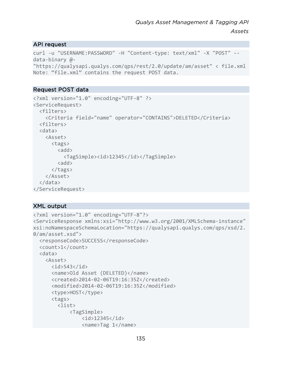#### API request

```
curl -u "USERNAME:PASSWORD" -H "Content-type: text/xml" -X "POST" --
data-binary @- 
"https://qualysapi.qualys.com/qps/rest/2.0/update/am/asset" < file.xml 
Note: "file.xml" contains the request POST data.
```
#### Request POST data

```
<?xml version="1.0" encoding="UTF-8" ?> 
<ServiceRequest> 
   <filters> 
     <Criteria field="name" operator="CONTAINS">DELETED</Criteria> 
   <filters> 
   <data> 
     <Asset> 
       <tags> 
         <add>
            <TagSimple><id>12345</id></TagSimple> 
         <add>
       </tags> 
     </Asset> 
   </data> 
</ServiceRequest>
```
#### XML output

```
<?xml version="1.0" encoding="UTF-8"?> 
<ServiceResponse xmlns:xsi="http://www.w3.org/2001/XMLSchema-instance" 
xsi:noNamespaceSchemaLocation="https://qualysapi.qualys.com/qps/xsd/2.
0/am/asset.xsd"> 
   <responseCode>SUCCESS</responseCode> 
   <count>1</count> 
   <data> 
     <Asset> 
      \langleid>543\langleid>
       <name>Old Asset (DELETED)</name> 
       <created>2014-02-06T19:16:35Z</created> 
       <modified>2014-02-06T19:16:35Z</modified> 
       <type>HOST</type> 
       <tags> 
         <list> 
              <TagSimple> 
                  <id>12345</id> 
                  <name>Tag 1</name>
```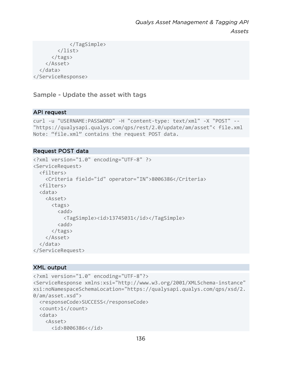```
 </TagSimple> 
           </list> 
        </tags> 
     </Asset> 
   </data> 
</ServiceResponse>
```
Sample - Update the asset with tags

#### API request

```
curl -u "USERNAME:PASSWORD" -H "content-type: text/xml" -X "POST" -- 
"https://qualysapi.qualys.com/qps/rest/2.0/update/am/asset"< file.xml 
Note: "file.xml" contains the request POST data.
```
#### Request POST data

```
<?xml version="1.0" encoding="UTF-8" ?> 
<ServiceRequest> 
   <filters> 
     <Criteria field="id" operator="IN">8006386</Criteria> 
   <filters> 
   <data> 
     <Asset> 
        <tags> 
         \langleadd\rangle <TagSimple><id>13745031</id></TagSimple> 
         \langleadd\rangle </tags> 
     </Asset> 
   </data> 
</ServiceRequest>
```
# XML output

```
<?xml version="1.0" encoding="UTF-8"?> 
<ServiceResponse xmlns:xsi="http://www.w3.org/2001/XMLSchema-instance" 
xsi:noNamespaceSchemaLocation="https://qualysapi.qualys.com/qps/xsd/2.
0/am/asset.xsd"> 
   <responseCode>SUCCESS</responseCode> 
   <count>1</count> 
   <data> 
     <Asset> 
       <id>8006386<</id>
```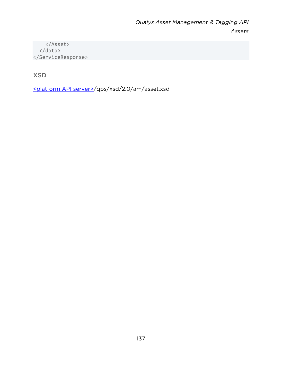</Asset> </data> </ServiceResponse>

XSD

[<platform API server>/](#page-8-0)qps/xsd/2.0/am/asset.xsd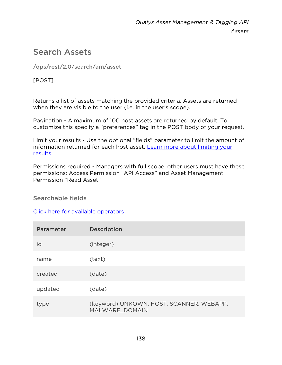# Search Assets

/qps/rest/2.0/search/am/asset

[POST]

Returns a list of assets matching the provided criteria. Assets are returned when they are visible to the user (i.e. in the user's scope).

Pagination - A maximum of 100 host assets are returned by default. To customize this specify a "preferences" tag in the POST body of your request.

Limit your results - Use the optional "fields" parameter to limit the amount of information returned for each host asset. Learn more about limiting your [results](#page-10-0)

Permissions required - Managers with full scope, other users must have these permissions: Access Permission "API Access" and Asset Management Permission "Read Asset"

Searchable fields

[Click here for available operators](#page-16-0)

| Parameter | Description                                                |
|-----------|------------------------------------------------------------|
| id        | (integer)                                                  |
| name      | (text)                                                     |
| created   | (date)                                                     |
| updated   | (date)                                                     |
| type      | (keyword) UNKOWN, HOST, SCANNER, WEBAPP,<br>MALWARE DOMAIN |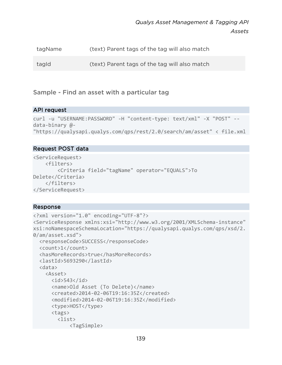| tagName | (text) Parent tags of the tag will also match |
|---------|-----------------------------------------------|
| tagld   | (text) Parent tags of the tag will also match |

Sample - Find an asset with a particular tag

#### API request

```
curl -u "USERNAME:PASSWORD" -H "content-type: text/xml" -X "POST" --
data-binary @- 
"https://qualysapi.qualys.com/qps/rest/2.0/search/am/asset" < file.xml
```
#### Request POST data

```
<ServiceRequest> 
     <filters> 
         <Criteria field="tagName" operator="EQUALS">To 
Delete</Criteria> 
     </filters> 
</ServiceRequest>
```

```
<?xml version="1.0" encoding="UTF-8"?> 
<ServiceResponse xmlns:xsi="http://www.w3.org/2001/XMLSchema-instance" 
xsi:noNamespaceSchemaLocation="https://qualysapi.qualys.com/qps/xsd/2.
0/am/asset.xsd"> 
   <responseCode>SUCCESS</responseCode> 
   <count>1</count> 
   <hasMoreRecords>true</hasMoreRecords> 
   <lastId>5693290</lastId> 
   <data> 
     <Asset> 
      \langleid>543\langleid>
       <name>Old Asset (To Delete)</name> 
       <created>2014-02-06T19:16:35Z</created> 
       <modified>2014-02-06T19:16:35Z</modified> 
       <type>HOST</type> 
       <tags> 
         <list> 
              <TagSimple>
```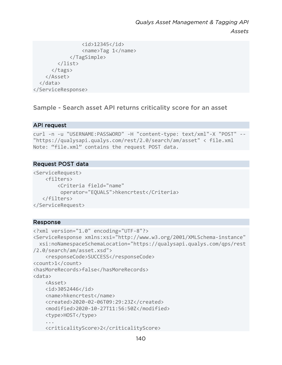```
 <id>12345</id> 
                    <name>Tag 1</name> 
               </TagSimple> 
          </list> 
        </tags> 
     </Asset> 
   </data> 
</ServiceResponse>
```
Sample - Search asset API returns criticality score for an asset

# API request

```
curl -n -u "USERNAME:PASSWORD" -H "content-type: text/xml"-X "POST" -- 
"https://qualysapi.qualys.com/rest/2.0/search/am/asset" < file.xml 
Note: "file.xml" contains the request POST data.
```
#### Request POST data

```
<ServiceRequest> 
     <filters> 
          <Criteria field="name" 
           operator="EQUALS">hkencrtest</Criteria> 
    </filters> 
</ServiceRequest>
```

```
<?xml version="1.0" encoding="UTF-8"?> 
<ServiceResponse xmlns:xsi="http://www.w3.org/2001/XMLSchema-instance" 
  xsi:noNamespaceSchemaLocation="https://qualysapi.qualys.com/qps/rest
/2.0/search/am/asset.xsd"> 
     <responseCode>SUCCESS</responseCode> 
<count>1</count> 
<hasMoreRecords>false</hasMoreRecords> 
<data> 
     <Asset> 
     <id>3052446</id> 
     <name>hkencrtest</name> 
     <created>2020-02-06T09:29:23Z</created> 
     <modified>2020-10-27T11:56:50Z</modified> 
     <type>HOST</type> 
     ... 
     <criticalityScore>2</criticalityScore>
```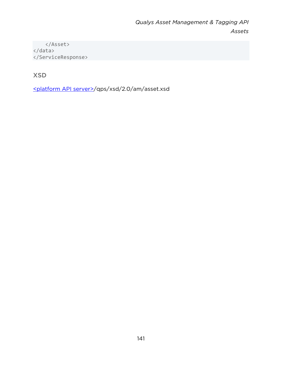</Asset> </data> </ServiceResponse>

# XSD

[<platform API server>/](#page-8-0)qps/xsd/2.0/am/asset.xsd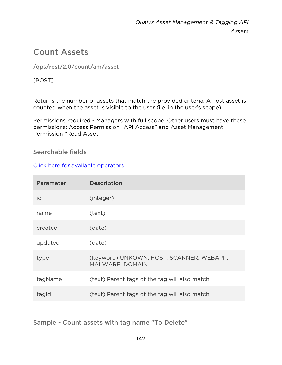# Count Assets

# /qps/rest/2.0/count/am/asset

[POST]

Returns the number of assets that match the provided criteria. A host asset is counted when the asset is visible to the user (i.e. in the user's scope).

Permissions required - Managers with full scope. Other users must have these permissions: Access Permission "API Access" and Asset Management Permission "Read Asset"

# Searchable fields

# [Click here for available operators](#page-16-0)

| Parameter | Description                                                |
|-----------|------------------------------------------------------------|
| id        | (integer)                                                  |
| name      | (text)                                                     |
| created   | (date)                                                     |
| updated   | (date)                                                     |
| type      | (keyword) UNKOWN, HOST, SCANNER, WEBAPP,<br>MALWARE DOMAIN |
| tagName   | (text) Parent tags of the tag will also match              |
| tagld     | (text) Parent tags of the tag will also match              |

Sample - Count assets with tag name "To Delete"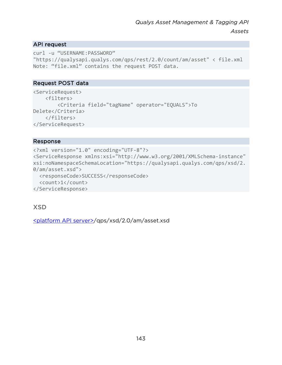### API request

```
curl -u "USERNAME:PASSWORD" 
"https://qualysapi.qualys.com/qps/rest/2.0/count/am/asset" < file.xml 
Note: "file.xml" contains the request POST data.
```
#### Request POST data

```
<ServiceRequest> 
     <filters> 
         <Criteria field="tagName" operator="EQUALS">To 
Delete</Criteria> 
     </filters> 
</ServiceRequest>
```
#### Response

```
<?xml version="1.0" encoding="UTF-8"?> 
<ServiceResponse xmlns:xsi="http://www.w3.org/2001/XMLSchema-instance" 
xsi:noNamespaceSchemaLocation="https://qualysapi.qualys.com/qps/xsd/2.
0/am/asset.xsd"> 
   <responseCode>SUCCESS</responseCode> 
   <count>1</count> 
</ServiceResponse>
```
# XSD

[<platform API server>/](#page-8-0)qps/xsd/2.0/am/asset.xsd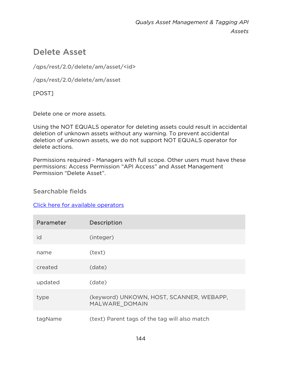# Delete Asset

/qps/rest/2.0/delete/am/asset/<id>

/qps/rest/2.0/delete/am/asset

[POST]

Delete one or more assets.

Using the NOT EQUALS operator for deleting assets could result in accidental deletion of unknown assets without any warning. To prevent accidental deletion of unknown assets, we do not support NOT EQUALS operator for delete actions.

Permissions required - Managers with full scope. Other users must have these permissions: Access Permission "API Access" and Asset Management Permission "Delete Asset".

Searchable fields

# [Click here for available operators](#page-16-0)

| Parameter | Description                                                |
|-----------|------------------------------------------------------------|
| id        | (integer)                                                  |
| name      | (text)                                                     |
| created   | (date)                                                     |
| updated   | (date)                                                     |
| type      | (keyword) UNKOWN, HOST, SCANNER, WEBAPP,<br>MALWARE DOMAIN |
| tagName   | (text) Parent tags of the tag will also match              |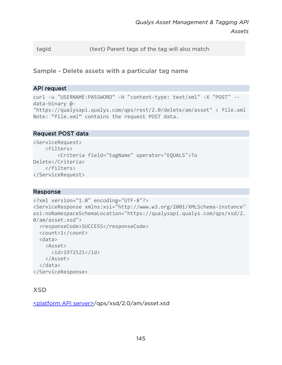tagId (text) Parent tags of the tag will also match

Sample - Delete assets with a particular tag name

#### API request

```
curl -u "USERNAME:PASSWORD" -H "content-type: text/xml" -X "POST" --
data-binary @- 
"https://qualysapi.qualys.com/qps/rest/2.0/delete/am/asset" < file.xml 
Note: "file.xml" contains the request POST data.
```
#### Request POST data

```
<ServiceRequest> 
     <filters> 
         <Criteria field="tagName" operator="EQUALS">To 
Delete</Criteria> 
     </filters> 
</ServiceRequest>
```
#### Response

```
<?xml version="1.0" encoding="UTF-8"?> 
<ServiceResponse xmlns:xsi="http://www.w3.org/2001/XMLSchema-instance" 
xsi:noNamespaceSchemaLocation="https://qualysapi.qualys.com/qps/xsd/2.
0/am/asset.xsd"> 
   <responseCode>SUCCESS</responseCode> 
   <count>1</count> 
   <data> 
     <Asset> 
       <id>1972521</id> 
     </Asset> 
   </data> 
</ServiceResponse>
```
## **XSD**

[<platform API server>/](#page-8-0)qps/xsd/2.0/am/asset.xsd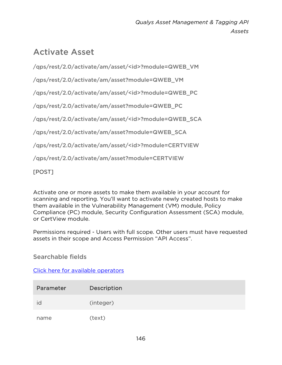# Activate Asset

/qps/rest/2.0/activate/am/asset/<id>?module=QWEB\_VM

/qps/rest/2.0/activate/am/asset?module=QWEB\_VM

/qps/rest/2.0/activate/am/asset/<id>?module=QWEB\_PC

/qps/rest/2.0/activate/am/asset?module=QWEB\_PC

/qps/rest/2.0/activate/am/asset/<id>?module=QWEB\_SCA

/qps/rest/2.0/activate/am/asset?module=QWEB\_SCA

/qps/rest/2.0/activate/am/asset/<id>?module=CERTVIEW

/qps/rest/2.0/activate/am/asset?module=CERTVIEW

## [POST]

Activate one or more assets to make them available in your account for scanning and reporting. You'll want to activate newly created hosts to make them available in the Vulnerability Management (VM) module, Policy Compliance (PC) module, Security Configuration Assessment (SCA) module, or CertView module.

Permissions required - Users with full scope. Other users must have requested assets in their scope and Access Permission "API Access".

Searchable fields

[Click here for available operators](#page-16-0)

| Parameter | Description |
|-----------|-------------|
| Id        | (integer)   |
| name      | (text)      |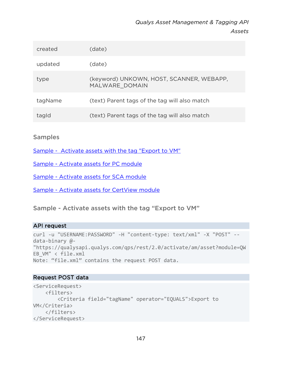| created | (date)                                                     |
|---------|------------------------------------------------------------|
| updated | (date)                                                     |
| type    | (keyword) UNKOWN, HOST, SCANNER, WEBAPP,<br>MALWARE DOMAIN |
| tagName | (text) Parent tags of the tag will also match              |
| tagld   | (text) Parent tags of the tag will also match              |

#### Samples

[Sample - Activate assets with the tag "Export to VM"](#page-146-0)

[Sample - Activate assets for PC module](#page-148-0)

[Sample - Activate assets for SCA module](#page-149-0)

[Sample - Activate assets for CertView module](#page-151-0)

#### <span id="page-146-0"></span>Sample - Activate assets with the tag "Export to VM"

#### API request

```
curl -u "USERNAME:PASSWORD" -H "content-type: text/xml" -X "POST" --
data-binary @- 
"https://qualysapi.qualys.com/qps/rest/2.0/activate/am/asset?module=QW
EB_VM" < file.xml 
Note: "file.xml" contains the request POST data.
```
#### Request POST data

```
<ServiceRequest> 
     <filters> 
         <Criteria field="tagName" operator="EQUALS">Export to 
VM</Criteria> 
     </filters> 
</ServiceRequest>
```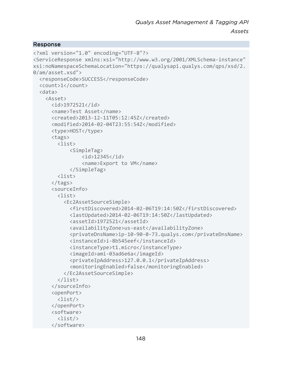```
<?xml version="1.0" encoding="UTF-8"?> 
<ServiceResponse xmlns:xsi="http://www.w3.org/2001/XMLSchema-instance" 
xsi:noNamespaceSchemaLocation="https://qualysapi.qualys.com/qps/xsd/2.
0/am/asset.xsd"> 
   <responseCode>SUCCESS</responseCode> 
   <count>1</count> 
   <data> 
     <Asset> 
       <id>1972521</id> 
       <name>Test Asset</name> 
       <created>2013-12-11T05:12:45Z</created> 
       <modified>2014-02-04T23:55:54Z</modified> 
       <type>HOST</type> 
       <tags> 
         <list> 
              <SimpleTag> 
                  <id>12345</id> 
                  <name>Export to VM</name> 
              </SimpleTag> 
         <list> 
       </tags> 
       <sourceInfo> 
         <list> 
            <Ec2AssetSourceSimple> 
              <firstDiscovered>2014-02-06T19:14:50Z</firstDiscovered> 
              <lastUpdated>2014-02-06T19:14:50Z</lastUpdated> 
              <assetId>1972521</assetId> 
              <availabilityZone>us-east</availabilityZone> 
              <privateDnsName>ip-10-90-0-73.qualys.com</privateDnsName> 
              <instanceId>i-8b545eef</instanceId> 
              <instanceType>t1.micro</instanceType> 
              <imageId>ami-03ad6e6a</imageId> 
              <privateIpAddress>127.0.0.1</privateIpAddress> 
              <monitoringEnabled>false</monitoringEnabled> 
            </Ec2AssetSourceSimple> 
         </list> 
       </sourceInfo> 
       <openPort> 
         <list/> 
       </openPort> 
       <software> 
         <list/> 
       </software>
```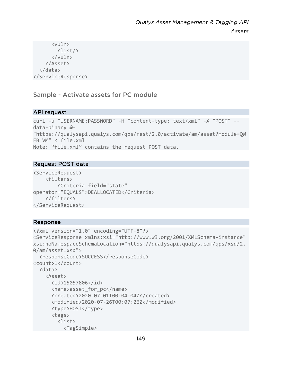```
 <vuln> 
           <list/> 
        </vuln> 
      </Asset> 
   </data> 
</ServiceResponse>
```
## <span id="page-148-0"></span>Sample - Activate assets for PC module

## API request

```
curl -u "USERNAME:PASSWORD" -H "content-type: text/xml" -X "POST" --
data-binary @- 
"https://qualysapi.qualys.com/qps/rest/2.0/activate/am/asset?module=QW
EB_VM" < file.xml 
Note: "file.xml" contains the request POST data.
```
## Request POST data

```
<ServiceRequest> 
     <filters> 
         <Criteria field="state" 
operator="EQUALS">DEALLOCATED</Criteria> 
     </filters> 
</ServiceRequest>
```

```
<?xml version="1.0" encoding="UTF-8"?> 
<ServiceResponse xmlns:xsi="http://www.w3.org/2001/XMLSchema-instance" 
xsi:noNamespaceSchemaLocation="https://qualysapi.qualys.com/qps/xsd/2.
0/am/asset.xsd"> 
   <responseCode>SUCCESS</responseCode> 
<count>1</count> 
   <data> 
     <Asset> 
       <id>15057806</id> 
       <name>asset_for_pc</name> 
       <created>2020-07-01T00:04:04Z</created> 
       <modified>2020-07-26T00:07:26Z</modified> 
       <type>HOST</type> 
       <tags> 
         <list> 
           <TagSimple>
```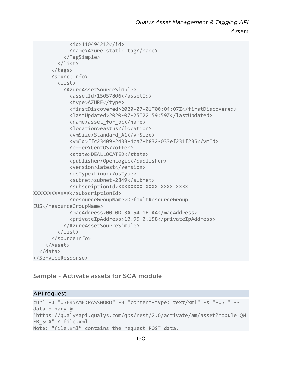*Assets*

```
 <id>110494212</id> 
              <name>Azure-static-tag</name> 
            </TagSimple> 
         </list> 
       </tags> 
       <sourceInfo> 
         <list> 
            <AzureAssetSourceSimple> 
              <assetId>15057806</assetId> 
              <type>AZURE</type> 
              <firstDiscovered>2020-07-01T00:04:07Z</firstDiscovered> 
              <lastUpdated>2020-07-25T22:59:59Z</lastUpdated> 
              <name>asset_for_pc</name> 
              <location>eastus</location> 
              <vmSize>Standard_A1</vmSize> 
              <vmId>ffc23409-2433-4ca7-b832-033ef231f235</vmId> 
              <offer>CentOS</offer> 
              <state>DEALLOCATED</state> 
              <publisher>OpenLogic</publisher> 
              <version>latest</version> 
              <osType>Linux</osType> 
              <subnet>subnet-2849</subnet> 
              <subscriptionId>XXXXXXXX-XXXX-XXXX-XXXX-
XXXXXXXXXXXX</subscriptionId> 
              <resourceGroupName>DefaultResourceGroup-
EUS</resourceGroupName>
              <macAddress>00-0D-3A-54-1B-AA</macAddress> 
              <privateIpAddress>10.95.0.158</privateIpAddress> 
            </AzureAssetSourceSimple> 
         </list> 
       </sourceInfo> 
     </Asset> 
   </data> 
</ServiceResponse>
```
<span id="page-149-0"></span>Sample - Activate assets for SCA module

#### API request

```
curl -u "USERNAME:PASSWORD" -H "content-type: text/xml" -X "POST" --
data-binary @- 
"https://qualysapi.qualys.com/qps/rest/2.0/activate/am/asset?module=QW
EB_SCA" < file.xml 
Note: "file.xml" contains the request POST data.
```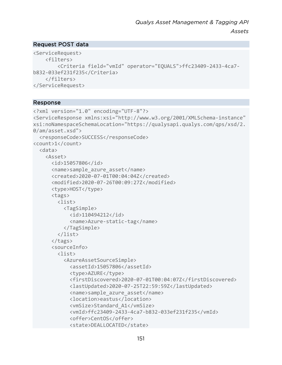#### Request POST data

```
<ServiceRequest> 
     <filters> 
         <Criteria field="vmId" operator="EQUALS">ffc23409-2433-4ca7-
b832-033ef231f235</Criteria> 
     </filters> 
</ServiceRequest>
```

```
<?xml version="1.0" encoding="UTF-8"?> 
<ServiceResponse xmlns:xsi="http://www.w3.org/2001/XMLSchema-instance" 
xsi:noNamespaceSchemaLocation="https://qualysapi.qualys.com/qps/xsd/2.
0/am/asset.xsd"> 
   <responseCode>SUCCESS</responseCode> 
<count>1</count> 
   <data> 
     <Asset> 
       <id>15057806</id> 
       <name>sample_azure_asset</name> 
       <created>2020-07-01T00:04:04Z</created> 
       <modified>2020-07-26T00:09:27Z</modified> 
       <type>HOST</type> 
       <tags> 
         <list> 
           <TagSimple> 
              <id>110494212</id> 
              <name>Azure-static-tag</name> 
            </TagSimple> 
         </list> 
       </tags> 
       <sourceInfo> 
         <list> 
            <AzureAssetSourceSimple> 
              <assetId>15057806</assetId> 
              <type>AZURE</type> 
              <firstDiscovered>2020-07-01T00:04:07Z</firstDiscovered> 
              <lastUpdated>2020-07-25T22:59:59Z</lastUpdated> 
              <name>sample_azure_asset</name> 
              <location>eastus</location> 
              <vmSize>Standard_A1</vmSize> 
              <vmId>ffc23409-2433-4ca7-b832-033ef231f235</vmId> 
              <offer>CentOS</offer> 
              <state>DEALLOCATED</state>
```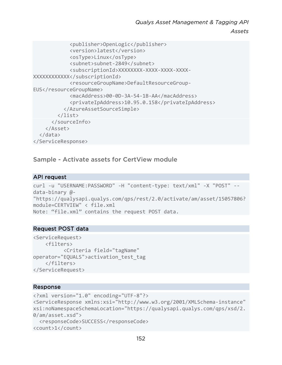```
 <publisher>OpenLogic</publisher> 
              <version>latest</version> 
              <osType>Linux</osType> 
              <subnet>subnet-2849</subnet> 
              <subscriptionId>XXXXXXXX-XXXX-XXXX-XXXX-
XXXXXXXXXXXX</subscriptionId> 
              <resourceGroupName>DefaultResourceGroup-
EUS</resourceGroupName>
              <macAddress>00-0D-3A-54-1B-AA</macAddress> 
              <privateIpAddress>10.95.0.158</privateIpAddress> 
            </AzureAssetSourceSimple> 
         </list> 
       </sourceInfo> 
     </Asset> 
   </data> 
</ServiceResponse>
```
<span id="page-151-0"></span>Sample - Activate assets for CertView module

#### API request

```
curl -u "USERNAME:PASSWORD" -H "content-type: text/xml" -X "POST" --
data-binary @- 
"https://qualysapi.qualys.com/qps/rest/2.0/activate/am/asset/15057806?
module=CERTVIEW" < file.xml 
Note: "file.xml" contains the request POST data.
```
#### Request POST data

```
<ServiceRequest> 
     <filters> 
            <Criteria field="tagName" 
operator="EQUALS">activation_test_tag 
     </filters> 
</ServiceRequest>
```

```
<?xml version="1.0" encoding="UTF-8"?> 
<ServiceResponse xmlns:xsi="http://www.w3.org/2001/XMLSchema-instance" 
xsi:noNamespaceSchemaLocation="https://qualysapi.qualys.com/qps/xsd/2.
0/am/asset.xsd"> 
   <responseCode>SUCCESS</responseCode> 
<count>1</count>
```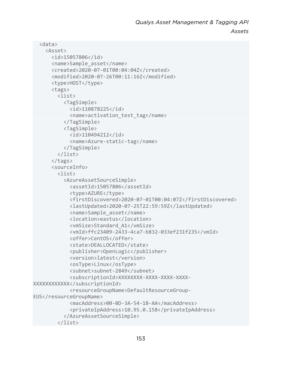```
 <data> 
     <Asset> 
       <id>15057806</id> 
       <name>Sample_asset</name> 
       <created>2020-07-01T00:04:04Z</created> 
       <modified>2020-07-26T00:11:16Z</modified> 
       <type>HOST</type> 
       <tags> 
         <list> 
            <TagSimple> 
              <id>110878225</id> 
              <name>activation_test_tag</name> 
            </TagSimple> 
            <TagSimple> 
              <id>110494212</id> 
              <name>Azure-static-tag</name> 
            </TagSimple> 
         </list> 
       </tags> 
       <sourceInfo> 
         <list> 
            <AzureAssetSourceSimple> 
              <assetId>15057806</assetId> 
              <type>AZURE</type> 
              <firstDiscovered>2020-07-01T00:04:07Z</firstDiscovered> 
              <lastUpdated>2020-07-25T22:59:59Z</lastUpdated> 
              <name>Sample_asset</name> 
              <location>eastus</location> 
              <vmSize>Standard_A1</vmSize> 
              <vmId>ffc23409-2433-4ca7-b832-033ef231f235</vmId> 
              <offer>CentOS</offer> 
              <state>DEALLOCATED</state> 
              <publisher>OpenLogic</publisher> 
              <version>latest</version> 
              <osType>Linux</osType> 
              <subnet>subnet-2849</subnet> 
              <subscriptionId>XXXXXXXX-XXXX-XXXX-XXXX-
XXXXXXXXXXXX</subscriptionId> 
              <resourceGroupName>DefaultResourceGroup-
EUS</resourceGroupName>
              <macAddress>00-0D-3A-54-1B-AA</macAddress> 
              <privateIpAddress>10.95.0.158</privateIpAddress> 
            </AzureAssetSourceSimple> 
         </list>
```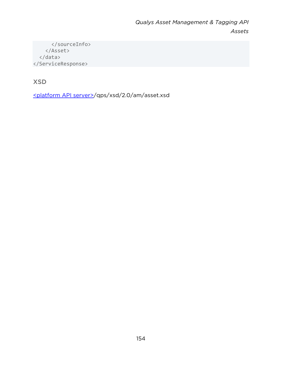</sourceInfo> </Asset> </data> </ServiceResponse>

XSD

[<platform API server>/](#page-8-0)qps/xsd/2.0/am/asset.xsd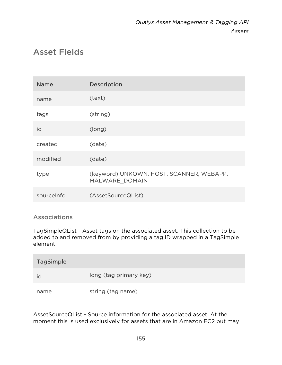# Asset Fields

| <b>Name</b> | Description                                                |
|-------------|------------------------------------------------------------|
| name        | (text)                                                     |
| tags        | (string)                                                   |
| id          | (long)                                                     |
| created     | (date)                                                     |
| modified    | (date)                                                     |
| type        | (keyword) UNKOWN, HOST, SCANNER, WEBAPP,<br>MALWARE DOMAIN |
| sourceInfo  | (AssetSourceQList)                                         |

## Associations

TagSimpleQList - Asset tags on the associated asset. This collection to be added to and removed from by providing a tag ID wrapped in a TagSimple element.

| <b>TagSimple</b> |                        |
|------------------|------------------------|
| ıd               | long (tag primary key) |
| name             | string (tag name)      |

AssetSourceQList - Source information for the associated asset. At the moment this is used exclusively for assets that are in Amazon EC2 but may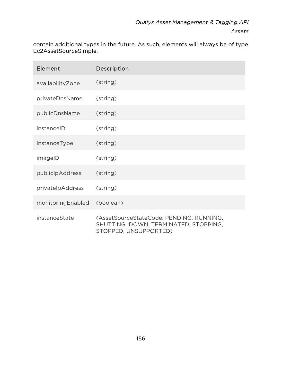contain additional types in the future. As such, elements will always be of type Ec2AssetSourceSimple.

| Element           | <b>Description</b>                                                                                        |
|-------------------|-----------------------------------------------------------------------------------------------------------|
| availabilityZone  | (string)                                                                                                  |
| privateDnsName    | (string)                                                                                                  |
| publicDnsName     | (string)                                                                                                  |
| instanceID        | (string)                                                                                                  |
| instanceType      | (string)                                                                                                  |
| imageID           | (string)                                                                                                  |
| publiclpAddress   | (string)                                                                                                  |
| privatelpAddress  | (string)                                                                                                  |
| monitoringEnabled | (boolean)                                                                                                 |
| instanceState     | (AssetSourceStateCode: PENDING, RUNNING,<br>SHUTTING DOWN, TERMINATED, STOPPING,<br>STOPPED, UNSUPPORTED) |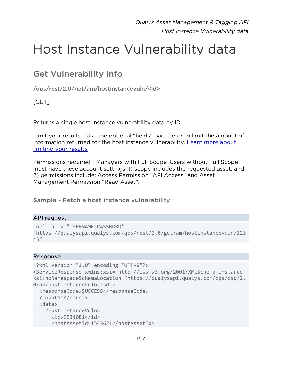# Host Instance Vulnerability data

# Get Vulnerability Info

/qps/rest/2.0/get/am/hostinstancevuln/<id>

## [GET]

Returns a single host instance vulnerability data by ID.

Limit your results - Use the optional "fields" parameter to limit the amount of information returned for the host instance vulnerability. [Learn more about](#page-10-0)  [limiting your results](#page-10-0)

Permissions required - Managers with Full Scope. Users without Full Scope must have these account settings: 1) scope includes the requested asset, and 2) permissions include: Access Permission "API Access" and Asset Management Permission "Read Asset".

Sample - Fetch a host instance vulnerability

#### API request

```
curl -n -u "USERNAME:PASSWORD" 
"https://qualysapi.qualys.com/qps/rest/2.0/get/am/hostinstancevuln/123
45"
```

```
<?xml version="1.0" encoding="UTF-8"?> 
<ServiceResponse xmlns:xsi="http://www.w3.org/2001/XMLSchema-instance" 
xsi:noNamespaceSchemaLocation="https://qualysapi.qualys.com/qps/xsd/2.
0/am/hostinstancevuln.xsd"> 
   <responseCode>SUCCESS</responseCode> 
   <count>1</count> 
   <data> 
     <HostInstanceVuln> 
       <id>9534081</id> 
       <hostAssetId>1543621</hostAssetId>
```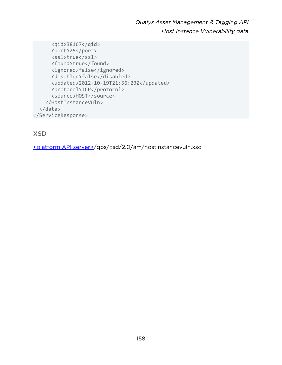*Qualys Asset Management & Tagging API Host Instance Vulnerability data*

 <qid>38167</qid> <port>25</port> <ssl>true</ssl> <found>true</found> <ignored>false</ignored> <disabled>false</disabled> <updated>2012-10-19T21:56:23Z</updated> <protocol>TCP</protocol> <source>HOST</source> </HostInstanceVuln> </data> </ServiceResponse>

## XSD

[<platform API server>/](#page-8-0)qps/xsd/2.0/am/hostinstancevuln.xsd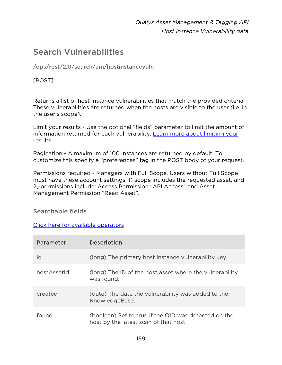# Search Vulnerabilities

/qps/rest/2.0/search/am/hostinstancevuln

## [POST]

Returns a list of host instance vulnerabilities that match the provided criteria. These vulnerabilities are returned when the hosts are visible to the user (i.e. in the user's scope).

Limit your results - Use the optional "fields" parameter to limit the amount of information returned for each vulnerability. Learn more about limiting your [results](#page-10-0)

Pagination - A maximum of 100 instances are returned by default. To customize this specify a "preferences" tag in the POST body of your request.

Permissions required - Managers with Full Scope. Users without Full Scope must have these account settings: 1) scope includes the requested asset, and 2) permissions include: Access Permission "API Access" and Asset Management Permission "Read Asset".

#### Searchable fields

#### [Click here for available operators](#page-16-0)

| Parameter   | Description                                                                                   |
|-------------|-----------------------------------------------------------------------------------------------|
| id          | (long) The primary host instance vulnerability key.                                           |
| hostAssetId | (long) The ID of the host asset where the vulnerability<br>was found.                         |
| created     | (date) The date the vulnerability was added to the<br>KnowledgeBase.                          |
| found       | (boolean) Set to true if the QID was detected on the<br>host by the latest scan of that host. |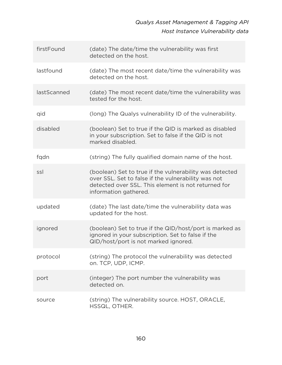# *Qualys Asset Management & Tagging API Host Instance Vulnerability data*

| firstFound  | (date) The date/time the vulnerability was first<br>detected on the host.                                                                                                                      |
|-------------|------------------------------------------------------------------------------------------------------------------------------------------------------------------------------------------------|
| lastfound   | (date) The most recent date/time the vulnerability was<br>detected on the host.                                                                                                                |
| lastScanned | (date) The most recent date/time the vulnerability was<br>tested for the host.                                                                                                                 |
| qid         | (long) The Qualys vulnerability ID of the vulnerability.                                                                                                                                       |
| disabled    | (boolean) Set to true if the QID is marked as disabled<br>in your subscription. Set to false if the QID is not<br>marked disabled.                                                             |
| fgdn        | (string) The fully qualified domain name of the host.                                                                                                                                          |
| ssl         | (boolean) Set to true if the vulnerability was detected<br>over SSL. Set to false if the vulnerability was not<br>detected over SSL. This element is not returned for<br>information gathered. |
| updated     | (date) The last date/time the vulnerability data was<br>updated for the host.                                                                                                                  |
| ignored     | (boolean) Set to true if the QID/host/port is marked as<br>ignored in your subscription. Set to false if the<br>QID/host/port is not marked ignored.                                           |
| protocol    | (string) The protocol the vulnerability was detected<br>on. TCP, UDP, ICMP.                                                                                                                    |
| port        | (integer) The port number the vulnerability was<br>detected on.                                                                                                                                |
| source      | (string) The vulnerability source. HOST, ORACLE,<br>HSSQL, OTHER.                                                                                                                              |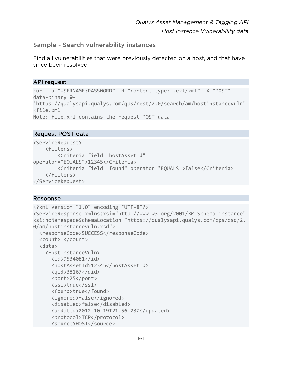#### Sample - Search vulnerability instances

Find all vulnerabilities that were previously detected on a host, and that have since been resolved

#### API request

```
curl -u "USERNAME:PASSWORD" -H "content-type: text/xml" -X "POST" --
data-binary @- 
"https://qualysapi.qualys.com/qps/rest/2.0/search/am/hostinstancevuln" 
<file.xml 
Note: file.xml contains the request POST data
```
#### Request POST data

```
<ServiceRequest> 
     <filters> 
         <Criteria field="hostAssetId" 
operator="EQUALS">12345</Criteria> 
         <Criteria field="found" operator="EQUALS">false</Criteria> 
     </filters> 
</ServiceRequest>
```

```
<?xml version="1.0" encoding="UTF-8"?> 
<ServiceResponse xmlns:xsi="http://www.w3.org/2001/XMLSchema-instance" 
xsi:noNamespaceSchemaLocation="https://qualysapi.qualys.com/qps/xsd/2.
0/am/hostinstancevuln.xsd"> 
   <responseCode>SUCCESS</responseCode> 
   <count>1</count> 
   <data> 
     <HostInstanceVuln> 
       <id>9534081</id> 
       <hostAssetId>12345</hostAssetId> 
       <qid>38167</qid> 
       <port>25</port> 
       <ssl>true</ssl> 
       <found>true</found> 
       <ignored>false</ignored> 
       <disabled>false</disabled> 
       <updated>2012-10-19T21:56:23Z</updated> 
       <protocol>TCP</protocol> 
       <source>HOST</source>
```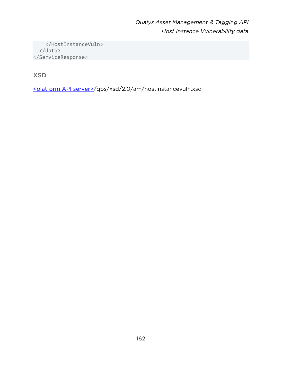</HostInstanceVuln> </data> </ServiceResponse>

XSD

[<platform API server>/](#page-8-0)qps/xsd/2.0/am/hostinstancevuln.xsd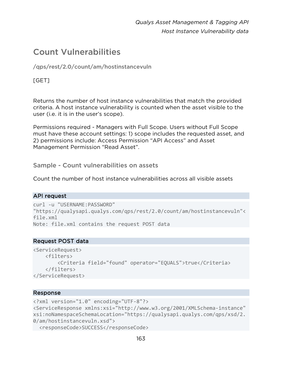# Count Vulnerabilities

/qps/rest/2.0/count/am/hostinstancevuln

## [GET]

Returns the number of host instance vulnerabilities that match the provided criteria. A host instance vulnerability is counted when the asset visible to the user (i.e. it is in the user's scope).

Permissions required - Managers with Full Scope. Users without Full Scope must have these account settings: 1) scope includes the requested asset, and 2) permissions include: Access Permission "API Access" and Asset Management Permission "Read Asset".

Sample - Count vulnerabilities on assets

Count the number of host instance vulnerabilities across all visible assets

#### API request

```
curl -u "USERNAME:PASSWORD" 
"https://qualysapi.qualys.com/qps/rest/2.0/count/am/hostinstancevuln"< 
file.xml 
Note: file.xml contains the request POST data
```
#### Request POST data

```
<ServiceRequest> 
     <filters> 
         <Criteria field="found" operator="EQUALS">true</Criteria> 
     </filters> 
</ServiceRequest>
```

```
<?xml version="1.0" encoding="UTF-8"?> 
<ServiceResponse xmlns:xsi="http://www.w3.org/2001/XMLSchema-instance" 
xsi:noNamespaceSchemaLocation="https://qualysapi.qualys.com/qps/xsd/2.
0/am/hostinstancevuln.xsd"> 
   <responseCode>SUCCESS</responseCode>
```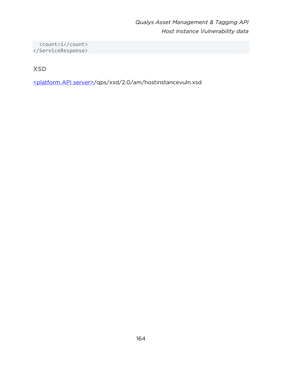<count>1</count> </ServiceResponse>

XSD

[<platform API server>/](#page-8-0)qps/xsd/2.0/am/hostinstancevuln.xsd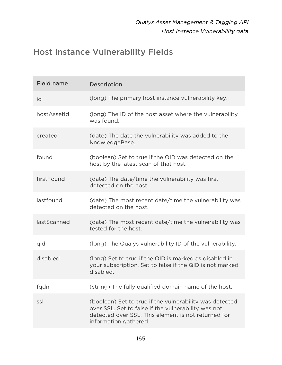# Host Instance Vulnerability Fields

| <b>Field name</b> | Description                                                                                                                                                                                    |
|-------------------|------------------------------------------------------------------------------------------------------------------------------------------------------------------------------------------------|
| id                | (long) The primary host instance vulnerability key.                                                                                                                                            |
| hostAssetId       | (long) The ID of the host asset where the vulnerability<br>was found.                                                                                                                          |
| created           | (date) The date the vulnerability was added to the<br>KnowledgeBase.                                                                                                                           |
| found             | (boolean) Set to true if the QID was detected on the<br>host by the latest scan of that host.                                                                                                  |
| firstFound        | (date) The date/time the vulnerability was first<br>detected on the host.                                                                                                                      |
| lastfound         | (date) The most recent date/time the vulnerability was<br>detected on the host.                                                                                                                |
| lastScanned       | (date) The most recent date/time the vulnerability was<br>tested for the host.                                                                                                                 |
| qid               | (long) The Qualys vulnerability ID of the vulnerability.                                                                                                                                       |
| disabled          | (long) Set to true if the QID is marked as disabled in<br>your subscription. Set to false if the QID is not marked<br>disabled.                                                                |
| fqdn              | (string) The fully qualified domain name of the host.                                                                                                                                          |
| ssl               | (boolean) Set to true if the vulnerability was detected<br>over SSL. Set to false if the vulnerability was not<br>detected over SSL. This element is not returned for<br>information gathered. |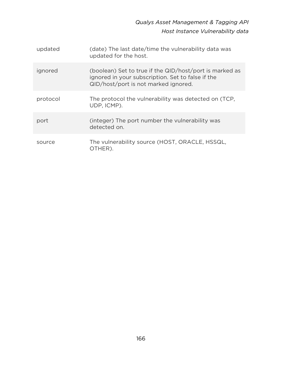*Qualys Asset Management & Tagging API Host Instance Vulnerability data*

| updated  | (date) The last date/time the vulnerability data was<br>updated for the host.                                                                        |
|----------|------------------------------------------------------------------------------------------------------------------------------------------------------|
| ignored  | (boolean) Set to true if the QID/host/port is marked as<br>ignored in your subscription. Set to false if the<br>QID/host/port is not marked ignored. |
| protocol | The protocol the vulnerability was detected on (TCP,<br>UDP, ICMP).                                                                                  |
| port     | (integer) The port number the vulnerability was<br>detected on.                                                                                      |
| source   | The vulnerability source (HOST, ORACLE, HSSQL,<br>OTHER).                                                                                            |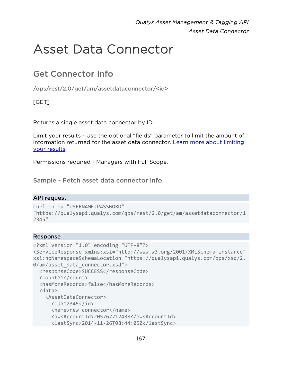# Asset Data Connector

# Get Connector Info

/qps/rest/2.0/get/am/assetdataconnector/<id>

[GET]

Returns a single asset data connector by ID.

Limit your results - Use the optional "fields" parameter to limit the amount of information returned for the asset data connector. [Learn more about limiting](#page-10-0)  [your results](#page-10-0)

Permissions required - Managers with Full Scope.

Sample - Fetch asset data connector info

#### API request

```
curl -n -u "USERNAME:PASSWORD" 
"https://qualysapi.qualys.com/qps/rest/2.0/get/am/assetdataconnector/1
2345"
```

```
<?xml version="1.0" encoding="UTF-8"?> 
<ServiceResponse xmlns:xsi="http://www.w3.org/2001/XMLSchema-instance" 
xsi:noNamespaceSchemaLocation="https://qualysapi.qualys.com/qps/xsd/2.
0/am/asset data connector.xsd">
   <responseCode>SUCCESS</responseCode> 
   <count>1</count> 
   <hasMoreRecords>false</hasMoreRecords> 
   <data> 
     <AssetDataConnector> 
       <id>12345</id> 
       <name>new connector</name> 
       <awsAccountId>205767712438</awsAccountId> 
       <lastSync>2014-11-26T08:44:05Z</lastSync>
```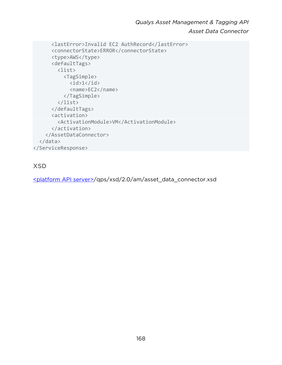*Qualys Asset Management & Tagging API Asset Data Connector*

```
 <lastError>Invalid EC2 AuthRecord</lastError> 
       <connectorState>ERROR</connectorState> 
       <type>AWS</type> 
       <defaultTags> 
          <list> 
            <TagSimple> 
             \langleid>1\langleid>
              <name>EC2</name> 
            </TagSimple> 
          </list> 
       </defaultTags> 
       <activation> 
          <ActivationModule>VM</ActivationModule> 
       </activation> 
     </AssetDataConnector> 
   </data> 
</ServiceResponse>
```
## XSD

[<platform API server>/](#page-8-0)qps/xsd/2.0/am/asset\_data\_connector.xsd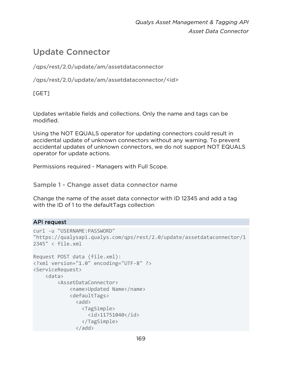# Update Connector

/qps/rest/2.0/update/am/assetdataconnector

/qps/rest/2.0/update/am/assetdataconnector/<id>

[GET]

Updates writable fields and collections. Only the name and tags can be modified.

Using the NOT EQUALS operator for updating connectors could result in accidental update of unknown connectors without any warning. To prevent accidental updates of unknown connectors, we do not support NOT EQUALS operator for update actions.

Permissions required - Managers with Full Scope.

Sample 1 - Change asset data connector name

Change the name of the asset data connector with ID 12345 and add a tag with the ID of 1 to the defaultTags collection

#### API request

```
curl -u "USERNAME:PASSWORD" 
"https://qualysapi.qualys.com/qps/rest/2.0/update/assetdataconnector/1
2345" < file.xml 
Request POST data (file.xml): 
<?xml version="1.0" encoding="UTF-8" ?> 
<ServiceRequest> 
     <data> 
         <AssetDataConnector> 
              <name>Updated Name</name> 
              <defaultTags> 
               <add>
                  <TagSimple> 
                    <id>11751040</id> 
                  </TagSimple> 
                </add>
```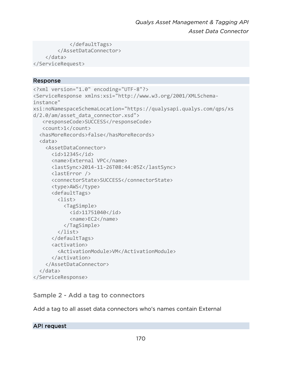```
 </defaultTags> 
          </AssetDataConnector> 
     </data> 
</ServiceRequest>
```
#### Response

```
<?xml version="1.0" encoding="UTF-8"?> 
<ServiceResponse xmlns:xsi="http://www.w3.org/2001/XMLSchema-
instance" 
xsi:noNamespaceSchemaLocation="https://qualysapi.qualys.com/qps/xs 
d/2.0/am/asset_data_connector.xsd"> 
    <responseCode>SUCCESS</responseCode> 
    <count>1</count> 
   <hasMoreRecords>false</hasMoreRecords> 
   <data> 
     <AssetDataConnector> 
      \langleid>12345\langleid>
       <name>External VPC</name> 
       <lastSync>2014-11-26T08:44:05Z</lastSync> 
       <lastError /> 
       <connectorState>SUCCESS</connectorState> 
       <type>AWS</type> 
       <defaultTags> 
          <list> 
            <TagSimple> 
              <id>11751040</id> 
              <name>EC2</name> 
            </TagSimple> 
          </list> 
       </defaultTags> 
       <activation> 
          <ActivationModule>VM</ActivationModule> 
       </activation> 
     </AssetDataConnector> 
   </data> 
</ServiceResponse>
```
#### Sample 2 - Add a tag to connectors

Add a tag to all asset data connectors who's names contain External

#### API request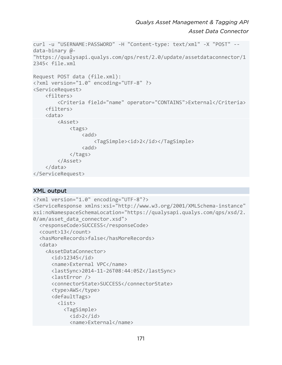```
curl -u "USERNAME:PASSWORD" -H "Content-type: text/xml" -X "POST" --
data-binary @- 
"https://qualysapi.qualys.com/qps/rest/2.0/update/assetdataconnector/1
2345< file.xml 
Request POST data (file.xml): 
<?xml version="1.0" encoding="UTF-8" ?> 
<ServiceRequest> 
     <filters> 
          <Criteria field="name" operator="CONTAINS">External</Criteria> 
     <filters> 
     <data> 
          <Asset> 
              <tags> 
                  \langleadd\rangle <TagSimple><id>2</id></TagSimple> 
                  \langleadd\rangle </tags> 
          </Asset> 
     </data> 
</ServiceRequest>
```
#### XML output

```
<?xml version="1.0" encoding="UTF-8"?> 
<ServiceResponse xmlns:xsi="http://www.w3.org/2001/XMLSchema-instance" 
xsi:noNamespaceSchemaLocation="https://qualysapi.qualys.com/qps/xsd/2.
0/am/asset data connector.xsd">
   <responseCode>SUCCESS</responseCode> 
   <count>13</count> 
   <hasMoreRecords>false</hasMoreRecords> 
   <data> 
     <AssetDataConnector> 
       <id>12345</id> 
       <name>External VPC</name> 
       <lastSync>2014-11-26T08:44:05Z</lastSync> 
       <lastError /> 
       <connectorState>SUCCESS</connectorState> 
       <type>AWS</type> 
       <defaultTags> 
         <list> 
            <TagSimple> 
             \langleid>2\langle/id>
              <name>External</name>
```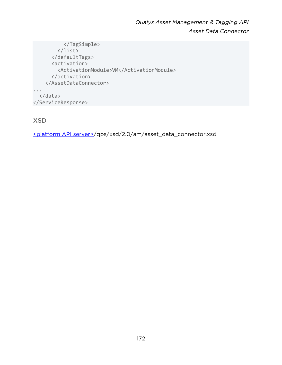*Qualys Asset Management & Tagging API Asset Data Connector*

```
 </TagSimple> 
          </list> 
       </defaultTags> 
       <activation> 
          <ActivationModule>VM</ActivationModule> 
       </activation> 
     </AssetDataConnector> 
... 
   </data> 
</ServiceResponse>
```
XSD

[<platform API server>/](#page-8-0)qps/xsd/2.0/am/asset\_data\_connector.xsd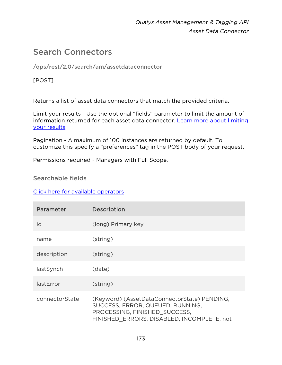# Search Connectors

/qps/rest/2.0/search/am/assetdataconnector

## [POST]

Returns a list of asset data connectors that match the provided criteria.

Limit your results - Use the optional "fields" parameter to limit the amount of information returned for each asset data connector. [Learn more about limiting](#page-10-0)  [your results](#page-10-0)

Pagination - A maximum of 100 instances are returned by default. To customize this specify a "preferences" tag in the POST body of your request.

Permissions required - Managers with Full Scope.

#### Searchable fields

#### [Click here for available operators](#page-16-0)

| Parameter      | Description                                                                                                                                                     |
|----------------|-----------------------------------------------------------------------------------------------------------------------------------------------------------------|
| id             | (long) Primary key                                                                                                                                              |
| name           | (string)                                                                                                                                                        |
| description    | (string)                                                                                                                                                        |
| lastSynch      | (date)                                                                                                                                                          |
| lastError      | (string)                                                                                                                                                        |
| connectorState | (Keyword) (AssetDataConnectorState) PENDING,<br>SUCCESS, ERROR, QUEUED, RUNNING,<br>PROCESSING, FINISHED SUCCESS,<br>FINISHED ERRORS, DISABLED, INCOMPLETE, not |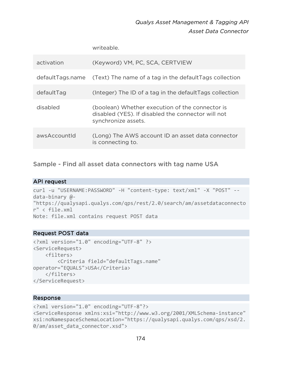# *Qualys Asset Management & Tagging API Asset Data Connector*

writeable.

| activation       | (Keyword) VM, PC, SCA, CERTVIEW                                                                                              |
|------------------|------------------------------------------------------------------------------------------------------------------------------|
| defaultTags.name | (Text) The name of a tag in the defaultTags collection                                                                       |
| defaultTag       | (Integer) The ID of a tag in the defaultTags collection                                                                      |
| disabled         | (boolean) Whether execution of the connector is<br>disabled (YES). If disabled the connector will not<br>synchronize assets. |
| awsAccountId     | (Long) The AWS account ID an asset data connector<br>is connecting to.                                                       |

Sample - Find all asset data connectors with tag name USA

#### API request

```
curl -u "USERNAME:PASSWORD" -H "content-type: text/xml" -X "POST" --
data-binary @- 
"https://qualysapi.qualys.com/qps/rest/2.0/search/am/assetdataconnecto
r" < file.xml 
Note: file.xml contains request POST data
```
#### Request POST data

```
<?xml version="1.0" encoding="UTF-8" ?> 
<ServiceRequest> 
     <filters> 
         <Criteria field="defaultTags.name" 
operator="EQUALS">USA</Criteria> 
     </filters> 
</ServiceRequest>
```

```
<?xml version="1.0" encoding="UTF-8"?> 
<ServiceResponse xmlns:xsi="http://www.w3.org/2001/XMLSchema-instance" 
xsi:noNamespaceSchemaLocation="https://qualysapi.qualys.com/qps/xsd/2.
0/am/asset_data_connector.xsd">
```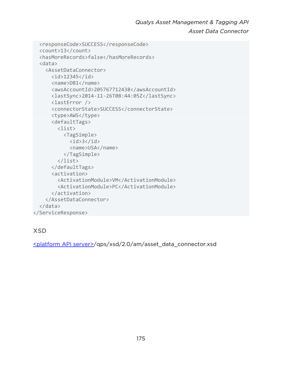*Qualys Asset Management & Tagging API Asset Data Connector*

```
 <responseCode>SUCCESS</responseCode> 
   <count>13</count> 
   <hasMoreRecords>false</hasMoreRecords> 
   <data> 
     <AssetDataConnector> 
      \langleid>12345\langleid>
       <name>DB1</name> 
        <awsAccountId>205767712438</awsAccountId> 
        <lastSync>2014-11-26T08:44:05Z</lastSync> 
        <lastError /> 
       <connectorState>SUCCESS</connectorState> 
        <type>AWS</type> 
       <defaultTags> 
          <list> 
            <TagSimple> 
             \langleid>3\langleid>
              <name>USA</name> 
            </TagSimple> 
          </list> 
       </defaultTags> 
       <activation> 
          <ActivationModule>VM</ActivationModule> 
          <ActivationModule>PC</ActivationModule> 
       </activation> 
     </AssetDataConnector> 
   </data> 
</ServiceResponse>
```
## XSD

[<platform API server>/](#page-8-0)qps/xsd/2.0/am/asset\_data\_connector.xsd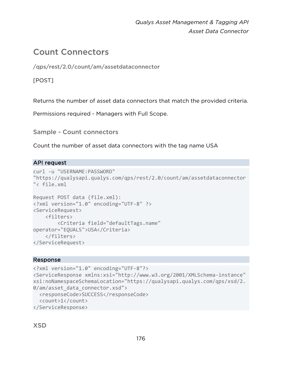# Count Connectors

/qps/rest/2.0/count/am/assetdataconnector

## [POST]

Returns the number of asset data connectors that match the provided criteria.

Permissions required - Managers with Full Scope.

Sample - Count connectors

Count the number of asset data connectors with the tag name USA

#### API request

```
curl -u "USERNAME:PASSWORD" 
"https://qualysapi.qualys.com/qps/rest/2.0/count/am/assetdataconnector
"< file.xml 
Request POST data (file.xml): 
<?xml version="1.0" encoding="UTF-8" ?> 
<ServiceRequest> 
     <filters> 
         <Criteria field="defaultTags.name" 
operator="EQUALS">USA</Criteria> 
     </filters> 
</ServiceRequest>
```

```
<?xml version="1.0" encoding="UTF-8"?> 
<ServiceResponse xmlns:xsi="http://www.w3.org/2001/XMLSchema-instance" 
xsi:noNamespaceSchemaLocation="https://qualysapi.qualys.com/qps/xsd/2.
0/am/asset data connector.xsd">
   <responseCode>SUCCESS</responseCode> 
   <count>1</count> 
</ServiceResponse>
```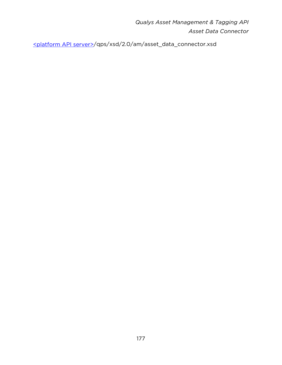*Qualys Asset Management & Tagging API Asset Data Connector*

[<platform API server>/](#page-8-0)qps/xsd/2.0/am/asset\_data\_connector.xsd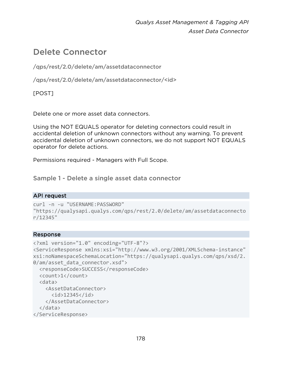# Delete Connector

/qps/rest/2.0/delete/am/assetdataconnector

/qps/rest/2.0/delete/am/assetdataconnector/<id>

[POST]

Delete one or more asset data connectors.

Using the NOT EQUALS operator for deleting connectors could result in accidental deletion of unknown connectors without any warning. To prevent accidental deletion of unknown connectors, we do not support NOT EQUALS operator for delete actions.

Permissions required - Managers with Full Scope.

Sample 1 - Delete a single asset data connector

#### API request

```
curl -n -u "USERNAME:PASSWORD" 
"https://qualysapi.qualys.com/qps/rest/2.0/delete/am/assetdataconnecto
r/12345"
```

```
<?xml version="1.0" encoding="UTF-8"?> 
<ServiceResponse xmlns:xsi="http://www.w3.org/2001/XMLSchema-instance" 
xsi:noNamespaceSchemaLocation="https://qualysapi.qualys.com/qps/xsd/2.
0/am/asset data connector.xsd">
   <responseCode>SUCCESS</responseCode> 
   <count>1</count> 
   <data> 
     <AssetDataConnector> 
       <id>12345</id> 
     </AssetDataConnector> 
   </data> 
</ServiceResponse>
```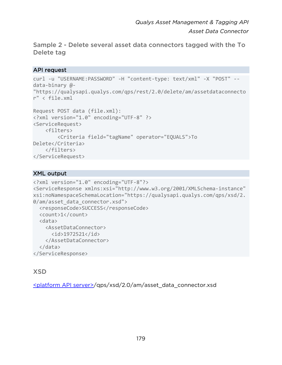Sample 2 - Delete several asset data connectors tagged with the To Delete tag

#### API request

```
curl -u "USERNAME:PASSWORD" -H "content-type: text/xml" -X "POST" --
data-binary @- 
"https://qualysapi.qualys.com/qps/rest/2.0/delete/am/assetdataconnecto
r" < file.xml 
Request POST data (file.xml): 
<?xml version="1.0" encoding="UTF-8" ?> 
<ServiceRequest> 
     <filters> 
         <Criteria field="tagName" operator="EQUALS">To 
Delete</Criteria> 
     </filters> 
</ServiceRequest>
```
#### XML output

```
<?xml version="1.0" encoding="UTF-8"?> 
<ServiceResponse xmlns:xsi="http://www.w3.org/2001/XMLSchema-instance" 
xsi:noNamespaceSchemaLocation="https://qualysapi.qualys.com/qps/xsd/2.
0/am/asset data connector.xsd">
   <responseCode>SUCCESS</responseCode> 
   <count>1</count> 
   <data> 
     <AssetDataConnector> 
       <id>1972521</id> 
     </AssetDataConnector> 
   </data> 
</ServiceResponse>
```
## XSD

[<platform API server>/](#page-8-0)qps/xsd/2.0/am/asset\_data\_connector.xsd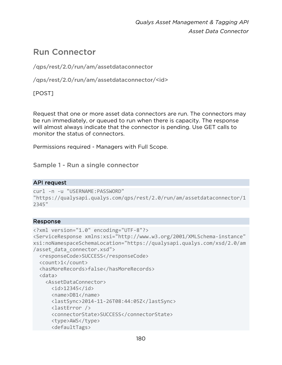*Qualys Asset Management & Tagging API Asset Data Connector*

# Run Connector

/qps/rest/2.0/run/am/assetdataconnector

/qps/rest/2.0/run/am/assetdataconnector/<id>

[POST]

Request that one or more asset data connectors are run. The connectors may be run immediately, or queued to run when there is capacity. The response will almost always indicate that the connector is pending. Use GET calls to monitor the status of connectors.

Permissions required - Managers with Full Scope.

Sample 1 - Run a single connector

#### API request

```
curl -n -u "USERNAME:PASSWORD" 
"https://qualysapi.qualys.com/qps/rest/2.0/run/am/assetdataconnector/1
2345"
```

```
<?xml version="1.0" encoding="UTF-8"?> 
<ServiceResponse xmlns:xsi="http://www.w3.org/2001/XMLSchema-instance" 
xsi:noNamespaceSchemaLocation="https://qualysapi.qualys.com/xsd/2.0/am
/asset_data_connector.xsd"> 
   <responseCode>SUCCESS</responseCode> 
   <count>1</count> 
   <hasMoreRecords>false</hasMoreRecords> 
   <data> 
     <AssetDataConnector> 
       <id>12345</id> 
       <name>DB1</name> 
       <lastSync>2014-11-26T08:44:05Z</lastSync> 
       <lastError /> 
       <connectorState>SUCCESS</connectorState> 
      <type>AWS</type>
       <defaultTags>
```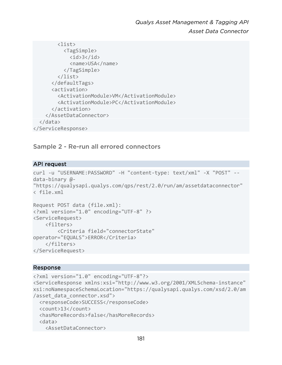```
 <list> 
            <TagSimple> 
              \langleid>3\langleid>
               <name>USA</name> 
            </TagSimple> 
          </list> 
        </defaultTags> 
        <activation> 
          <ActivationModule>VM</ActivationModule> 
          <ActivationModule>PC</ActivationModule> 
        </activation> 
     </AssetDataConnector> 
   </data> 
</ServiceResponse>
```
# Sample 2 - Re-run all errored connectors

### API request

```
curl -u "USERNAME:PASSWORD" -H "content-type: text/xml" -X "POST" --
data-binary @- 
"https://qualysapi.qualys.com/qps/rest/2.0/run/am/assetdataconnector" 
< file.xml 
Request POST data (file.xml): 
<?xml version="1.0" encoding="UTF-8" ?> 
<ServiceRequest> 
     <filters> 
         <Criteria field="connectorState" 
operator="EQUALS">ERROR</Criteria> 
     </filters> 
</ServiceRequest>
```

```
<?xml version="1.0" encoding="UTF-8"?> 
<ServiceResponse xmlns:xsi="http://www.w3.org/2001/XMLSchema-instance" 
xsi:noNamespaceSchemaLocation="https://qualysapi.qualys.com/xsd/2.0/am
/asset_data_connector.xsd"> 
   <responseCode>SUCCESS</responseCode> 
   <count>13</count> 
   <hasMoreRecords>false</hasMoreRecords> 
   <data> 
     <AssetDataConnector>
```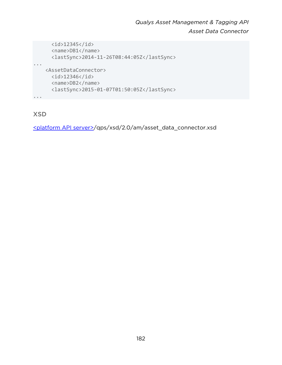```
 <id>12345</id> 
       <name>DB1</name> 
       <lastSync>2014-11-26T08:44:05Z</lastSync> 
... 
    <AssetDataConnector> 
      <id>12346</id> 
       <name>DB2</name> 
       <lastSync>2015-01-07T01:50:05Z</lastSync> 
...
```
XSD

[<platform API server>/](#page-8-0)qps/xsd/2.0/am/asset\_data\_connector.xsd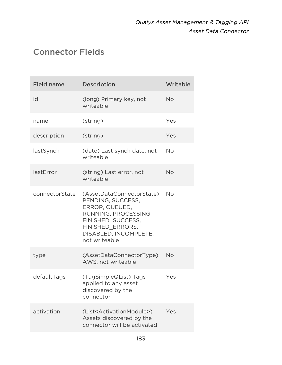# Connector Fields

| <b>Field name</b> | <b>Description</b>                                                                                                                                                          | Writable  |
|-------------------|-----------------------------------------------------------------------------------------------------------------------------------------------------------------------------|-----------|
| id                | (long) Primary key, not<br>writeable                                                                                                                                        | No        |
| name              | (string)                                                                                                                                                                    | Yes       |
| description       | (string)                                                                                                                                                                    | Yes       |
| lastSynch         | (date) Last synch date, not<br>writeable                                                                                                                                    | No        |
| lastError         | (string) Last error, not<br>writeable                                                                                                                                       | <b>No</b> |
| connectorState    | (AssetDataConnectorState)<br>PENDING, SUCCESS,<br>ERROR, QUEUED,<br>RUNNING, PROCESSING,<br>FINISHED_SUCCESS,<br>FINISHED ERRORS,<br>DISABLED, INCOMPLETE,<br>not writeable | No        |
| type              | (AssetDataConnectorType)<br>AWS, not writeable                                                                                                                              | <b>No</b> |
| defaultTags       | (TagSimpleQList) Tags<br>applied to any asset<br>discovered by the<br>connector                                                                                             | Yes       |
| activation        | (List <activationmodule>)<br/>Assets discovered by the<br/>connector will be activated</activationmodule>                                                                   | Yes       |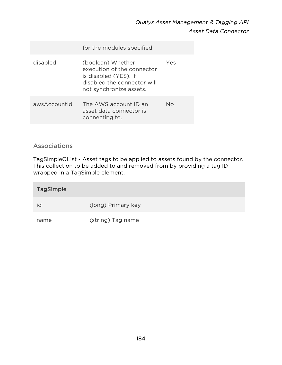|              | for the modules specified                                                                                                          |     |
|--------------|------------------------------------------------------------------------------------------------------------------------------------|-----|
| disabled     | (boolean) Whether<br>execution of the connector<br>is disabled (YES). If<br>disabled the connector will<br>not synchronize assets. | Yes |
| awsAccountld | The AWS account ID an<br>asset data connector is<br>connecting to.                                                                 | Nο  |

# Associations

TagSimpleQList - Asset tags to be applied to assets found by the connector. This collection to be added to and removed from by providing a tag ID wrapped in a TagSimple element.

| <b>TagSimple</b> |                    |
|------------------|--------------------|
| id               | (long) Primary key |
| name             | (string) Tag name  |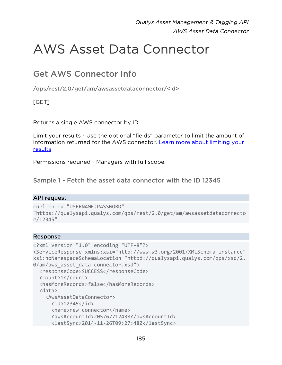# AWS Asset Data Connector

# Get AWS Connector Info

/qps/rest/2.0/get/am/awsassetdataconnector/<id>

# [GET]

Returns a single AWS connector by ID.

Limit your results - Use the optional "fields" parameter to limit the amount of information returned for the AWS connector. [Learn more about limiting your](#page-10-0)  [results](#page-10-0)

Permissions required - Managers with full scope.

Sample 1 - Fetch the asset data connector with the ID 12345

# API request

```
curl -n -u "USERNAME:PASSWORD" 
"https://qualysapi.qualys.com/qps/rest/2.0/get/am/awsassetdataconnecto
r/12345"
```

```
<?xml version="1.0" encoding="UTF-8"?> 
<ServiceResponse xmlns:xsi="http://www.w3.org/2001/XMLSchema-instance" 
xsi:noNamespaceSchemaLocation="httpd://qualysapi.qualys.com/qps/xsd/2.
0/am/aws asset data-connector.xsd">
   <responseCode>SUCCESS</responseCode> 
   <count>1</count> 
   <hasMoreRecords>false</hasMoreRecords> 
   <data> 
     <AwsAssetDataConnector> 
       <id>12345</id> 
       <name>new connector</name> 
       <awsAccountId>205767712438</awsAccountId> 
       <lastSync>2014-11-26T09:27:48Z</lastSync>
```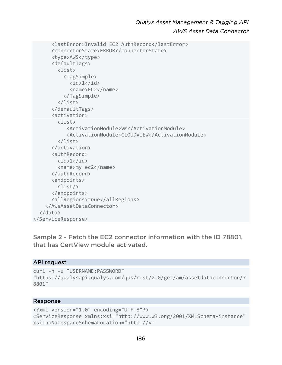```
 <lastError>Invalid EC2 AuthRecord</lastError> 
       <connectorState>ERROR</connectorState> 
       <type>AWS</type> 
       <defaultTags> 
          <list> 
            <TagSimple> 
             \langleid>1\langleid>
              <name>EC2</name> 
            </TagSimple> 
          </list> 
       </defaultTags> 
       <activation> 
          <list> 
             <ActivationModule>VM</ActivationModule> 
             <ActivationModule>CLOUDVIEW</ActivationModule> 
          </list> 
       </activation> 
       <authRecord> 

          <name>my ec2</name> 
       </authRecord> 
       <endpoints> 
          <list/> 
       </endpoints> 
       <allRegions>true</allRegions> 
     </AwsAssetDataConnector> 
   </data> 
</ServiceResponse>
```
Sample 2 - Fetch the EC2 connector information with the ID 78801, that has CertView module activated.

### API request

```
curl -n -u "USERNAME:PASSWORD" 
"https://qualysapi.qualys.com/qps/rest/2.0/get/am/assetdataconnector/7
8801"
```

```
<?xml version="1.0" encoding="UTF-8"?> 
<ServiceResponse xmlns:xsi="http://www.w3.org/2001/XMLSchema-instance" 
xsi:noNamespaceSchemaLocation="http://v-
```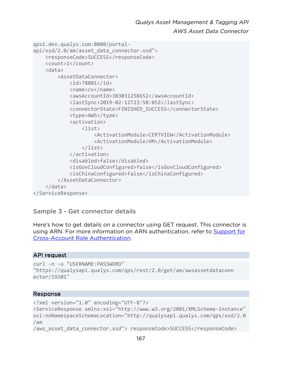```
qps1.dev.qualys.com:8080/portal-
api/xsd/2.0/am/asset data connector.xsd">
     <responseCode>SUCCESS</responseCode> 
     <count>1</count> 
     <data> 
         <AssetDataConnector> 
              <id>78801</id> 
              <name>cv</name> 
              <awsAccountId>383031258652</awsAccountId> 
              <lastSync>2019-02-12T23:58:05Z</lastSync> 
              <connectorState>FINISHED_SUCCESS</connectorState> 
              <type>AWS</type> 
              <activation> 
                  <list> 
                      <ActivationModule>CERTVIEW</ActivationModule> 
                      <ActivationModule>VM</ActivationModule> 
                  </list> 
              </activation> 
              <disabled>false</disabled> 
              <isGovCloudConfigured>false</isGovCloudConfigured> 
              <isChinaConfigured>false</isChinaConfigured> 
         </AssetDataConnector> 
     </data> 
</ServiceResponse>
```
### Sample 3 - Get connector details

Here's how to get details on a connector using GET request. This connector is using ARN. For more information on ARN authentication, refer to [Support for](#page-203-0)  [Cross-Account Role Authentication.](#page-203-0)

#### API request

```
curl -n -u "USERNAME:PASSWORD" 
"https://qualysapi.qualys.com/qps/rest/2.0/get/am/awsassetdataconn 
ector/19201"
```

```
<?xml version="1.0" encoding="UTF-8"?> 
<ServiceResponse xmlns:xsi="http://www.w3.org/2001/XMLSchema-instance" 
xsi:noNamespaceSchemaLocation="http://qualysapi.qualys.com/qps/xsd/2.0
/am 
/aws asset data connector.xsd"> responseCode>SUCCESS</responseCode>
```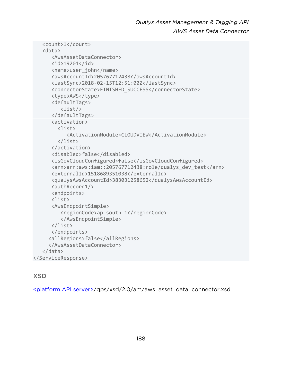```
 <count>1</count> 
    <data> 
       <AwsAssetDataConnector> 
       <id>19201</id> 
       <name>user_john</name> 
       <awsAccountId>205767712438</awsAccountId> 
       <lastSync>2018-02-15T12:51:00Z</lastSync> 
       <connectorState>FINISHED_SUCCESS</connectorState> 
       <type>AWS</type> 
       <defaultTags> 
           <list/> 
       </defaultTags> 
       <activation> 
          <list> 
             <ActivationModule>CLOUDVIEW</ActivationModule> 
          </list> 
       </activation> 
       <disabled>false</disabled> 
       <isGovCloudConfigured>false</isGovCloudConfigured> 
       <arn>arn:aws:iam::205767712438:role/qualys_dev_test</arn> 
       <externalId>1518689351038</externalId> 
       <qualysAwsAccountId>383031258652</qualysAwsAccountId> 
       <authRecord1/> 
       <endpoints> 
       <list> 
       <AwsEndpointSimple> 
           <regionCode>ap-south-1</regionCode> 
           </AwsEndpointSimple> 
       </list> 
       </endpoints> 
      <allRegions>false</allRegions> 
      </AwsAssetDataConnector> 
    </data> 
</ServiceResponse>
```
# **XSD**

[<platform API server>/](#page-8-0)qps/xsd/2.0/am/aws\_asset\_data\_connector.xsd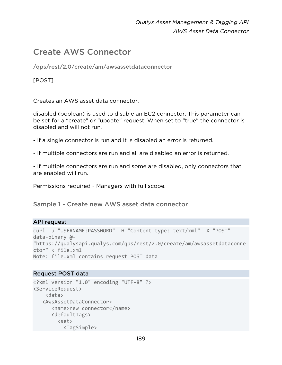# Create AWS Connector

/qps/rest/2.0/create/am/awsassetdataconnector

# [POST]

Creates an AWS asset data connector.

disabled (boolean) is used to disable an EC2 connector. This parameter can be set for a "create" or "update" request. When set to "true" the connector is disabled and will not run.

- If a single connector is run and it is disabled an error is returned.
- If multiple connectors are run and all are disabled an error is returned.

- If multiple connectors are run and some are disabled, only connectors that are enabled will run.

Permissions required - Managers with full scope.

Sample 1 - Create new AWS asset data connector

### API request

```
curl -u "USERNAME:PASSWORD" -H "Content-type: text/xml" -X "POST" --
data-binary @- 
"https://qualysapi.qualys.com/qps/rest/2.0/create/am/awsassetdataconne
ctor" < file.xml 
Note: file.xml contains request POST data
```

```
<?xml version="1.0" encoding="UTF-8" ?> 
<ServiceRequest> 
     <data> 
    <AwsAssetDataConnector> 
       <name>new connector</name> 
       <defaultTags> 
         <set> 
            <TagSimple>
```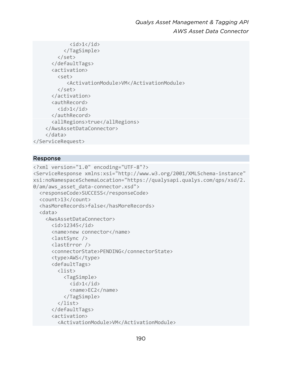```
\langleid>1\langleid>
            </TagSimple> 
          </set> 
        </defaultTags> 
        <activation> 
          <set> 
             <ActivationModule>VM</ActivationModule> 
          </set> 
        </activation> 
        <authRecord> 

        </authRecord> 
        <allRegions>true</allRegions> 
     </AwsAssetDataConnector> 
     </data> 
</ServiceRequest>
```

```
<?xml version="1.0" encoding="UTF-8"?> 
<ServiceResponse xmlns:xsi="http://www.w3.org/2001/XMLSchema-instance" 
xsi:noNamespaceSchemaLocation="https://qualysapi.qualys.com/qps/xsd/2.
0/am/aws asset data-connector.xsd">
   <responseCode>SUCCESS</responseCode> 
   <count>13</count> 
   <hasMoreRecords>false</hasMoreRecords> 
   <data> 
     <AwsAssetDataConnector> 
       <id>12345</id> 
        <name>new connector</name> 
        <lastSync /> 
       <lastError /> 
        <connectorState>PENDING</connectorState> 
        <type>AWS</type> 
        <defaultTags> 
          <list> 
            <TagSimple> 
             \langle id \rangle 1 \langle /id \rangle <name>EC2</name> 
            </TagSimple> 
          </list> 
        </defaultTags> 
        <activation>
```

```
 <ActivationModule>VM</ActivationModule>
```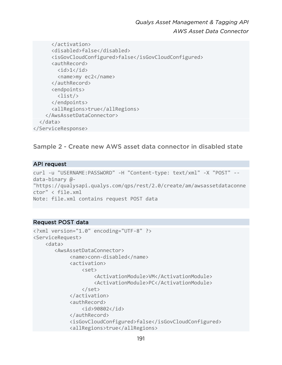```
 </activation> 
       <disabled>false</disabled> 
       <isGovCloudConfigured>false</isGovCloudConfigured> 
       <authRecord> 

         <name>my ec2</name> 
       </authRecord> 
       <endpoints> 
         <list/> 
       </endpoints> 
       <allRegions>true</allRegions> 
     </AwsAssetDataConnector> 
   </data> 
</ServiceResponse>
```
Sample 2 - Create new AWS asset data connector in disabled state

### API request

```
curl -u "USERNAME:PASSWORD" -H "Content-type: text/xml" -X "POST" --
data-binary @- 
"https://qualysapi.qualys.com/qps/rest/2.0/create/am/awsassetdataconne
ctor" < file.xml 
Note: file.xml contains request POST data
```

```
<?xml version="1.0" encoding="UTF-8" ?> 
<ServiceRequest> 
     <data> 
        <AwsAssetDataConnector> 
              <name>conn-disabled</name> 
              <activation> 
                  <set> 
                       <ActivationModule>VM</ActivationModule> 
                       <ActivationModule>PC</ActivationModule> 
                  </set> 
              </activation> 
              <authRecord> 
                  <id>90802</id> 
              </authRecord> 
              <isGovCloudConfigured>false</isGovCloudConfigured> 
              <allRegions>true</allRegions>
```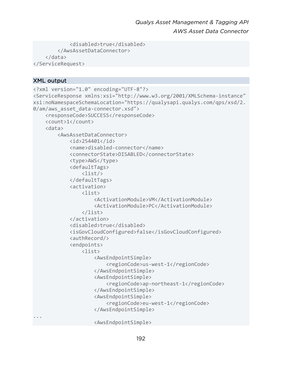```
 <disabled>true</disabled> 
          </AwsAssetDataConnector> 
     </data> 
</ServiceRequest>
```
### XML output

```
<?xml version="1.0" encoding="UTF-8"?> 
<ServiceResponse xmlns:xsi="http://www.w3.org/2001/XMLSchema-instance" 
xsi:noNamespaceSchemaLocation="https://qualysapi.qualys.com/qps/xsd/2.
0/am/aws asset data-connector.xsd">
     <responseCode>SUCCESS</responseCode> 
     <count>1</count> 
     <data> 
         <AwsAssetDataConnector> 
              <id>254401</id> 
              <name>disabled-connector</name> 
              <connectorState>DISABLED</connectorState> 
              <type>AWS</type> 
              <defaultTags> 
                  <list/> 
              </defaultTags> 
              <activation> 
                  <list> 
                       <ActivationModule>VM</ActivationModule> 
                       <ActivationModule>PC</ActivationModule> 
                  </list> 
              </activation> 
              <disabled>true</disabled> 
              <isGovCloudConfigured>false</isGovCloudConfigured> 
              <authRecord/> 
              <endpoints> 
                  <list> 
                       <AwsEndpointSimple> 
                           <regionCode>us-west-1</regionCode> 
                       </AwsEndpointSimple> 
                       <AwsEndpointSimple> 
                           <regionCode>ap-northeast-1</regionCode> 
                       </AwsEndpointSimple> 
                       <AwsEndpointSimple> 
                           <regionCode>eu-west-1</regionCode> 
                       </AwsEndpointSimple> 
... 
                       <AwsEndpointSimple>
```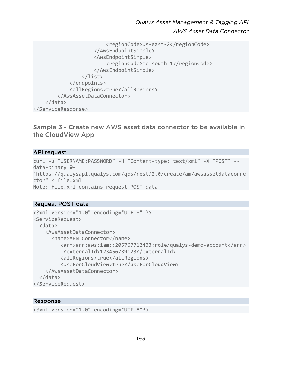```
 <regionCode>us-east-2</regionCode> 
                       </AwsEndpointSimple> 
                       <AwsEndpointSimple> 
                           <regionCode>me-south-1</regionCode> 
                       </AwsEndpointSimple> 
                  </list> 
              </endpoints> 
              <allRegions>true</allRegions> 
         </AwsAssetDataConnector> 
     </data> 
</ServiceResponse>
```
Sample 3 - Create new AWS asset data connector to be available in the CloudView App

### API request

```
curl -u "USERNAME:PASSWORD" -H "Content-type: text/xml" -X "POST" --
data-binary @- 
"https://qualysapi.qualys.com/qps/rest/2.0/create/am/awsassetdataconne
ctor" < file.xml 
Note: file.xml contains request POST data
```
### Request POST data

```
<?xml version="1.0" encoding="UTF-8" ?> 
<ServiceRequest> 
   <data> 
     <AwsAssetDataConnector> 
       <name>ARN Connector</name> 
          <arn>arn:aws:iam::205767712433:role/qualys-demo-account</arn> 
           <externalId>123456789123</externalId> 
          <allRegions>true</allRegions> 
          <useForCloudView>true</useForCloudView> 
     </AwsAssetDataConnector> 
   </data> 
</ServiceRequest>
```

```
<?xml version="1.0" encoding="UTF-8"?>
```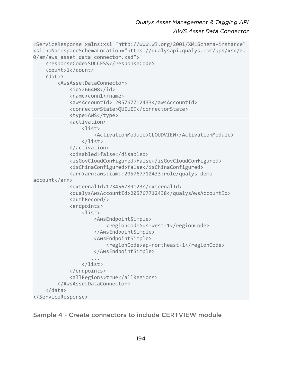```
<ServiceResponse xmlns:xsi="http://www.w3.org/2001/XMLSchema-instance" 
xsi:noNamespaceSchemaLocation="https://qualysapi.qualys.com/qps/xsd/2.
0/am/aws_asset_data_connector.xsd">'' 
     <responseCode>SUCCESS</responseCode> 
     <count>1</count> 
     <data> 
         <AwsAssetDataConnector> 
             <id>266408</id> 
             <name>conn1</name> 
             <awsAccountId> 205767712433</awsAccountId> 
             <connectorState>QUEUED</connectorState> 
             <type>AWS</type> 
             <activation> 
                  <list> 
                      <ActivationModule>CLOUDVIEW</ActivationModule> 
                  </list> 
             </activation> 
             <disabled>false</disabled> 
             <isGovCloudConfigured>false</isGovCloudConfigured> 
             <isChinaConfigured>false</isChinaConfigured> 
             <arn>arn:aws:iam::205767712433:role/qualys-demo-
account</arn> 
             <externalId>123456789123</externalId> 
             <qualysAwsAccountId>205767712438</qualysAwsAccountId> 
             <authRecord/> 
             <endpoints> 
                  <list> 
                      <AwsEndpointSimple> 
                          <regionCode>us-west-1</regionCode> 
                      </AwsEndpointSimple> 
                      <AwsEndpointSimple> 
                          <regionCode>ap-northeast-1</regionCode> 
                      </AwsEndpointSimple> 
 ... 
                  </list> 
             </endpoints> 
             <allRegions>true</allRegions> 
         </AwsAssetDataConnector> 
     </data> 
</ServiceResponse>
```
Sample 4 - Create connectors to include CERTVIEW module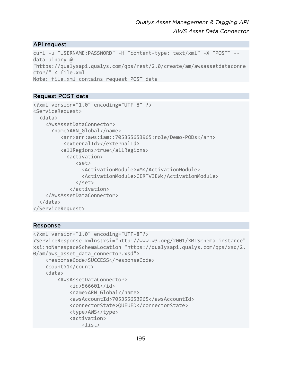# API request

```
curl -u "USERNAME:PASSWORD" -H "content-type: text/xml" -X "POST" --
data-binary @- 
"https://qualysapi.qualys.com/qps/rest/2.0/create/am/awsassetdataconne
ctor/" < file.xml 
Note: file.xml contains request POST data
```
# Request POST data

```
<?xml version="1.0" encoding="UTF-8" ?> 
<ServiceRequest> 
   <data> 
     <AwsAssetDataConnector> 
       <name>ARN_Global</name> 
          <arn>arn:aws:iam::705355653965:role/Demo-PODs</arn> 
            <externalId></externalId> 
          <allRegions>true</allRegions> 
             <activation> 
                <set> 
                  <ActivationModule>VM</ActivationModule> 
                  <ActivationModule>CERTVIEW</ActivationModule> 
                </set> 
              </activation> 
     </AwsAssetDataConnector> 
   </data> 
</ServiceRequest>
```

```
<?xml version="1.0" encoding="UTF-8"?> 
<ServiceResponse xmlns:xsi="http://www.w3.org/2001/XMLSchema-instance" 
xsi:noNamespaceSchemaLocation="https://qualysapi.qualys.com/qps/xsd/2.
0/am/aws asset data connector.xsd">
     <responseCode>SUCCESS</responseCode> 
     <count>1</count> 
     <data> 
         <AwsAssetDataConnector> 
             <id>566601</id> 
             <name>ARN_Global</name> 
             <awsAccountId>705355653965</awsAccountId> 
             <connectorState>QUEUED</connectorState> 
             <type>AWS</type> 
             <activation> 
                  <list>
```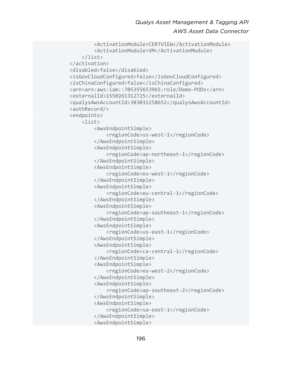```
 <ActivationModule>CERTVIEW</ActivationModule> 
         <ActivationModule>VM</ActivationModule> 
     </list> 
 </activation> 
 <disabled>false</disabled> 
 <isGovCloudConfigured>false</isGovCloudConfigured> 
 <isChinaConfigured>false</isChinaConfigured> 
 <arn>arn:aws:iam::705355653965:role/Demo-PODs</arn> 
 <externalId>1550261312725</externalId> 
 <qualysAwsAccountId>383031258652</qualysAwsAccountId> 
 <authRecord/> 
 <endpoints> 
     <list> 
         <AwsEndpointSimple> 
              <regionCode>us-west-1</regionCode> 
         </AwsEndpointSimple> 
         <AwsEndpointSimple> 
              <regionCode>ap-northeast-1</regionCode> 
         </AwsEndpointSimple> 
         <AwsEndpointSimple> 
              <regionCode>eu-west-1</regionCode> 
         </AwsEndpointSimple> 
         <AwsEndpointSimple> 
              <regionCode>eu-central-1</regionCode> 
         </AwsEndpointSimple> 
         <AwsEndpointSimple> 
              <regionCode>ap-southeast-1</regionCode> 
         </AwsEndpointSimple> 
         <AwsEndpointSimple> 
              <regionCode>us-east-1</regionCode> 
         </AwsEndpointSimple> 
         <AwsEndpointSimple> 
              <regionCode>ca-central-1</regionCode> 
         </AwsEndpointSimple> 
         <AwsEndpointSimple> 
              <regionCode>eu-west-2</regionCode> 
         </AwsEndpointSimple> 
         <AwsEndpointSimple> 
              <regionCode>ap-southeast-2</regionCode> 
         </AwsEndpointSimple> 
         <AwsEndpointSimple> 
              <regionCode>sa-east-1</regionCode> 
         </AwsEndpointSimple> 
          <AwsEndpointSimple>
```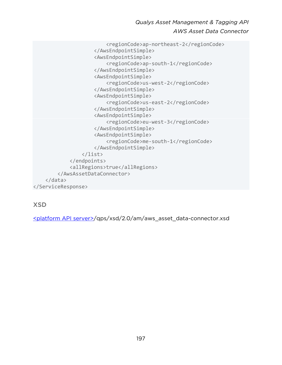```
 <regionCode>ap-northeast-2</regionCode> 
                       </AwsEndpointSimple> 
                       <AwsEndpointSimple> 
                           <regionCode>ap-south-1</regionCode> 
                       </AwsEndpointSimple> 
                       <AwsEndpointSimple> 
                           <regionCode>us-west-2</regionCode> 
                       </AwsEndpointSimple> 
                       <AwsEndpointSimple> 
                           <regionCode>us-east-2</regionCode> 
                       </AwsEndpointSimple> 
                       <AwsEndpointSimple> 
                           <regionCode>eu-west-3</regionCode> 
                       </AwsEndpointSimple> 
                       <AwsEndpointSimple> 
                           <regionCode>me-south-1</regionCode> 
                       </AwsEndpointSimple> 
                  </list> 
              </endpoints> 
              <allRegions>true</allRegions> 
         </AwsAssetDataConnector> 
     </data> 
</ServiceResponse>
```
XSD

[<platform API server>/](#page-8-0)qps/xsd/2.0/am/aws\_asset\_data-connector.xsd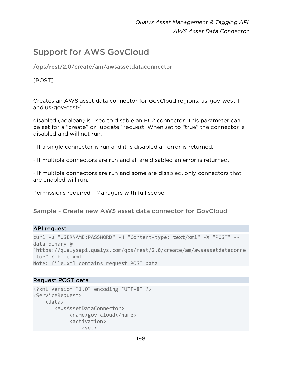# Support for AWS GovCloud

/qps/rest/2.0/create/am/awsassetdataconnector

# [POST]

Creates an AWS asset data connector for GovCloud regions: us-gov-west-1 and us-gov-east-1.

disabled (boolean) is used to disable an EC2 connector. This parameter can be set for a "create" or "update" request. When set to "true" the connector is disabled and will not run.

- If a single connector is run and it is disabled an error is returned.
- If multiple connectors are run and all are disabled an error is returned.

- If multiple connectors are run and some are disabled, only connectors that are enabled will run.

Permissions required - Managers with full scope.

Sample - Create new AWS asset data connector for GovCloud

### API request

```
curl -u "USERNAME:PASSWORD" -H "Content-type: text/xml" -X "POST" --
data-binary @- 
"https://qualysapi.qualys.com/qps/rest/2.0/create/am/awsassetdataconne
ctor" < file.xml 
Note: file.xml contains request POST data
```

```
<?xml version="1.0" encoding="UTF-8" ?> 
<ServiceRequest> 
     <data> 
        <AwsAssetDataConnector> 
              <name>gov-cloud</name> 
              <activation> 
                  <set>
```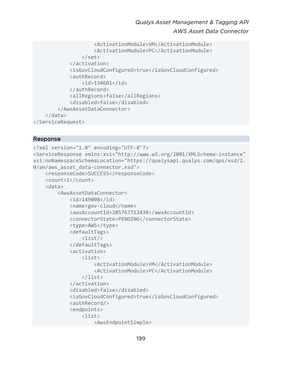```
 <ActivationModule>VM</ActivationModule> 
                       <ActivationModule>PC</ActivationModule> 
                  </set> 
              </activation> 
              <isGovCloudConfigured>true</isGovCloudConfigured> 
              <authRecord> 
                  <id>134601</id> 
              </authRecord> 
              <allRegions>false</allRegions> 
              <disabled>false</disabled> 
         </AwsAssetDataConnector> 
     </data> 
</ServiceRequest>
```

```
<?xml version="1.0" encoding="UTF-8"?> 
<ServiceResponse xmlns:xsi="http://www.w3.org/2001/XMLSchema-instance" 
xsi:noNamespaceSchemaLocation="https://qualysapi.qualys.com/qps/xsd/2.
0/am/aws_asset_data-connector.xsd"> 
     <responseCode>SUCCESS</responseCode> 
     <count>1</count> 
     <data> 
         <AwsAssetDataConnector> 
              <id>149008</id> 
              <name>gov-cloud</name> 
              <awsAccountId>205767712438</awsAccountId> 
              <connectorState>PENDING</connectorState> 
              <type>AWS</type> 
              <defaultTags> 
                  <list/> 
              </defaultTags> 
              <activation> 
                  <list> 
                       <ActivationModule>VM</ActivationModule> 
                       <ActivationModule>PC</ActivationModule> 
                  </list> 
              </activation> 
              <disabled>false</disabled> 
              <isGovCloudConfigured>true</isGovCloudConfigured> 
              <authRecord/> 
              <endpoints> 
                  <list> 
                       <AwsEndpointSimple>
```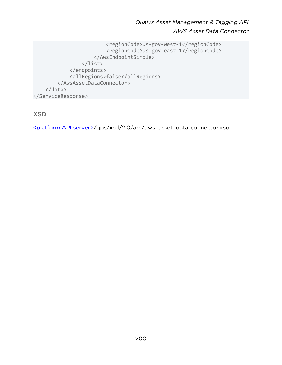```
 <regionCode>us-gov-west-1</regionCode> 
                           <regionCode>us-gov-east-1</regionCode> 
                       </AwsEndpointSimple> 
                  </list> 
              </endpoints> 
              <allRegions>false</allRegions> 
          </AwsAssetDataConnector> 
     </data> 
</ServiceResponse>
```
XSD

[<platform API server>/](#page-8-0)qps/xsd/2.0/am/aws\_asset\_data-connector.xsd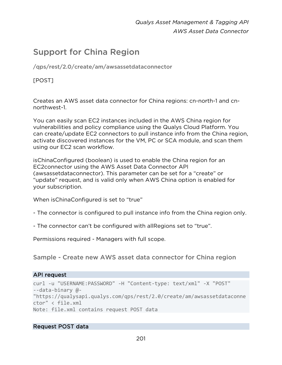# Support for China Region

/qps/rest/2.0/create/am/awsassetdataconnector

[POST]

Creates an AWS asset data connector for China regions: cn-north-1 and cnnorthwest-1.

You can easily scan EC2 instances included in the AWS China region for vulnerabilities and policy compliance using the Qualys Cloud Platform. You can create/update EC2 connectors to pull instance info from the China region, activate discovered instances for the VM, PC or SCA module, and scan them using our EC2 scan workflow.

isChinaConfigured (boolean) is used to enable the China region for an EC2connector using the AWS Asset Data Connector API (awsassetdataconnector). This parameter can be set for a "create" or "update" request, and is valid only when AWS China option is enabled for your subscription.

When isChinaConfigured is set to "true"

- The connector is configured to pull instance info from the China region only.
- The connector can't be configured with allRegions set to "true".

Permissions required - Managers with full scope.

Sample - Create new AWS asset data connector for China region

# API request

```
curl -u "USERNAME:PASSWORD" -H "Content-type: text/xml" -X "POST" 
--data-binary @- 
"https://qualysapi.qualys.com/qps/rest/2.0/create/am/awsassetdataconne
ctor" < file.xml 
Note: file.xml contains request POST data
```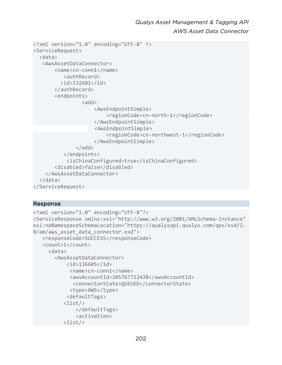```
<?xml version="1.0" encoding="UTF-8" ?> 
<ServiceRequest> 
   <data> 
    <AwsAssetDataConnector> 
        <name>cn-conn1</name> 
            <authRecord> 
          <id>132601</id>
        </authRecord> 
         <endpoints> 
                  <add>
                       <AwsEndpointSimple> 
                            <regionCode>cn-north-1</regionCode> 
                       </AwsEndpointSimple> 
                       <AwsEndpointSimple> 
                            <regionCode>cn-northwest-1</regionCode> 
                       </AwsEndpointSimple> 
                </add> 
            </endpoints> 
             <isChinaConfigured>true</isChinaConfigured> 
         <disabled>false</disabled> 
     </AwsAssetDataConnector> 
   </data> 
</ServiceRequest>
```

```
<?xml version="1.0" encoding="UTF-8"?> 
<ServiceResponse xmlns:xsi="http://www.w3.org/2001/XMLSchema-instance" 
xsi:noNamespaceSchemaLocation="https://qualysapi.qualys.com/qps/xsd/2.
0/am/aws asset data connector.xsd">
    <responseCode>SUCCESS</responseCode> 
    <count>1</count> 
      <data> 
        <AwsAssetDataConnector> 
            <id>136605</id> 
             <name>cn-conn1</name> 
              <awsAccountId>205767712438</awsAccountId> 
               <connectorState>QUEUED</connectorState> 
              <type>AWS</type> 
             <defaultTags> 
           <list/> 
                </defaultTags> 
                <activation> 
            <list/>
```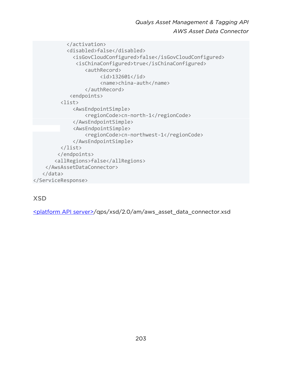</activation> <disabled>false</disabled> <isGovCloudConfigured>false</isGovCloudConfigured> <isChinaConfigured>true</isChinaConfigured> <authRecord> <id>132601</id> <name>china-auth</name> </authRecord> <endpoints> <list> <AwsEndpointSimple> <regionCode>cn-north-1</regionCode> </AwsEndpointSimple> <AwsEndpointSimple> <regionCode>cn-northwest-1</regionCode> </AwsEndpointSimple> </list> </endpoints> <allRegions>false</allRegions> </AwsAssetDataConnector> </data> </ServiceResponse>

# XSD

[<platform API server>/](#page-8-0)qps/xsd/2.0/am/aws\_asset\_data\_connector.xsd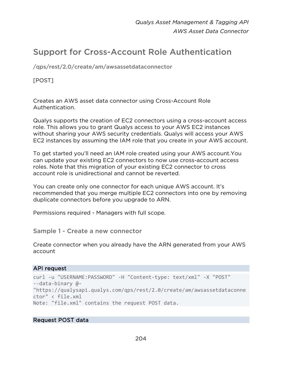# <span id="page-203-0"></span>Support for Cross-Account Role Authentication

/qps/rest/2.0/create/am/awsassetdataconnector

[POST]

Creates an AWS asset data connector using Cross-Account Role Authentication.

Qualys supports the creation of EC2 connectors using a cross-account access role. This allows you to grant Qualys access to your AWS EC2 instances without sharing your AWS security credentials. Qualys will access your AWS EC2 instances by assuming the IAM role that you create in your AWS account.

To get started you'll need an IAM role created using your AWS account.You can update your existing EC2 connectors to now use cross-account access roles. Note that this migration of your existing EC2 connector to cross account role is unidirectional and cannot be reverted.

You can create only one connector for each unique AWS account. It's recommended that you merge multiple EC2 connectors into one by removing duplicate connectors before you upgrade to ARN.

Permissions required - Managers with full scope.

Sample 1 - Create a new connector

Create connector when you already have the ARN generated from your AWS account

# API request

```
curl -u "USERNAME:PASSWORD" -H "Content-type: text/xml" -X "POST" 
--data-binary @- 
"https://qualysapi.qualys.com/qps/rest/2.0/create/am/awsassetdataconne
ctor" < file.xml 
Note: "file.xml" contains the request POST data.
```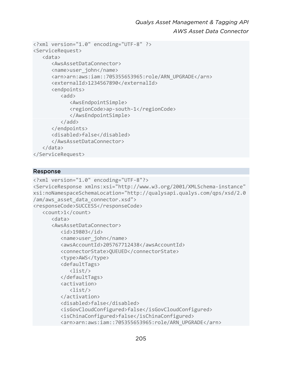```
<?xml version="1.0" encoding="UTF-8" ?> 
<ServiceRequest> 
    <data> 
       <AwsAssetDataConnector> 
       <name>user_john</name> 
       <arn>arn:aws:iam::705355653965:role/ARN_UPGRADE</arn> 
       <externalId>1234567890</externalId> 
       <endpoints> 
          <add>
              <AwsEndpointSimple> 
              <regionCode>ap-south-1</regionCode> 
              </AwsEndpointSimple> 
           </add> 
       </endpoints> 
       <disabled>false</disabled> 
       </AwsAssetDataConnector> 
    </data> 
</ServiceRequest>
```

```
<?xml version="1.0" encoding="UTF-8"?> 
<ServiceResponse xmlns:xsi="http://www.w3.org/2001/XMLSchema-instance" 
xsi:noNamespaceSchemaLocation="http://qualysapi.qualys.com/qps/xsd/2.0
/am/aws_asset_data_connector.xsd"> 
<responseCode>SUCCESS</responseCode> 
    <count>1</count> 
       <data> 
       <AwsAssetDataConnector> 
          <id>19803</id> 
          <name>user_john</name> 
          <awsAccountId>205767712438</awsAccountId> 
          <connectorState>QUEUED</connectorState> 
          <type>AWS</type> 
          <defaultTags> 
              <list/> 
          </defaultTags> 
          <activation> 
             <list/> 
          </activation> 
          <disabled>false</disabled> 
          <isGovCloudConfigured>false</isGovCloudConfigured> 
          <isChinaConfigured>false</isChinaConfigured> 
          <arn>arn:aws:iam::705355653965:role/ARN_UPGRADE</arn>
```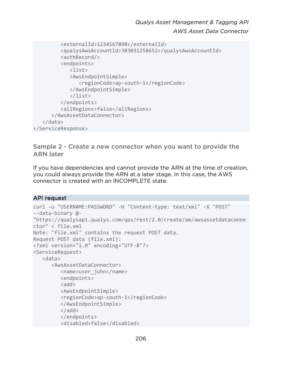```
 <externalId>1234567890</externalId> 
           <qualysAwsAccountId>383031258652</qualysAwsAccountId> 
           <authRecord/> 
           <endpoints> 
              <list> 
              <AwsEndpointSimple> 
                 <regionCode>ap-south-1</regionCode> 
              </AwsEndpointSimple> 
              </list> 
           </endpoints> 
           <allRegions>false</allRegions> 
       </AwsAssetDataConnector> 
    </data> 
</ServiceResponse>
```
Sample 2 - Create a new connector when you want to provide the ARN later

If you have dependencies and cannot provide the ARN at the time of creation, you could always provide the ARN at a later stage. In this case, the AWS connector is created with an INCOMPLETE state.

# API request

```
curl -u "USERNAME:PASSWORD" -H "Content-type: text/xml" -X "POST" 
--data-binary @- 
"https://qualysapi.qualys.com/qps/rest/2.0/create/am/awsassetdataconne
ctor" < file.xml 
Note: "file.xml" contains the request POST data. 
Request POST data (file.xml): 
<?xml version="1.0" encoding="UTF-8"?> 
<ServiceRequest> 
    <data> 
       <AwsAssetDataConnector> 
          <name>user_john</name> 
          <endpoints> 
         <add>
          <AwsEndpointSimple> 
          <regionCode>ap-south-1</regionCode> 
          </AwsEndpointSimple> 
          </add> 
          </endpoints> 
          <disabled>false</disabled>
```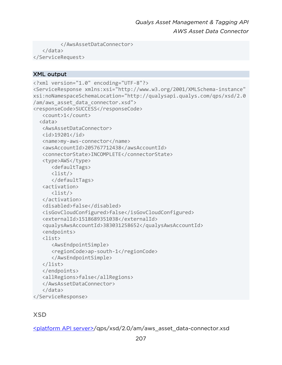```
 </AwsAssetDataConnector> 
    </data> 
</ServiceRequest>
```
# XML output

```
<?xml version="1.0" encoding="UTF-8"?> 
<ServiceResponse xmlns:xsi="http://www.w3.org/2001/XMLSchema-instance" 
xsi:noNamespaceSchemaLocation="http://qualysapi.qualys.com/qps/xsd/2.0
/am/aws asset data connector.xsd">
<responseCode>SUCCESS</responseCode> 
    <count>1</count> 
   <data> 
    <AwsAssetDataConnector> 
    <id>19201</id> 
    <name>my-aws-connector</name> 
    <awsAccountId>205767712438</awsAccountId> 
    <connectorState>INCOMPLETE</connectorState> 
    <type>AWS</type> 
       <defaultTags> 
       <list/> 
       </defaultTags> 
    <activation> 
       <list/> 
    </activation> 
    <disabled>false</disabled> 
    <isGovCloudConfigured>false</isGovCloudConfigured> 
    <externalId>1518689351038</externalId> 
    <qualysAwsAccountId>383031258652</qualysAwsAccountId> 
    <endpoints> 
    <list> 
       <AwsEndpointSimple> 
       <regionCode>ap-south-1</regionCode> 
       </AwsEndpointSimple> 
    </list> 
    </endpoints> 
    <allRegions>false</allRegions> 
    </AwsAssetDataConnector> 
    </data> 
</ServiceResponse>
```
# XSD

[<platform API server>/](#page-8-0)qps/xsd/2.0/am/aws\_asset\_data-connector.xsd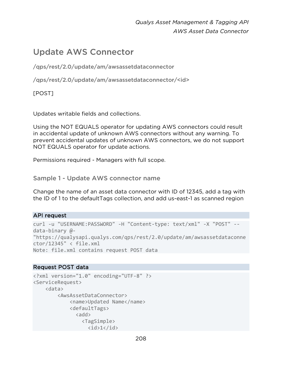# Update AWS Connector

/qps/rest/2.0/update/am/awsassetdataconnector

/qps/rest/2.0/update/am/awsassetdataconnector/<id>

[POST]

Updates writable fields and collections.

Using the NOT EQUALS operator for updating AWS connectors could result in accidental update of unknown AWS connectors without any warning. To prevent accidental updates of unknown AWS connectors, we do not support NOT EQUALS operator for update actions.

Permissions required - Managers with full scope.

Sample 1 - Update AWS connector name

Change the name of an asset data connector with ID of 12345, add a tag with the ID of 1 to the defaultTags collection, and add us-east-1 as scanned region

# API request

```
curl -u "USERNAME:PASSWORD" -H "Content-type: text/xml" -X "POST" --
data-binary @- 
"https://qualysapi.qualys.com/qps/rest/2.0/update/am/awsassetdataconne
ctor/12345" < file.xml 
Note: file.xml contains request POST data
```

```
<?xml version="1.0" encoding="UTF-8" ?> 
<ServiceRequest> 
     <data> 
         <AwsAssetDataConnector> 
             <name>Updated Name</name> 
             <defaultTags> 
              <add>
                 <TagSimple>
```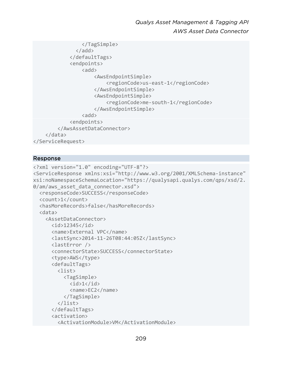```
 </TagSimple> 
                 </add> 
               </defaultTags> 
               <endpoints> 
                   <add>
                        <AwsEndpointSimple> 
                             <regionCode>us-east-1</regionCode> 
                        </AwsEndpointSimple> 
                        <AwsEndpointSimple> 
                             <regionCode>me-south-1</regionCode> 
                        </AwsEndpointSimple> 
                   \langleadd\rangle <endpoints> 
          </AwsAssetDataConnector> 
     </data> 
</ServiceRequest>
```

```
<?xml version="1.0" encoding="UTF-8"?> 
<ServiceResponse xmlns:xsi="http://www.w3.org/2001/XMLSchema-instance" 
xsi:noNamespaceSchemaLocation="https://qualysapi.qualys.com/qps/xsd/2.
0/am/aws asset data connector.xsd">
   <responseCode>SUCCESS</responseCode> 
   <count>1</count> 
   <hasMoreRecords>false</hasMoreRecords> 
   <data> 
     <AssetDataConnector> 
       <id>12345</id> 
       <name>External VPC</name> 
       <lastSync>2014-11-26T08:44:05Z</lastSync> 
       <lastError /> 
       <connectorState>SUCCESS</connectorState> 
       <type>AWS</type> 
       <defaultTags> 
          <list> 
            <TagSimple> 
             \langle id \rangle 1 \langle /id \rangle <name>EC2</name> 
            </TagSimple> 
          </list> 
       </defaultTags> 
       <activation> 
          <ActivationModule>VM</ActivationModule>
```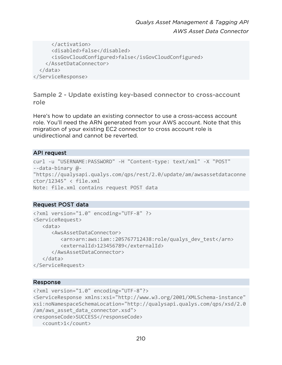```
 </activation> 
       <disabled>false</disabled> 
       <isGovCloudConfigured>false</isGovCloudConfigured> 
     </AssetDataConnector> 
   </data> 
</ServiceResponse>
```
Sample 2 - Update existing key-based connector to cross-account role

Here's how to update an existing connector to use a cross-access account role. You'll need the ARN generated from your AWS account. Note that this migration of your existing EC2 connector to cross account role is unidirectional and cannot be reverted.

# API request

```
curl -u "USERNAME:PASSWORD" -H "Content-type: text/xml" -X "POST" 
--data-binary @- 
"https://qualysapi.qualys.com/qps/rest/2.0/update/am/awsassetdataconne
ctor/12345" < file.xml 
Note: file.xml contains request POST data
```
# Request POST data

```
<?xml version="1.0" encoding="UTF-8" ?> 
<ServiceRequest> 
    <data> 
       <AwsAssetDataConnector> 
          <arn>arn:aws:iam::205767712438:role/qualys_dev_test</arn> 
          <externalId>123456789</externalId> 
       </AwsAssetDataConnector> 
    </data> 
</ServiceRequest>
```

```
<?xml version="1.0" encoding="UTF-8"?> 
<ServiceResponse xmlns:xsi="http://www.w3.org/2001/XMLSchema-instance" 
xsi:noNamespaceSchemaLocation="http://qualysapi.qualys.com/qps/xsd/2.0
/am/aws asset data connector.xsd">
<responseCode>SUCCESS</responseCode> 
    <count>1</count>
```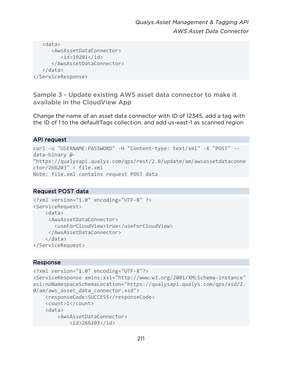```
 <data> 
        <AwsAssetDataConnector> 
           <id>19201</id> 
        </AwsAssetDataConnector> 
    </data> 
</ServiceResponse>
```
Sample 3 - Update existing AWS asset data connector to make it available in the CloudView App

Change the name of an asset data connector with ID of 12345, add a tag with the ID of 1 to the defaultTags collection, and add us-east-1 as scanned region

# API request

```
curl -u "USERNAME:PASSWORD" -H "Content-type: text/xml" -X "POST" --
data-binary @- 
"https://qualysapi.qualys.com/qps/rest/2.0/update/am/awsassetdataconne
ctor/266203" < file.xml 
Note: file.xml contains request POST data
```
### Request POST data

```
<?xml version="1.0" encoding="UTF-8" ?> 
<ServiceRequest> 
     <data> 
      <AwsAssetDataConnector> 
        <useForCloudView>true</useForCloudView> 
      </AwsAssetDataConnector> 
     </data> 
</ServiceRequest>
```

```
<?xml version="1.0" encoding="UTF-8"?> 
<ServiceResponse xmlns:xsi="http://www.w3.org/2001/XMLSchema-instance" 
xsi:noNamespaceSchemaLocation="https://qualysapi.qualys.com/qps/xsd/2.
0/am/aws asset data connector.xsd">
     <responseCode>SUCCESS</responseCode> 
     <count>1</count> 
     <data> 
         <AwsAssetDataConnector> 
             <id>266203</id>
```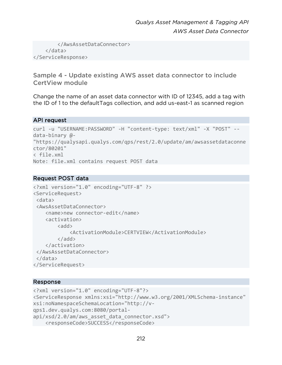```
 </AwsAssetDataConnector> 
     </data> 
</ServiceResponse>
```
Sample 4 - Update existing AWS asset data connector to include CertView module

Change the name of an asset data connector with ID of 12345, add a tag with the ID of 1 to the defaultTags collection, and add us-east-1 as scanned region

### API request

```
curl -u "USERNAME:PASSWORD" -H "content-type: text/xml" -X "POST" --
data-binary @- 
"https://qualysapi.qualys.com/qps/rest/2.0/update/am/awsassetdataconne
ctor/80201" 
< file.xml 
Note: file.xml contains request POST data
```
# Request POST data

```
<?xml version="1.0" encoding="UTF-8" ?> 
<ServiceRequest> 
  <data> 
  <AwsAssetDataConnector> 
     <name>new connector-edit</name> 
     <activation> 
         \langleadd\rangle <ActivationModule>CERTVIEW</ActivationModule> 
          </add> 
     </activation> 
  </AwsAssetDataConnector> 
  </data> 
</ServiceRequest>
```

```
<?xml version="1.0" encoding="UTF-8"?> 
<ServiceResponse xmlns:xsi="http://www.w3.org/2001/XMLSchema-instance" 
xsi:noNamespaceSchemaLocation="http://v-
qps1.dev.qualys.com:8080/portal-
api/xsd/2.0/am/aws asset data connector.xsd">
     <responseCode>SUCCESS</responseCode>
```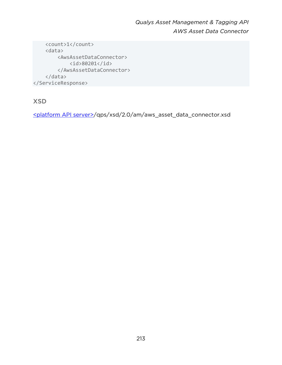```
 <count>1</count> 
     <data> 
          <AwsAssetDataConnector> 
              <id>80201</id> 
          </AwsAssetDataConnector> 
     </data> 
</ServiceResponse>
```
XSD

[<platform API server>/](#page-8-0)qps/xsd/2.0/am/aws\_asset\_data\_connector.xsd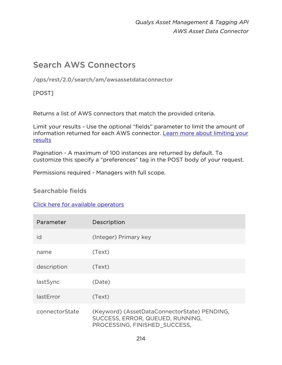# Search AWS Connectors

/qps/rest/2.0/search/am/awsassetdataconnector

[POST]

Returns a list of AWS connectors that match the provided criteria.

Limit your results - Use the optional "fields" parameter to limit the amount of information returned for each AWS connector. [Learn more about limiting your](#page-10-0)  [results](#page-10-0)

Pagination - A maximum of 100 instances are returned by default. To customize this specify a "preferences" tag in the POST body of your request.

Permissions required - Managers with full scope.

Searchable fields

[Click here for available operators](#page-16-0)

| Parameter      | <b>Description</b>                                                                                                |
|----------------|-------------------------------------------------------------------------------------------------------------------|
| id             | (Integer) Primary key                                                                                             |
| name           | (Text)                                                                                                            |
| description    | (Text)                                                                                                            |
| lastSync       | (Date)                                                                                                            |
| lastError      | (Text)                                                                                                            |
| connectorState | (Keyword) (AssetDataConnectorState) PENDING,<br>SUCCESS, ERROR, QUEUED, RUNNING,<br>PROCESSING, FINISHED SUCCESS, |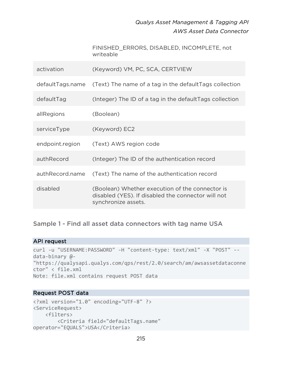FINISHED\_ERRORS, DISABLED, INCOMPLETE, not writeable

| activation       | (Keyword) VM, PC, SCA, CERTVIEW                                                                                              |
|------------------|------------------------------------------------------------------------------------------------------------------------------|
| defaultTags.name | (Text) The name of a tag in the defaultTags collection                                                                       |
| defaultTag       | (Integer) The ID of a tag in the defaultTags collection                                                                      |
| allRegions       | (Boolean)                                                                                                                    |
| serviceType      | (Keyword) EC2                                                                                                                |
| endpoint.region  | (Text) AWS region code                                                                                                       |
| authRecord       | (Integer) The ID of the authentication record                                                                                |
| authRecord.name  | (Text) The name of the authentication record                                                                                 |
| disabled         | (Boolean) Whether execution of the connector is<br>disabled (YES). If disabled the connector will not<br>synchronize assets. |

Sample 1 - Find all asset data connectors with tag name USA

### API request

```
curl -u "USERNAME:PASSWORD" -H "content-type: text/xml" -X "POST" --
data-binary @- 
"https://qualysapi.qualys.com/qps/rest/2.0/search/am/awsassetdataconne
ctor" < file.xml 
Note: file.xml contains request POST data
```

```
<?xml version="1.0" encoding="UTF-8" ?> 
<ServiceRequest> 
     <filters> 
         <Criteria field="defaultTags.name" 
operator="EQUALS">USA</Criteria>
```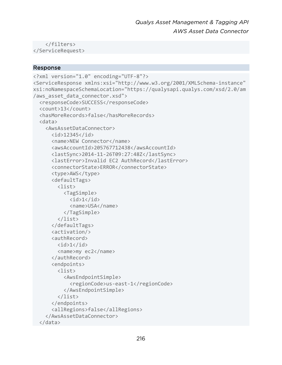</filters> </ServiceRequest>

```
<?xml version="1.0" encoding="UTF-8"?> 
<ServiceResponse xmlns:xsi="http://www.w3.org/2001/XMLSchema-instance" 
xsi:noNamespaceSchemaLocation="https://qualysapi.qualys.com/xsd/2.0/am
/aws_asset_data_connector.xsd"> 
   <responseCode>SUCCESS</responseCode> 
   <count>13</count> 
   <hasMoreRecords>false</hasMoreRecords> 
   <data> 
     <AwsAssetDataConnector> 
       <id>12345</id> 
       <name>NEW Connector</name> 
       <awsAccountId>205767712438</awsAccountId> 
       <lastSync>2014-11-26T09:27:48Z</lastSync> 
       <lastError>Invalid EC2 AuthRecord</lastError> 
       <connectorState>ERROR</connectorState> 
       <type>AWS</type> 
       <defaultTags> 
          <list> 
            <TagSimple> 
             \langleid>1\langle/id>
              <name>USA</name> 
            </TagSimple> 
          </list> 
       </defaultTags> 
       <activation/> 
       <authRecord> 
         \langleid>1\langleid>
          <name>my ec2</name> 
       </authRecord> 
       <endpoints> 
          <list> 
            <AwsEndpointSimple> 
              <regionCode>us-east-1</regionCode> 
            </AwsEndpointSimple> 
          </list> 
       </endpoints> 
       <allRegions>false</allRegions> 
     </AwsAssetDataConnector> 
   </data>
```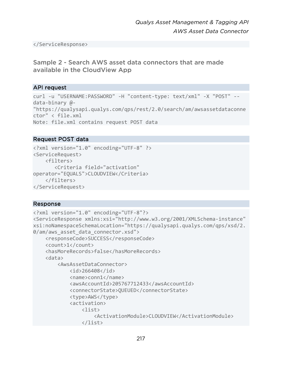</ServiceResponse>

# Sample 2 - Search AWS asset data connectors that are made available in the CloudView App

### API request

```
curl -u "USERNAME:PASSWORD" -H "content-type: text/xml" -X "POST" --
data-binary @- 
"https://qualysapi.qualys.com/qps/rest/2.0/search/am/awsassetdataconne
ctor" < file.xml 
Note: file.xml contains request POST data
```
# Request POST data

```
<?xml version="1.0" encoding="UTF-8" ?> 
<ServiceRequest> 
     <filters> 
        <Criteria field="activation" 
operator="EQUALS">CLOUDVIEW</Criteria> 
     </filters> 
</ServiceRequest>
```

```
<?xml version="1.0" encoding="UTF-8"?> 
<ServiceResponse xmlns:xsi="http://www.w3.org/2001/XMLSchema-instance" 
xsi:noNamespaceSchemaLocation="https://qualysapi.qualys.com/qps/xsd/2.
0/am/aws_asset data connector.xsd">
     <responseCode>SUCCESS</responseCode> 
     <count>1</count> 
     <hasMoreRecords>false</hasMoreRecords> 
     <data> 
         <AwsAssetDataConnector> 
              <id>266408</id> 
              <name>conn1</name> 
              <awsAccountId>205767712433</awsAccountId> 
              <connectorState>QUEUED</connectorState> 
              <type>AWS</type> 
              <activation> 
                 \langlelist\rangle <ActivationModule>CLOUDVIEW</ActivationModule> 
                  </list>
```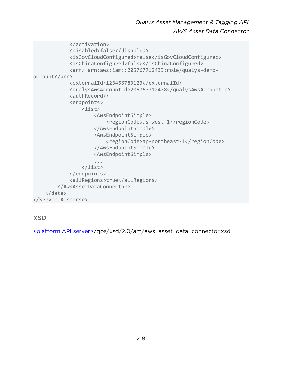```
 </activation> 
             <disabled>false</disabled> 
             <isGovCloudConfigured>false</isGovCloudConfigured> 
             <isChinaConfigured>false</isChinaConfigured> 
             <arn> arn:aws:iam::205767712433:role/qualys-demo-
account</arn> 
             <externalId>123456789123</externalId> 
             <qualysAwsAccountId>205767712438</qualysAwsAccountId> 
             <authRecord/> 
             <endpoints> 
                  <list> 
                      <AwsEndpointSimple> 
                          <regionCode>us-west-1</regionCode> 
                      </AwsEndpointSimple> 
                      <AwsEndpointSimple> 
                          <regionCode>ap-northeast-1</regionCode> 
                      </AwsEndpointSimple> 
                      <AwsEndpointSimple> 
 ... 
                  </list> 
             </endpoints> 
             <allRegions>true</allRegions> 
         </AwsAssetDataConnector> 
     </data> 
</ServiceResponse>
```
XSD

[<platform API server>/](#page-8-0)qps/xsd/2.0/am/aws\_asset\_data\_connector.xsd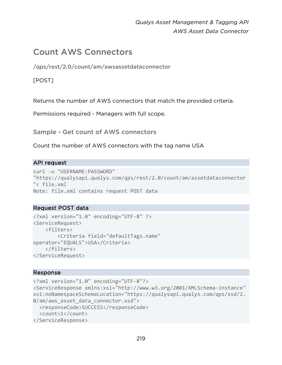# Count AWS Connectors

/qps/rest/2.0/count/am/awsassetdataconnector

### [POST]

Returns the number of AWS connectors that match the provided criteria.

Permissions required - Managers with full scope.

Sample - Get count of AWS connectors

Count the number of AWS connectors with the tag name USA

### API request

```
curl -u "USERNAME:PASSWORD" 
"https://qualysapi.qualys.com/qps/rest/2.0/count/am/assetdataconnector
"< file.xml 
Note: file.xml contains request POST data
```
### Request POST data

```
<?xml version="1.0" encoding="UTF-8" ?> 
<ServiceRequest> 
     <filters> 
         <Criteria field="defaultTags.name" 
operator="EQUALS">USA</Criteria> 
     </filters> 
</ServiceRequest>
```

```
<?xml version="1.0" encoding="UTF-8"?> 
<ServiceResponse xmlns:xsi="http://www.w3.org/2001/XMLSchema-instance" 
xsi:noNamespaceSchemaLocation="https://qualysapi.qualys.com/qps/xsd/2.
0/am/aws asset data connector.xsd">
   <responseCode>SUCCESS</responseCode> 
   <count>1</count> 
</ServiceResponse>
```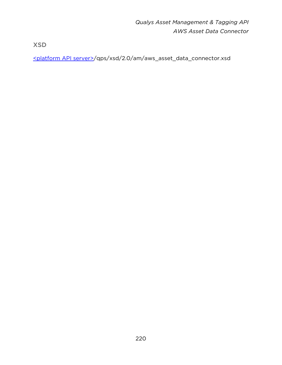XSD

[<platform API server>/](#page-8-0)qps/xsd/2.0/am/aws\_asset\_data\_connector.xsd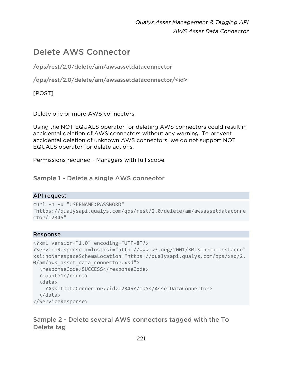# Delete AWS Connector

/qps/rest/2.0/delete/am/awsassetdataconnector

/qps/rest/2.0/delete/am/awsassetdataconnector/<id>

[POST]

Delete one or more AWS connectors.

Using the NOT EQUALS operator for deleting AWS connectors could result in accidental deletion of AWS connectors without any warning. To prevent accidental deletion of unknown AWS connectors, we do not support NOT EQUALS operator for delete actions.

Permissions required - Managers with full scope.

Sample 1 - Delete a single AWS connector

### API request

```
curl -n -u "USERNAME:PASSWORD" 
"https://qualysapi.qualys.com/qps/rest/2.0/delete/am/awsassetdataconne
ctor/12345"
```
### Response

```
<?xml version="1.0" encoding="UTF-8"?> 
<ServiceResponse xmlns:xsi="http://www.w3.org/2001/XMLSchema-instance" 
xsi:noNamespaceSchemaLocation="https://qualysapi.qualys.com/qps/xsd/2.
0/am/aws_asset_data_connector.xsd"> 
   <responseCode>SUCCESS</responseCode> 
   <count>1</count> 
   <data> 
     <AssetDataConnector><id>12345</id></AssetDataConnector> 
   </data> 
</ServiceResponse>
```
Sample 2 - Delete several AWS connectors tagged with the To Delete tag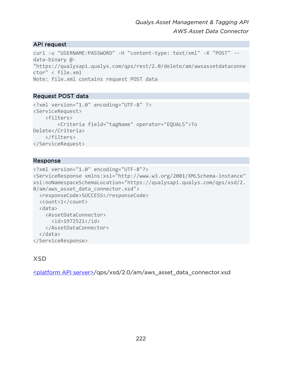### API request

```
curl -u "USERNAME:PASSWORD" -H "content-type: text/xml" -X "POST" --
data-binary @- 
"https://qualysapi.qualys.com/qps/rest/2.0/delete/am/awsassetdataconne
ctor" < file.xml 
Note: file.xml contains request POST data
```
### Request POST data

```
<?xml version="1.0" encoding="UTF-8" ?> 
<ServiceRequest> 
     <filters> 
         <Criteria field="tagName" operator="EQUALS">To 
Delete</Criteria> 
     </filters> 
</ServiceRequest>
```
### Response

```
<?xml version="1.0" encoding="UTF-8"?> 
<ServiceResponse xmlns:xsi="http://www.w3.org/2001/XMLSchema-instance" 
xsi:noNamespaceSchemaLocation="https://qualysapi.qualys.com/qps/xsd/2.
0/am/aws asset data connector.xsd">
   <responseCode>SUCCESS</responseCode> 
   <count>1</count> 
   <data> 
     <AssetDataConnector> 
       <id>1972521</id> 
     </AssetDataConnector> 
   </data> 
</ServiceResponse>
```
# **XSD**

[<platform API server>/](#page-8-0)qps/xsd/2.0/am/aws\_asset\_data\_connector.xsd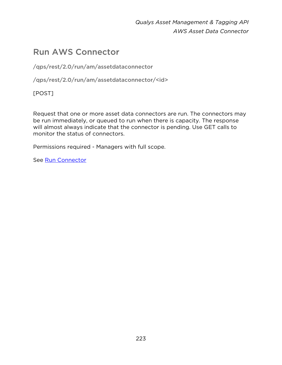# Run AWS Connector

/qps/rest/2.0/run/am/assetdataconnector

/qps/rest/2.0/run/am/assetdataconnector/<id>

[POST]

Request that one or more asset data connectors are run. The connectors may be run immediately, or queued to run when there is capacity. The response will almost always indicate that the connector is pending. Use GET calls to monitor the status of connectors.

Permissions required - Managers with full scope.

See [Run Connector](#page-179-0)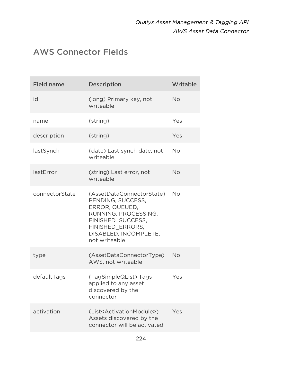# AWS Connector Fields

| <b>Field name</b> | Description                                                                                                                                                                 | Writable  |
|-------------------|-----------------------------------------------------------------------------------------------------------------------------------------------------------------------------|-----------|
| id                | (long) Primary key, not<br>writeable                                                                                                                                        | No        |
| name              | (string)                                                                                                                                                                    | Yes       |
| description       | (string)                                                                                                                                                                    | Yes       |
| lastSynch         | (date) Last synch date, not<br>writeable                                                                                                                                    | <b>No</b> |
| lastError         | (string) Last error, not<br>writeable                                                                                                                                       | <b>No</b> |
| connectorState    | (AssetDataConnectorState)<br>PENDING, SUCCESS,<br>ERROR, QUEUED,<br>RUNNING, PROCESSING,<br>FINISHED SUCCESS,<br>FINISHED_ERRORS,<br>DISABLED, INCOMPLETE,<br>not writeable | <b>No</b> |
| type              | (AssetDataConnectorType)<br>AWS, not writeable                                                                                                                              | <b>No</b> |
| defaultTags       | (TagSimpleQList) Tags<br>applied to any asset<br>discovered by the<br>connector                                                                                             | Yes       |
| activation        | (List <activationmodule>)<br/>Assets discovered by the<br/>connector will be activated</activationmodule>                                                                   | Yes       |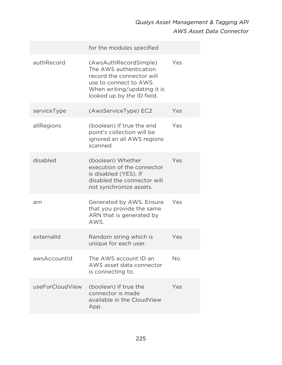|                 | for the modules specified                                                                                                                                           |     |
|-----------------|---------------------------------------------------------------------------------------------------------------------------------------------------------------------|-----|
| authRecord      | (AwsAuthRecordSimple)<br>The AWS authentication<br>record the connector will<br>use to connect to AWS.<br>When writing/updating it is<br>looked up by the ID field. | Yes |
| serviceType     | (AwsServiceType) EC2                                                                                                                                                | Yes |
| allRegions      | (boolean) If true the end<br>point's collection will be<br>ignored an all AWS regions<br>scanned                                                                    | Yes |
| disabled        | (boolean) Whether<br>execution of the connector<br>is disabled (YES). If<br>disabled the connector will<br>not synchronize assets.                                  | Yes |
| arn             | Generated by AWS. Ensure<br>that you provide the same<br>ARN that is generated by<br>AWS.                                                                           | Yes |
| externalld      | Random string which is<br>unique for each user.                                                                                                                     | Yes |
| awsAccountId    | The AWS account ID an<br>AWS asset data connector<br>is connecting to.                                                                                              | No  |
| useForCloudView | (boolean) If true the<br>connector is made<br>available in the CloudView<br>App.                                                                                    | Yes |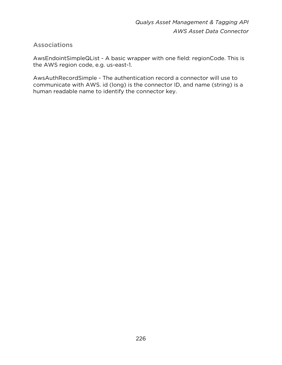# **Associations**

AwsEndointSimpleQList - A basic wrapper with one field: regionCode. This is the AWS region code, e.g. us-east-1.

AwsAuthRecordSimple - The authentication record a connector will use to communicate with AWS. id (long) is the connector ID, and name (string) is a human readable name to identify the connector key.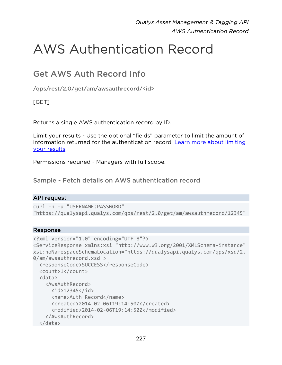# AWS Authentication Record

# Get AWS Auth Record Info

/qps/rest/2.0/get/am/awsauthrecord/<id>

[GET]

Returns a single AWS authentication record by ID.

Limit your results - Use the optional "fields" parameter to limit the amount of information returned for the authentication record. [Learn more about limiting](#page-10-0)  [your results](#page-10-0)

Permissions required - Managers with full scope.

Sample - Fetch details on AWS authentication record

### API request

```
curl -n -u "USERNAME:PASSWORD" 
"https://qualysapi.qualys.com/qps/rest/2.0/get/am/awsauthrecord/12345"
```

```
<?xml version="1.0" encoding="UTF-8"?> 
<ServiceResponse xmlns:xsi="http://www.w3.org/2001/XMLSchema-instance" 
xsi:noNamespaceSchemaLocation="https://qualysapi.qualys.com/qps/xsd/2.
0/am/awsauthrecord.xsd"> 
   <responseCode>SUCCESS</responseCode> 
   <count>1</count> 
   <data> 
     <AwsAuthRecord> 
      \langleid>12345\langleid>
       <name>Auth Record</name> 
       <created>2014-02-06T19:14:50Z</created> 
       <modified>2014-02-06T19:14:50Z</modified> 
     </AwsAuthRecord> 
   </data>
```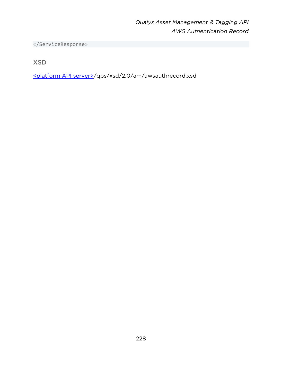</ServiceResponse>

XSD

[<platform API server>/](#page-8-0)qps/xsd/2.0/am/awsauthrecord.xsd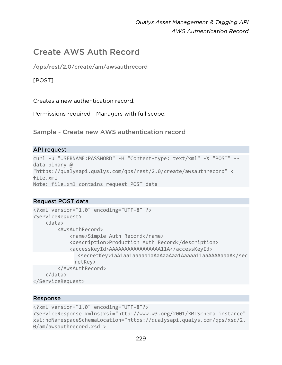# Create AWS Auth Record

/qps/rest/2.0/create/am/awsauthrecord

### [POST]

Creates a new authentication record.

Permissions required - Managers with full scope.

Sample - Create new AWS authentication record

#### API request

```
curl -u "USERNAME:PASSWORD" -H "Content-type: text/xml" -X "POST" --
data-binary @- 
"https://qualysapi.qualys.com/qps/rest/2.0/create/awsauthrecord" < 
file.xml 
Note: file.xml contains request POST data
```
### Request POST data

```
<?xml version="1.0" encoding="UTF-8" ?> 
<ServiceRequest> 
     <data> 
         <AwsAuthRecord> 
              <name>Simple Auth Record</name> 
              <description>Production Auth Record</description> 
              <accessKeyId>AAAAAAAAAAAAAAAAA11A</accessKeyId> 
                 <secretKey>1aA1aa1aaaaa1aAaAaaAaa1Aaaaa11aaAAAAaaaA</sec
              retKey> 
         </AwsAuthRecord> 
     </data> 
</ServiceRequest>
```

```
<?xml version="1.0" encoding="UTF-8"?> 
<ServiceResponse xmlns:xsi="http://www.w3.org/2001/XMLSchema-instance" 
xsi:noNamespaceSchemaLocation="https://qualysapi.qualys.com/qps/xsd/2.
0/am/awsauthrecord.xsd">
```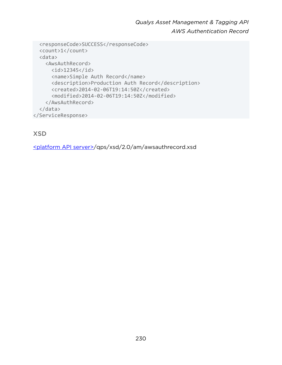```
 <responseCode>SUCCESS</responseCode> 
   <count>1</count> 
   <data> 
     <AwsAuthRecord> 
      \langleid>12345\langleid>
       <name>Simple Auth Record</name> 
       <description>Production Auth Record</description> 
       <created>2014-02-06T19:14:50Z</created> 
       <modified>2014-02-06T19:14:50Z</modified> 
     </AwsAuthRecord> 
   </data> 
</ServiceResponse>
```
# XSD

[<platform API server>/](#page-8-0)qps/xsd/2.0/am/awsauthrecord.xsd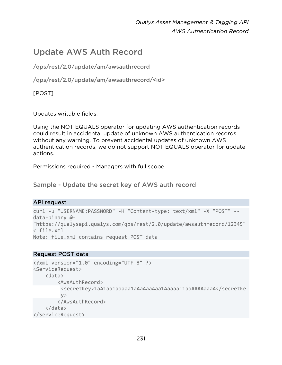# Update AWS Auth Record

/qps/rest/2.0/update/am/awsauthrecord

/qps/rest/2.0/update/am/awsauthrecord/<id>

[POST]

Updates writable fields.

Using the NOT EQUALS operator for updating AWS authentication records could result in accidental update of unknown AWS authentication records without any warning. To prevent accidental updates of unknown AWS authentication records, we do not support NOT EQUALS operator for update actions.

Permissions required - Managers with full scope.

Sample - Update the secret key of AWS auth record

### API request

```
curl -u "USERNAME:PASSWORD" -H "Content-type: text/xml" -X "POST" --
data-binary @- 
"https://qualysapi.qualys.com/qps/rest/2.0/update/awsauthrecord/12345" 
< file.xml 
Note: file.xml contains request POST data
```
### Request POST data

```
<?xml version="1.0" encoding="UTF-8" ?> 
<ServiceRequest> 
     <data> 
         <AwsAuthRecord> 
         <secretKey>1aA1aa1aaaaa1aAaAaaAaa1Aaaaa11aaAAAAaaaA</secretKe
         y > </AwsAuthRecord> 
     </data> 
</ServiceRequest>
```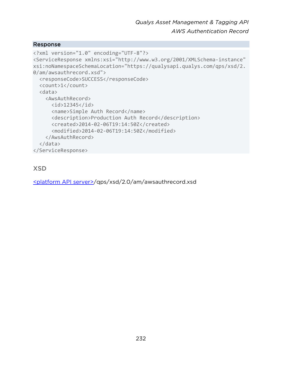#### Response

```
<?xml version="1.0" encoding="UTF-8"?> 
<ServiceResponse xmlns:xsi="http://www.w3.org/2001/XMLSchema-instance" 
xsi:noNamespaceSchemaLocation="https://qualysapi.qualys.com/qps/xsd/2.
0/am/awsauthrecord.xsd"> 
   <responseCode>SUCCESS</responseCode> 
   <count>1</count> 
   <data> 
     <AwsAuthRecord> 
       <id>12345</id> 
       <name>Simple Auth Record</name> 
       <description>Production Auth Record</description> 
       <created>2014-02-06T19:14:50Z</created> 
       <modified>2014-02-06T19:14:50Z</modified> 
     </AwsAuthRecord> 
   </data> 
</ServiceResponse>
```
# XSD

[<platform API server>/](#page-8-0)qps/xsd/2.0/am/awsauthrecord.xsd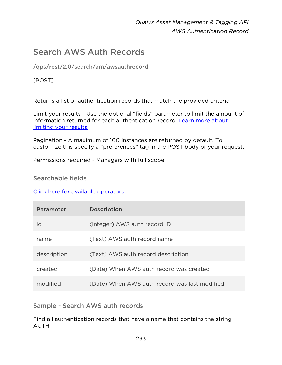# Search AWS Auth Records

/qps/rest/2.0/search/am/awsauthrecord

# [POST]

Returns a list of authentication records that match the provided criteria.

Limit your results - Use the optional "fields" parameter to limit the amount of information returned for each authentication record. [Learn more about](#page-10-0)  [limiting your results](#page-10-0)

Pagination - A maximum of 100 instances are returned by default. To customize this specify a "preferences" tag in the POST body of your request.

Permissions required - Managers with full scope.

### Searchable fields

[Click here for available operators](#page-16-0)

| Parameter   | <b>Description</b>                            |
|-------------|-----------------------------------------------|
| id          | (Integer) AWS auth record ID                  |
| name        | (Text) AWS auth record name                   |
| description | (Text) AWS auth record description            |
| created     | (Date) When AWS auth record was created       |
| modified    | (Date) When AWS auth record was last modified |

Sample - Search AWS auth records

Find all authentication records that have a name that contains the string AUTH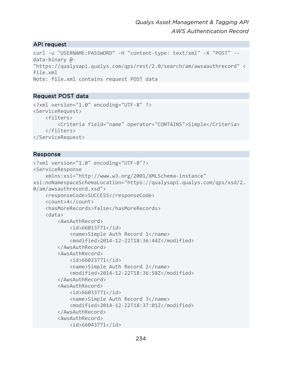### API request

```
curl -u "USERNAME:PASSWORD" -H "content-type: text/xml" -X "POST" --
data-binary @- 
"https://qualysapi.qualys.com/qps/rest/2.0/search/am/awsaauthrecord" < 
file.xml 
Note: file.xml contains request POST data
```
### Request POST data

```
<?xml version="1.0" encoding="UTF-8" ?> 
<ServiceRequest> 
     <filters> 
         <Criteria field="name" operator="CONTAINS">Simple</Criteria> 
     </filters> 
</ServiceRequest>
```

```
<?xml version="1.0" encoding="UTF-8"?> 
<ServiceResponse 
     xmlns:xsi="http://www.w3.org/2001/XMLSchema-instance" 
xsi:noNamespaceSchemaLocation="https://qualysapi.qualys.com/qps/xsd/2.
0/am/awsauthrecord.xsd"> 
     <responseCode>SUCCESS</responseCode> 
     <count>4</count> 
     <hasMoreRecords>false</hasMoreRecords> 
     <data> 
         <AwsAuthRecord> 
              <id>66013771</id> 
              <name>Simple Auth Record 1</name> 
              <modified>2014-12-22T18:36:44Z</modified> 
         </AwsAuthRecord> 
         <AwsAuthRecord> 
              <id>66023771</id> 
              <name>Simple Auth Record 2</name> 
              <modified>2014-12-22T18:36:58Z</modified> 
         </AwsAuthRecord> 
         <AwsAuthRecord> 
              <id>66033771</id> 
              <name>Simple Auth Record 3</name> 
              <modified>2014-12-22T18:37:01Z</modified> 
         </AwsAuthRecord> 
         <AwsAuthRecord> 
             <id>66043771</id>
```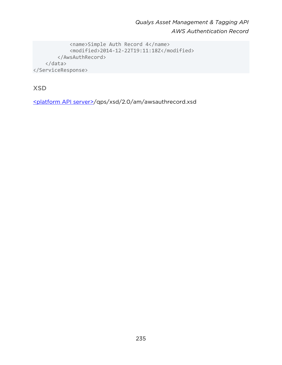```
 <name>Simple Auth Record 4</name> 
              <modified>2014-12-22T19:11:18Z</modified> 
         </AwsAuthRecord> 
     </data> 
</ServiceResponse>
```
XSD

[<platform API server>/](#page-8-0)qps/xsd/2.0/am/awsauthrecord.xsd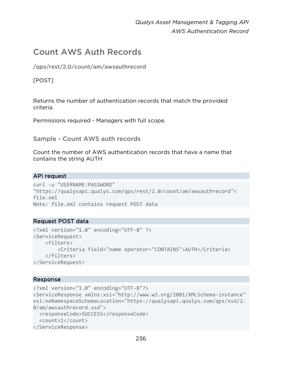# Count AWS Auth Records

/qps/rest/2.0/count/am/awsauthrecord

### [POST]

Returns the number of authentication records that match the provided criteria.

Permissions required - Managers with full scope.

Sample - Count AWS auth records

Count the number of AWS authentication records that have a name that contains the string AUTH

### API request

```
curl -u "USERNAME:PASSWORD" 
"https://qualysapi.qualys.com/qps/rest/2.0/count/am/awsauthrecord"< 
file.xml 
Note: file.xml contains request POST data
```
### Request POST data

```
<?xml version="1.0" encoding="UTF-8" ?> 
<ServiceRequest> 
     <filters> 
         <Criteria field="name operator="CONTAINS">AUTH</Criteria> 
     </filters> 
</ServiceRequest>
```

```
<?xml version="1.0" encoding="UTF-8"?> 
<ServiceResponse xmlns:xsi="http://www.w3.org/2001/XMLSchema-instance" 
xsi:noNamespaceSchemaLocation="https://qualysapi.qualys.com/qps/xsd/2.
0/am/awsauthrecord.xsd"> 
   <responseCode>SUCCESS</responseCode> 
   <count>1</count> 
</ServiceResponse>
```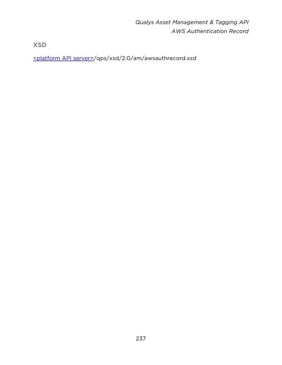XSD

[<platform API server>/](#page-8-0)qps/xsd/2.0/am/awsauthrecord.xsd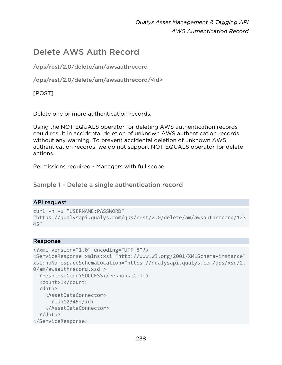# Delete AWS Auth Record

/qps/rest/2.0/delete/am/awsauthrecord

/qps/rest/2.0/delete/am/awsauthrecord/<id>

[POST]

Delete one or more authentication records.

Using the NOT EQUALS operator for deleting AWS authentication records could result in accidental deletion of unknown AWS authentication records without any warning. To prevent accidental deletion of unknown AWS authentication records, we do not support NOT EQUALS operator for delete actions.

Permissions required - Managers with full scope.

Sample 1 - Delete a single authentication record

### API request

```
curl -n -u "USERNAME:PASSWORD" 
"https://qualysapi.qualys.com/qps/rest/2.0/delete/am/awsauthrecord/123
45"
```

```
<?xml version="1.0" encoding="UTF-8"?> 
<ServiceResponse xmlns:xsi="http://www.w3.org/2001/XMLSchema-instance" 
xsi:noNamespaceSchemaLocation="https://qualysapi.qualys.com/qps/xsd/2.
0/am/awsauthrecord.xsd"> 
   <responseCode>SUCCESS</responseCode> 
   <count>1</count> 
   <data> 
     <AssetDataConnector> 
       <id>12345</id> 
     </AssetDataConnector> 
   </data> 
</ServiceResponse>
```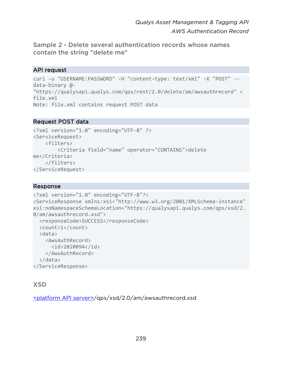Sample 2 - Delete several authentication records whose names contain the string "delete me"

### API request

```
curl -u "USERNAME:PASSWORD" -H "content-type: text/xml" -X "POST" --
data-binary @- 
"https://qualysapi.qualys.com/qps/rest/2.0/delete/am/awsauthrecord" < 
file.xml 
Note: file.xml contains request POST data
```
### Request POST data

```
<?xml version="1.0" encoding="UTF-8" ?> 
<ServiceRequest> 
     <filters> 
         <Criteria field="name" operator="CONTAINS">delete 
me</Criteria> 
     </filters> 
</ServiceRequest>
```
### Response

```
<?xml version="1.0" encoding="UTF-8"?> 
<ServiceResponse xmlns:xsi="http://www.w3.org/2001/XMLSchema-instance" 
xsi:noNamespaceSchemaLocation="https://qualysapi.qualys.com/qps/xsd/2.
0/am/awsauthrecord.xsd"> 
   <responseCode>SUCCESS</responseCode> 
   <count>1</count> 
   <data> 
     <AwsAuthRecord> 
       <id>2020094</id> 
     </AwsAuthRecord> 
   </data> 
</ServiceResponse>
```
# XSD

[<platform API server>/](#page-8-0)qps/xsd/2.0/am/awsauthrecord.xsd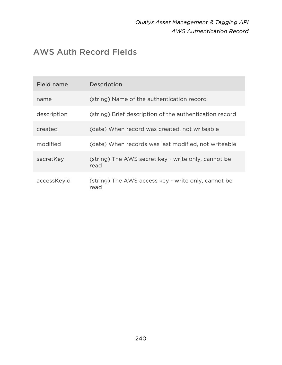# AWS Auth Record Fields

| <b>Field name</b> | <b>Description</b>                                          |
|-------------------|-------------------------------------------------------------|
| name              | (string) Name of the authentication record                  |
| description       | (string) Brief description of the authentication record     |
| created           | (date) When record was created, not writeable               |
| modified          | (date) When records was last modified, not writeable        |
| secretKey         | (string) The AWS secret key - write only, cannot be<br>read |
| accessKeyId       | (string) The AWS access key - write only, cannot be<br>read |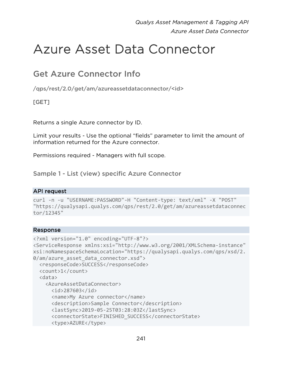# Azure Asset Data Connector

# Get Azure Connector Info

/qps/rest/2.0/get/am/azureassetdataconnector/<id>

# [GET]

Returns a single Azure connector by ID.

Limit your results - Use the optional "fields" parameter to limit the amount of information returned for the Azure connector.

Permissions required - Managers with full scope.

Sample 1 - List (view) specific Azure Connector

### API request

```
curl -n -u "USERNAME:PASSWORD"-H "Content-type: text/xml" -X "POST" 
"https://qualysapi.qualys.com/qps/rest/2.0/get/am/azureassetdataconnec
tor/12345"
```

```
<?xml version="1.0" encoding="UTF-8"?> 
<ServiceResponse xmlns:xsi="http://www.w3.org/2001/XMLSchema-instance" 
xsi:noNamespaceSchemaLocation="https://qualysapi.qualys.com/qps/xsd/2.
0/am/azure asset data connector.xsd">
   <responseCode>SUCCESS</responseCode> 
   <count>1</count> 
   <data> 
     <AzureAssetDataConnector> 
       <id>287603</id> 
       <name>My Azure connector</name> 
       <description>Sample Connector</description> 
       <lastSync>2019-05-25T03:28:03Z</lastSync> 
       <connectorState>FINISHED_SUCCESS</connectorState> 
       <type>AZURE</type>
```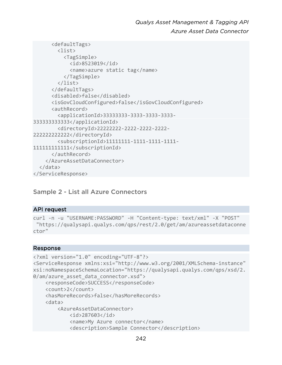```
 <defaultTags> 
         <list> 
           <TagSimple> 
              <id>8523019</id> 
              <name>azure static tag</name> 
            </TagSimple> 
         </list> 
       </defaultTags> 
       <disabled>false</disabled> 
       <isGovCloudConfigured>false</isGovCloudConfigured> 
       <authRecord> 
         <applicationId>33333333-3333-3333-3333-
333333333333</applicationId> 
         <directoryId>22222222-2222-2222-2222-
222222222222</directoryId> 
         <subscriptionId>11111111-1111-1111-1111-
111111111111</subscriptionId> 
       </authRecord> 
     </AzureAssetDataConnector> 
   </data> 
</ServiceResponse>
```
### Sample 2 - List all Azure Connectors

#### API request

```
curl -n -u "USERNAME:PASSWORD" -H "Content-type: text/xml" -X "POST" 
  "https://qualysapi.qualys.com/qps/rest/2.0/get/am/azureassetdataconne
ctor"
```

```
<?xml version="1.0" encoding="UTF-8"?> 
<ServiceResponse xmlns:xsi="http://www.w3.org/2001/XMLSchema-instance" 
xsi:noNamespaceSchemaLocation="https://qualysapi.qualys.com/qps/xsd/2.
0/am/azure asset data connector.xsd">
     <responseCode>SUCCESS</responseCode> 
     <count>2</count> 
     <hasMoreRecords>false</hasMoreRecords> 
     <data> 
         <AzureAssetDataConnector> 
             <id>287603</id> 
             <name>My Azure connector</name> 
             <description>Sample Connector</description>
```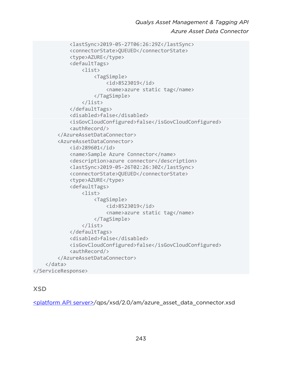```
 <lastSync>2019-05-27T06:26:29Z</lastSync> 
              <connectorState>QUEUED</connectorState> 
              <type>AZURE</type> 
              <defaultTags> 
                  <list> 
                       <TagSimple> 
                           <id>8523019</id> 
                           <name>azure static tag</name> 
                       </TagSimple> 
                  </list> 
              </defaultTags> 
              <disabled>false</disabled> 
              <isGovCloudConfigured>false</isGovCloudConfigured> 
              <authRecord/> 
          </AzureAssetDataConnector> 
          <AzureAssetDataConnector> 
              <id>289601</id> 
              <name>Sample Azure Connector</name> 
              <description>azure connector</description> 
              <lastSync>2019-05-26T02:26:30Z</lastSync> 
              <connectorState>QUEUED</connectorState> 
              <type>AZURE</type> 
              <defaultTags> 
                  <list> 
                       <TagSimple> 
                           <id>8523019</id> 
                           <name>azure static tag</name> 
                       </TagSimple> 
                  </list> 
              </defaultTags> 
              <disabled>false</disabled> 
              <isGovCloudConfigured>false</isGovCloudConfigured> 
              <authRecord/> 
          </AzureAssetDataConnector> 
     </data> 
</ServiceResponse>
```
# XSD

[<platform API server>/](#page-8-0)qps/xsd/2.0/am/azure\_asset\_data\_connector.xsd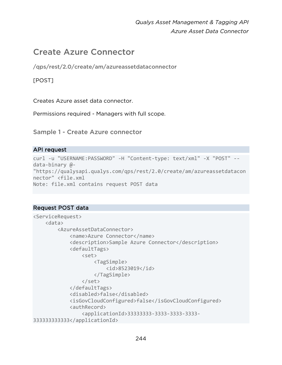# Create Azure Connector

/qps/rest/2.0/create/am/azureassetdataconnector

# [POST]

Creates Azure asset data connector.

Permissions required - Managers with full scope.

Sample 1 - Create Azure connector

#### API request

```
curl -u "USERNAME:PASSWORD" -H "Content-type: text/xml" -X "POST" --
data-binary @- 
"https://qualysapi.qualys.com/qps/rest/2.0/create/am/azureassetdatacon
nector" <file.xml 
Note: file.xml contains request POST data
```
### Request POST data

```
<ServiceRequest> 
     <data> 
         <AzureAssetDataConnector> 
              <name>Azure Connector</name> 
              <description>Sample Azure Connector</description> 
              <defaultTags> 
                  <set> 
                       <TagSimple> 
                           <id>8523019</id> 
                       </TagSimple> 
                  </set> 
              </defaultTags> 
              <disabled>false</disabled> 
              <isGovCloudConfigured>false</isGovCloudConfigured> 
              <authRecord> 
                  <applicationId>33333333-3333-3333-3333-
333333333333</applicationId>
```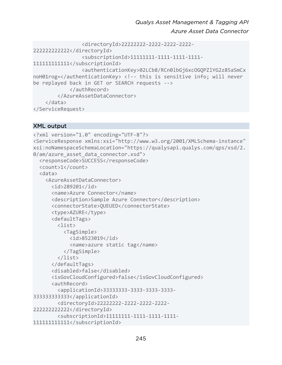```
 <directoryId>22222222-2222-2222-2222-
222222222222</directoryId> 
                 <subscriptionId>11111111-1111-1111-1111-
111111111111</subscriptionId> 
                 <authenticationKey>02LCb8/RCn0lbGj6xcOGQPZlYG2z85aSmCx
noH01rog=</authenticationKey> <!-- this is sensitive info; will never 
be replayed back in GET or SEARCH requests --> 
             </authRecord> 
         </AzureAssetDataConnector> 
     </data> 
</ServiceRequest>
```
### XML output

```
<?xml version="1.0" encoding="UTF-8"?> 
<ServiceResponse xmlns:xsi="http://www.w3.org/2001/XMLSchema-instance" 
xsi:noNamespaceSchemaLocation="https://qualysapi.qualys.com/qps/xsd/2.
0/am/azure asset data connector.xsd">
   <responseCode>SUCCESS</responseCode> 
   <count>1</count> 
   <data> 
     <AzureAssetDataConnector> 
       <id>289201</id> 
       <name>Azure Connector</name> 
       <description>Sample Azure Connector</description> 
       <connectorState>QUEUED</connectorState> 
       <type>AZURE</type> 
       <defaultTags> 
        \langlelist\rangle <TagSimple> 
              <id>8523019</id> 
              <name>azure static tag</name> 
            </TagSimple> 
         </list> 
       </defaultTags> 
       <disabled>false</disabled> 
       <isGovCloudConfigured>false</isGovCloudConfigured> 
       <authRecord> 
         <applicationId>33333333-3333-3333-3333-
333333333333</applicationId> 
         <directoryId>22222222-2222-2222-2222-
222222222222</directoryId> 
         <subscriptionId>11111111-1111-1111-1111-
111111111111</subscriptionId>
```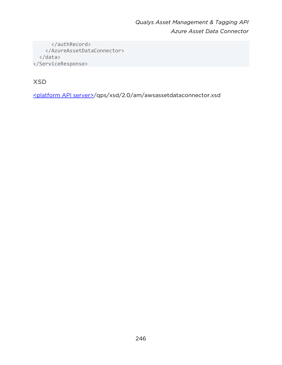</authRecord> </AzureAssetDataConnector> </data> </ServiceResponse>

XSD

[<platform API server>/](#page-8-0)qps/xsd/2.0/am/awsassetdataconnector.xsd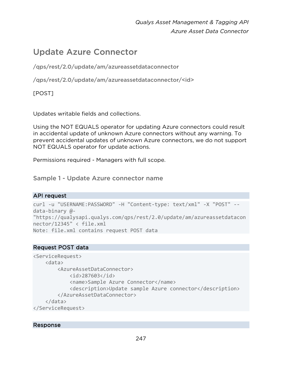# Update Azure Connector

/qps/rest/2.0/update/am/azureassetdataconnector

/qps/rest/2.0/update/am/azureassetdataconnector/<id>

[POST]

Updates writable fields and collections.

Using the NOT EQUALS operator for updating Azure connectors could result in accidental update of unknown Azure connectors without any warning. To prevent accidental updates of unknown Azure connectors, we do not support NOT EQUALS operator for update actions.

Permissions required - Managers with full scope.

Sample 1 - Update Azure connector name

### API request

```
curl -u "USERNAME:PASSWORD" -H "Content-type: text/xml" -X "POST" --
data-binary @- 
"https://qualysapi.qualys.com/qps/rest/2.0/update/am/azureassetdatacon
nector/12345" < file.xml 
Note: file.xml contains request POST data
```
### Request POST data

```
<ServiceRequest> 
     <data> 
         <AzureAssetDataConnector> 
              <id>287603</id> 
              <name>Sample Azure Connector</name> 
              <description>Update sample Azure connector</description> 
         </AzureAssetDataConnector> 
     </data> 
</ServiceRequest>
```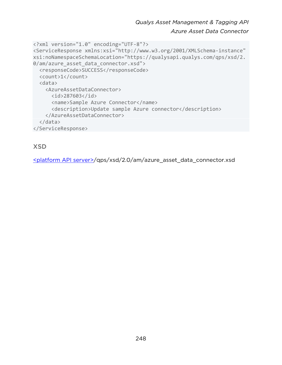```
<?xml version="1.0" encoding="UTF-8"?> 
<ServiceResponse xmlns:xsi="http://www.w3.org/2001/XMLSchema-instance" 
xsi:noNamespaceSchemaLocation="https://qualysapi.qualys.com/qps/xsd/2.
0/am/azure asset data connector.xsd">
   <responseCode>SUCCESS</responseCode> 
   <count>1</count> 
   <data> 
     <AzureAssetDataConnector> 
       <id>287603</id> 
       <name>Sample Azure Connector</name> 
       <description>Update sample Azure connector</description> 
     </AzureAssetDataConnector> 
   </data> 
</ServiceResponse>
```
XSD

[<platform API server>/](#page-8-0)qps/xsd/2.0/am/azure\_asset\_data\_connector.xsd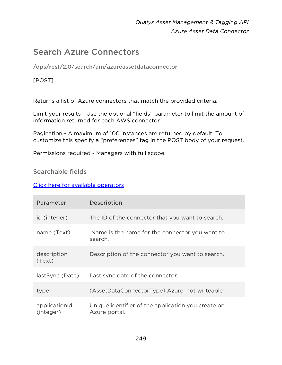# Search Azure Connectors

/qps/rest/2.0/search/am/azureassetdataconnector

# [POST]

Returns a list of Azure connectors that match the provided criteria.

Limit your results - Use the optional "fields" parameter to limit the amount of information returned for each AWS connector.

Pagination - A maximum of 100 instances are returned by default. To customize this specify a "preferences" tag in the POST body of your request.

Permissions required - Managers with full scope.

# Searchable fields

### [Click here for available operators](#page-16-0)

| Parameter                  | <b>Description</b>                                                  |
|----------------------------|---------------------------------------------------------------------|
| id (integer)               | The ID of the connector that you want to search.                    |
| name (Text)                | Name is the name for the connector you want to<br>search.           |
| description<br>(Text)      | Description of the connector you want to search.                    |
| lastSync (Date)            | Last sync date of the connector                                     |
| type                       | (AssetDataConnectorType) Azure, not writeable                       |
| applicationId<br>(integer) | Unique identifier of the application you create on<br>Azure portal. |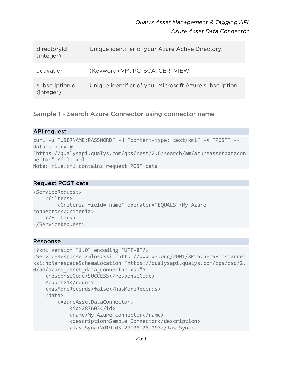| directoryId<br>(integer)    | Unique identifier of your Azure Active Directory.       |
|-----------------------------|---------------------------------------------------------|
| activation                  | (Keyword) VM, PC, SCA, CERTVIEW                         |
| subscriptionId<br>(integer) | Unique identifier of your Microsoft Azure subscription. |

Sample 1 - Search Azure Connector using connector name

### API request

```
curl -u "USERNAME:PASSWORD" -H "content-type: text/xml" -X "POST" --
data-binary @- 
"https://qualysapi.qualys.com/qps/rest/2.0/search/am/azureassetdatacon
nector" <file.xml 
Note: file.xml contains request POST data
```
### Request POST data

```
<ServiceRequest> 
     <filters> 
         <Criteria field="name" operator="EQUALS">My Azure 
connector</Criteria> 
     </filters> 
</ServiceRequest>
```

```
<?xml version="1.0" encoding="UTF-8"?> 
<ServiceResponse xmlns:xsi="http://www.w3.org/2001/XMLSchema-instance" 
xsi:noNamespaceSchemaLocation="https://qualysapi.qualys.com/qps/xsd/2.
0/am/azure asset data connector.xsd">
     <responseCode>SUCCESS</responseCode> 
     <count>1</count> 
     <hasMoreRecords>false</hasMoreRecords> 
     <data> 
         <AzureAssetDataConnector> 
             <id>287603</id> 
             <name>My Azure connector</name> 
             <description>Sample Connector</description> 
             <lastSync>2019-05-27T06:26:29Z</lastSync>
```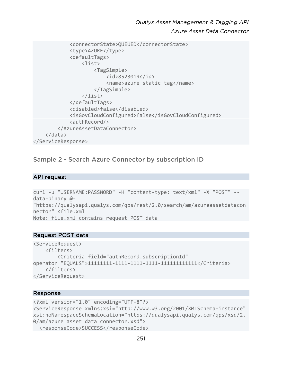```
 <connectorState>QUEUED</connectorState> 
              <type>AZURE</type> 
              <defaultTags> 
                   <list> 
                       <TagSimple> 
                            <id>8523019</id> 
                            <name>azure static tag</name> 
                       </TagSimple> 
                   </list> 
              </defaultTags> 
              <disabled>false</disabled> 
              <isGovCloudConfigured>false</isGovCloudConfigured> 
              <authRecord/> 
          </AzureAssetDataConnector> 
     </data> 
</ServiceResponse>
```
Sample 2 - Search Azure Connector by subscription ID

#### API request

```
curl -u "USERNAME:PASSWORD" -H "content-type: text/xml" -X "POST" --
data-binary @- 
"https://qualysapi.qualys.com/qps/rest/2.0/search/am/azureassetdatacon
nector" <file.xml 
Note: file.xml contains request POST data
```
#### Request POST data

```
<ServiceRequest> 
     <filters> 
         <Criteria field="authRecord.subscriptionId" 
operator="EQUALS">11111111-1111-1111-1111-111111111111</Criteria> 
     </filters> 
</ServiceRequest>
```

```
<?xml version="1.0" encoding="UTF-8"?> 
<ServiceResponse xmlns:xsi="http://www.w3.org/2001/XMLSchema-instance" 
xsi:noNamespaceSchemaLocation="https://qualysapi.qualys.com/qps/xsd/2.
0/am/azure asset data connector.xsd">
 <responseCode>SUCCESS</responseCode>
```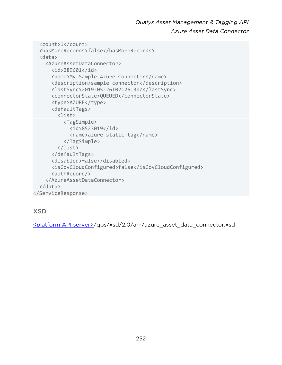```
 <count>1</count> 
   <hasMoreRecords>false</hasMoreRecords> 
   <data> 
     <AzureAssetDataConnector> 
       <id>289601</id> 
       <name>My Sample Azure Connector</name> 
       <description>sample connector</description> 
       <lastSync>2019-05-26T02:26:30Z</lastSync> 
       <connectorState>QUEUED</connectorState> 
       <type>AZURE</type> 
       <defaultTags> 
         <list> 
            <TagSimple> 
              <id>8523019</id> 
              <name>azure static tag</name> 
            </TagSimple> 
         </list> 
       </defaultTags> 
       <disabled>false</disabled> 
       <isGovCloudConfigured>false</isGovCloudConfigured> 
       <authRecord/> 
     </AzureAssetDataConnector> 
   </data> 
</ServiceResponse>
```
# XSD

<platform API server>/qps/xsd/2.0/am/azure\_asset\_data\_connector.xsd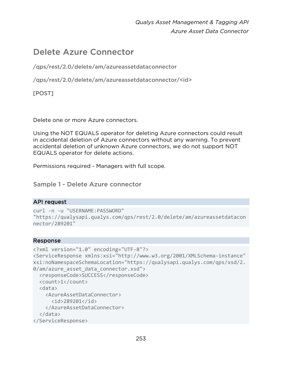## Delete Azure Connector

/qps/rest/2.0/delete/am/azureassetdataconnector

/qps/rest/2.0/delete/am/azureassetdataconnector/<id>

[POST]

Delete one or more Azure connectors.

Using the NOT EQUALS operator for deleting Azure connectors could result in accidental deletion of Azure connectors without any warning. To prevent accidental deletion of unknown Azure connectors, we do not support NOT EQUALS operator for delete actions.

Permissions required - Managers with full scope.

Sample 1 - Delete Azure connector

## API request

```
curl -n -u "USERNAME:PASSWORD" 
"https://qualysapi.qualys.com/qps/rest/2.0/delete/am/azureassetdatacon
nector/289201"
```
## Response

```
<?xml version="1.0" encoding="UTF-8"?> 
<ServiceResponse xmlns:xsi="http://www.w3.org/2001/XMLSchema-instance" 
xsi:noNamespaceSchemaLocation="https://qualysapi.qualys.com/qps/xsd/2.
0/am/azure asset data connector.xsd">
   <responseCode>SUCCESS</responseCode> 
   <count>1</count> 
   <data> 
     <AzureAssetDataConnector> 
       <id>289201</id> 
     </AzureAssetDataConnector> 
   </data> 
</ServiceResponse>
```